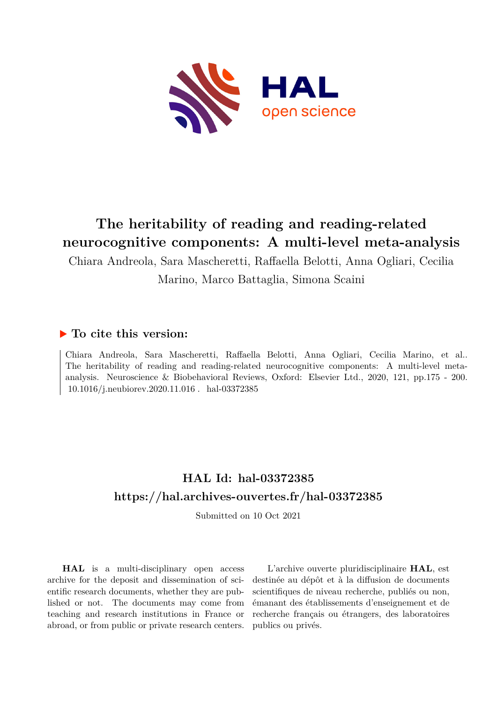

# **The heritability of reading and reading-related neurocognitive components: A multi-level meta-analysis**

Chiara Andreola, Sara Mascheretti, Raffaella Belotti, Anna Ogliari, Cecilia Marino, Marco Battaglia, Simona Scaini

## **To cite this version:**

Chiara Andreola, Sara Mascheretti, Raffaella Belotti, Anna Ogliari, Cecilia Marino, et al.. The heritability of reading and reading-related neurocognitive components: A multi-level metaanalysis. Neuroscience & Biobehavioral Reviews, Oxford: Elsevier Ltd., 2020, 121, pp.175 - 200.  $10.1016/j.$ neubiorev.2020.11.016. hal-03372385

# **HAL Id: hal-03372385 <https://hal.archives-ouvertes.fr/hal-03372385>**

Submitted on 10 Oct 2021

**HAL** is a multi-disciplinary open access archive for the deposit and dissemination of scientific research documents, whether they are published or not. The documents may come from teaching and research institutions in France or abroad, or from public or private research centers.

L'archive ouverte pluridisciplinaire **HAL**, est destinée au dépôt et à la diffusion de documents scientifiques de niveau recherche, publiés ou non, émanant des établissements d'enseignement et de recherche français ou étrangers, des laboratoires publics ou privés.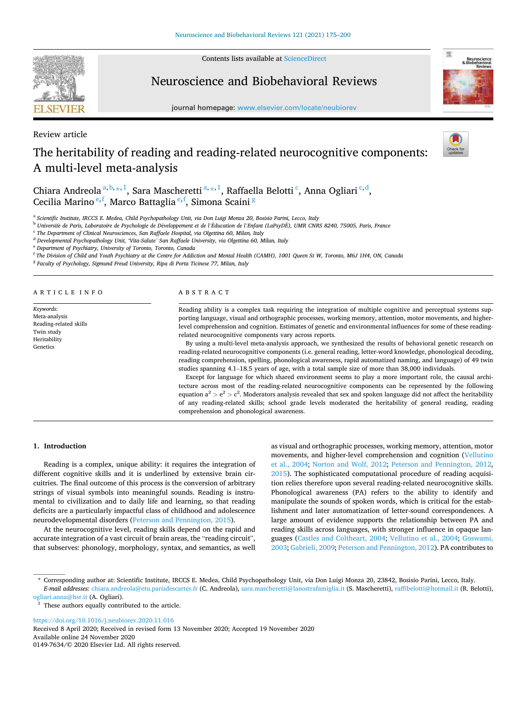Contents lists available at [ScienceDirect](www.sciencedirect.com/science/journal/01497634)

# Neuroscience and Biobehavioral Reviews

journal homepage: [www.elsevier.com/locate/neubiorev](https://www.elsevier.com/locate/neubiorev)

Review article

# The heritability of reading and reading-related neurocognitive components: A multi-level meta-analysis

Chiara Andreola<sup>a, b, \*, 1</sup>, Sara Mascheretti<sup>a, \*, 1</sup>, Raffaella Belotti<sup>c</sup>, Anna Ogliari<sup>c, d</sup>, Cecilia Marino <sup>e, f</sup>, Marco Battaglia <sup>e, f</sup>, Simona Scaini <sup>g</sup>

a *Scientific Institute, IRCCS E. Medea, Child Psychopathology Unit, via Don Luigi Monza 20, Bosisio Parini, Lecco, Italy* 

<sup>b</sup> *Universit*`*e de Paris, Laboratoire de Psychologie de D*´*eveloppement et de l'Education de l* ´ *'Enfant (LaPsyDE), UMR CNRS 8240, 75005, Paris, France* ´

c *The Department of Clinical Neurosciences, San Raffaele Hospital, via Olgettina 60, Milan, Italy* 

<sup>d</sup> *Developmental Psychopathology Unit, 'Vita-Salute' San Raffaele University, via Olgettina 60, Milan, Italy* 

<sup>e</sup> *Department of Psychiatry, University of Toronto, Toronto, Canada* 

f *The Division of Child and Youth Psychiatry at the Centre for Addiction and Mental Health (CAMH), 1001 Queen St W, Toronto, M6J 1H4, ON, Canada* 

<sup>g</sup> Faculty of Psychology, Sigmund Freud University, Ripa di Porta Ticinese 77, Milan, Italy

## A R T I C L E I N F O

*Keywords:*  Meta-analysis Reading-related skills Twin study Heritability Genetics

## ABSTRACT

Reading ability is a complex task requiring the integration of multiple cognitive and perceptual systems supporting language, visual and orthographic processes, working memory, attention, motor movements, and higherlevel comprehension and cognition. Estimates of genetic and environmental influences for some of these readingrelated neurocognitive components vary across reports.

By using a multi-level meta-analysis approach, we synthesized the results of behavioral genetic research on reading-related neurocognitive components (i.e. general reading, letter-word knowledge, phonological decoding, reading comprehension, spelling, phonological awareness, rapid automatized naming, and language) of 49 twin studies spanning 4.1–18.5 years of age, with a total sample size of more than 38,000 individuals.

Except for language for which shared environment seems to play a more important role, the causal architecture across most of the reading-related neurocognitive components can be represented by the following equation  $a^2 > e^2 > c^2$ . Moderators analysis revealed that sex and spoken language did not affect the heritability of any reading-related skills; school grade levels moderated the heritability of general reading, reading comprehension and phonological awareness.

## **1. Introduction**

Reading is a complex, unique ability: it requires the integration of different cognitive skills and it is underlined by extensive brain circuitries. The final outcome of this process is the conversion of arbitrary strings of visual symbols into meaningful sounds. Reading is instrumental to civilization and to daily life and learning, so that reading deficits are a particularly impactful class of childhood and adolescence neurodevelopmental disorders [\(Peterson and Pennington, 2015\)](#page-26-0).

At the neurocognitive level, reading skills depend on the rapid and accurate integration of a vast circuit of brain areas, the "reading circuit", that subserves: phonology, morphology, syntax, and semantics, as well as visual and orthographic processes, working memory, attention, motor movements, and higher-level comprehension and cognition [\(Vellutino](#page-26-0)  [et al., 2004](#page-26-0); [Norton and Wolf, 2012](#page-25-0); [Peterson and Pennington, 2012](#page-26-0), [2015\)](#page-26-0). The sophisticated computational procedure of reading acquisition relies therefore upon several reading-related neurocognitive skills. Phonological awareness (PA) refers to the ability to identify and manipulate the sounds of spoken words, which is critical for the establishment and later automatization of letter-sound correspondences. A large amount of evidence supports the relationship between PA and reading skills across languages, with stronger influence in opaque languages ([Castles and Coltheart, 2004;](#page-24-0) [Vellutino et al., 2004;](#page-26-0) [Goswami,](#page-25-0)  [2003; Gabrieli, 2009](#page-25-0); [Peterson and Pennington, 2012\)](#page-26-0). PA contributes to

\* Corresponding author at: Scientific Institute, IRCCS E. Medea, Child Psychopathology Unit, via Don Luigi Monza 20, 23842, Bosisio Parini, Lecco, Italy.

*E-mail addresses:* [chiara.andreola@etu.parisdescartes.fr](mailto:chiara.andreola@etu.parisdescartes.fr) (C. Andreola), [sara.mascheretti@lanostrafamiglia.it](mailto:sara.mascheretti@lanostrafamiglia.it) (S. Mascheretti), [raffibelotti@hotmail.it](mailto:raffibelotti@hotmail.it) (R. Belotti), [ogliari.anna@hsr.it](mailto:ogliari.anna@hsr.it) (A. Ogliari).

 $^{\rm 1}$  These authors equally contributed to the article.

<https://doi.org/10.1016/j.neubiorev.2020.11.016>

Available online 24 November 2020 Received 8 April 2020; Received in revised form 13 November 2020; Accepted 19 November 2020

0149-7634/© 2020 Elsevier Ltd. All rights reserved.



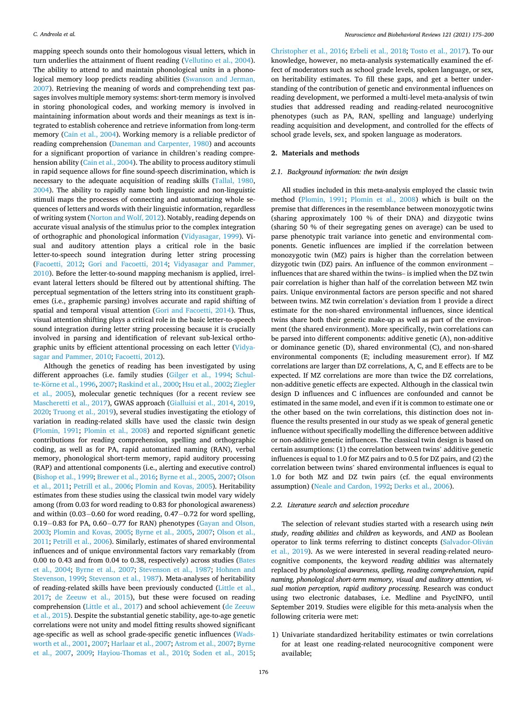mapping speech sounds onto their homologous visual letters, which in turn underlies the attainment of fluent reading [\(Vellutino et al., 2004](#page-26-0)). The ability to attend to and maintain phonological units in a phonological memory loop predicts reading abilities ([Swanson and Jerman,](#page-26-0)  [2007\)](#page-26-0). Retrieving the meaning of words and comprehending text passages involves multiple memory systems: short-term memory is involved in storing phonological codes, and working memory is involved in maintaining information about words and their meanings as text is integrated to establish coherence and retrieve information from long-term memory [\(Cain et al., 2004](#page-24-0)). Working memory is a reliable predictor of reading comprehension ([Daneman and Carpenter, 1980](#page-25-0)) and accounts for a significant proportion of variance in children's reading comprehension ability ([Cain et al., 2004](#page-24-0)). The ability to process auditory stimuli in rapid sequence allows for fine sound-speech discrimination, which is necessary to the adequate acquisition of reading skills ([Tallal, 1980](#page-26-0), [2004\)](#page-26-0). The ability to rapidly name both linguistic and non-linguistic stimuli maps the processes of connecting and automatizing whole sequences of letters and words with their linguistic information, regardless of writing system [\(Norton and Wolf, 2012](#page-25-0)). Notably, reading depends on accurate visual analysis of the stimulus prior to the complex integration of orthographic and phonological information [\(Vidyasagar, 1999](#page-26-0)). Visual and auditory attention plays a critical role in the basic letter-to-speech sound integration during letter string processing ([Facoetti, 2012](#page-25-0); [Gori and Facoetti, 2014;](#page-25-0) [Vidyasagar and Pammer,](#page-26-0)  [2010\)](#page-26-0). Before the letter-to-sound mapping mechanism is applied, irrelevant lateral letters should be filtered out by attentional shifting. The perceptual segmentation of the letters string into its constituent graphemes (i.e., graphemic parsing) involves accurate and rapid shifting of spatial and temporal visual attention ([Gori and Facoetti, 2014](#page-25-0)). Thus, visual attention shifting plays a critical role in the basic letter-to-speech sound integration during letter string processing because it is crucially involved in parsing and identification of relevant sub-lexical orthographic units by efficient attentional processing on each letter ([Vidya](#page-26-0)[sagar and Pammer, 2010;](#page-26-0) [Facoetti, 2012](#page-25-0)).

Although the genetics of reading has been investigated by using different approaches (i.e. family studies [\(Gilger et al., 1994;](#page-25-0) [Schul-](#page-26-0)te-Körne et al., 1996, [2007; Raskind et al., 2000](#page-26-0); [Hsu et al., 2002](#page-25-0); Ziegler [et al., 2005\)](#page-26-0), molecular genetic techniques (for a recent review see [Mascheretti et al., 2017](#page-25-0)), GWAS approach [\(Gialluisi et al., 2014, 2019](#page-25-0), [2020;](#page-25-0) [Truong et al., 2019](#page-26-0)), several studies investigating the etiology of variation in reading-related skills have used the classic twin design ([Plomin, 1991](#page-26-0); [Plomin et al., 2008](#page-26-0)) and reported significant genetic contributions for reading comprehension, spelling and orthographic coding, as well as for PA, rapid automatized naming (RAN), verbal memory, phonological short-term memory, rapid auditory processing (RAP) and attentional components (i.e., alerting and executive control) ([Bishop et al., 1999; Brewer et al., 2016](#page-24-0); [Byrne et al., 2005](#page-24-0), [2007](#page-24-0); Olson [et al., 2011](#page-25-0); [Petrill et al., 2006](#page-26-0); [Plomin and Kovas, 2005](#page-26-0)). Heritability estimates from these studies using the classical twin model vary widely among (from 0.03 for word reading to 0.83 for phonological awareness) and within (0.03−0.60 for word reading, 0.47−0.72 for word spelling, 0.19−0.83 for PA, 0.60−0.77 for RAN) phenotypes ([Gayan and Olson,](#page-25-0)  [2003;](#page-25-0) [Plomin and Kovas, 2005](#page-26-0); [Byrne et al., 2005](#page-24-0), [2007](#page-24-0); [Olson et al.,](#page-25-0)  [2011;](#page-25-0) [Petrill et al., 2006\)](#page-26-0). Similarly, estimates of shared environmental influences and of unique environmental factors vary remarkably (from 0.00 to 0.43 and from 0.04 to 0.38, respectively) across studies [\(Bates](#page-24-0)  [et al., 2004;](#page-24-0) [Byrne et al., 2007;](#page-24-0) [Stevenson et al., 1987;](#page-26-0) [Hohnen and](#page-25-0)  [Stevenson, 1999;](#page-25-0) [Stevenson et al., 1987\)](#page-26-0). Meta-analyses of heritability of reading-related skills have been previously conducted ([Little et al.,](#page-25-0)  [2017;](#page-25-0) [de Zeeuw et al., 2015](#page-25-0)), but these were focused on reading comprehension ([Little et al., 2017](#page-25-0)) and school achievement ([de Zeeuw](#page-25-0)  [et al., 2015\)](#page-25-0). Despite the substantial genetic stability, age-to-age genetic correlations were not unity and model fitting results showed significant age-specific as well as school grade-specific genetic influences ([Wads](#page-26-0)[worth et al., 2001, 2007;](#page-26-0) [Harlaar et al., 2007](#page-25-0); [Astrom et al., 2007; Byrne](#page-24-0)  [et al., 2007](#page-24-0), [2009](#page-24-0); [Hayiou-Thomas et al., 2010;](#page-25-0) [Soden et al., 2015](#page-26-0);

[Christopher et al., 2016;](#page-25-0) [Erbeli et al., 2018](#page-25-0); [Tosto et al., 2017](#page-26-0)). To our knowledge, however, no meta-analysis systematically examined the effect of moderators such as school grade levels, spoken language, or sex, on heritability estimates. To fill these gaps, and get a better understanding of the contribution of genetic and environmental influences on reading development, we performed a multi-level meta-analysis of twin studies that addressed reading and reading-related neurocognitive phenotypes (such as PA, RAN, spelling and language) underlying reading acquisition and development, and controlled for the effects of school grade levels, sex, and spoken language as moderators.

## **2. Materials and methods**

#### *2.1. Background information: the twin design*

All studies included in this meta-analysis employed the classic twin method ([Plomin, 1991](#page-26-0); [Plomin et al., 2008\)](#page-26-0) which is built on the premise that differences in the resemblance between monozygotic twins (sharing approximately 100 % of their DNA) and dizygotic twins (sharing 50 % of their segregating genes on average) can be used to parse phenotypic trait variance into genetic and environmental components. Genetic influences are implied if the correlation between monozygotic twin (MZ) pairs is higher than the correlation between dizygotic twin (DZ) pairs. An influence of the common environment – influences that are shared within the twins– is implied when the DZ twin pair correlation is higher than half of the correlation between MZ twin pairs. Unique environmental factors are person specific and not shared between twins. MZ twin correlation's deviation from 1 provide a direct estimate for the non-shared environmental influences, since identical twins share both their genetic make-up as well as part of the environment (the shared environment). More specifically, twin correlations can be parsed into different components: additive genetic (A), non-additive or dominance genetic (D), shared environmental (C), and non-shared environmental components (E; including measurement error). If MZ correlations are larger than DZ correlations, A, C, and E effects are to be expected. If MZ correlations are more than twice the DZ correlations, non-additive genetic effects are expected. Although in the classical twin design D influences and C influences are confounded and cannot be estimated in the same model, and even if it is common to estimate one or the other based on the twin correlations, this distinction does not influence the results presented in our study as we speak of general genetic influence without specifically modelling the difference between additive or non-additive genetic influences. The classical twin design is based on certain assumptions: (1) the correlation between twins' additive genetic influences is equal to 1.0 for MZ pairs and to 0.5 for DZ pairs, and (2) the correlation between twins' shared environmental influences is equal to 1.0 for both MZ and DZ twin pairs (cf. the equal environments assumption) [\(Neale and Cardon, 1992](#page-25-0); [Derks et al., 2006](#page-25-0)).

#### *2.2. Literature search and selection procedure*

The selection of relevant studies started with a research using *twin study*, *reading abilities* and *children* as keywords, and *AND* as Boolean operator to link terms referring to distinct concepts (Salvador-Oliván [et al., 2019](#page-26-0)). As we were interested in several reading-related neurocognitive components, the keyword *reading abilities* was alternately replaced by *phonological awareness, spelling, reading comprehension, rapid naming, phonological short-term memory, visual and auditory attention, visual motion perception, rapid auditory processing*. Research was conduct using two electronic databases, i.e. Medline and PsycINFO, until September 2019. Studies were eligible for this meta-analysis when the following criteria were met:

1) Univariate standardized heritability estimates or twin correlations for at least one reading-related neurocognitive component were available;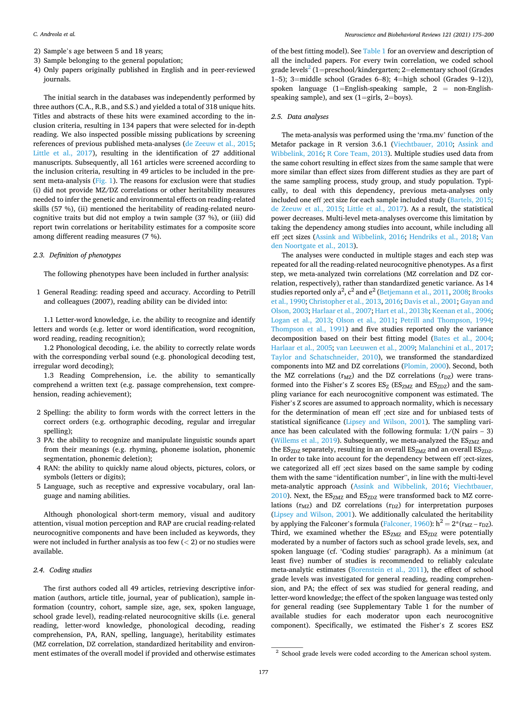- 2) Sample's age between 5 and 18 years;
- 3) Sample belonging to the general population;
- 4) Only papers originally published in English and in peer-reviewed journals.

The initial search in the databases was independently performed by three authors (C.A., R.B., and S.S.) and yielded a total of 318 unique hits. Titles and abstracts of these hits were examined according to the inclusion criteria, resulting in 134 papers that were selected for in-depth reading. We also inspected possible missing publications by screening references of previous published meta-analyses ([de Zeeuw et al., 2015](#page-25-0); [Little et al., 2017\)](#page-25-0), resulting in the identification of 27 additional manuscripts. Subsequently, all 161 articles were screened according to the inclusion criteria, resulting in 49 articles to be included in the pre-sent meta-analysis ([Fig. 1\)](#page-4-0). The reasons for exclusion were that studies (i) did not provide MZ/DZ correlations or other heritability measures needed to infer the genetic and environmental effects on reading-related skills (57 %), (ii) mentioned the heritability of reading-related neurocognitive traits but did not employ a twin sample (37 %), or (iii) did report twin correlations or heritability estimates for a composite score among different reading measures (7 %).

## *2.3. Definition of phenotypes*

The following phenotypes have been included in further analysis:

1 General Reading: reading speed and accuracy. According to Petrill and colleagues (2007), reading ability can be divided into:

1.1 Letter-word knowledge, i.e. the ability to recognize and identify letters and words (e.g. letter or word identification, word recognition, word reading, reading recognition);

1.2 Phonological decoding, i.e. the ability to correctly relate words with the corresponding verbal sound (e.g. phonological decoding test, irregular word decoding);

1.3 Reading Comprehension, i.e. the ability to semantically comprehend a written text (e.g. passage comprehension, text comprehension, reading achievement);

- 2 Spelling: the ability to form words with the correct letters in the correct orders (e.g. orthographic decoding, regular and irregular spelling);
- 3 PA: the ability to recognize and manipulate linguistic sounds apart from their meanings (e.g. rhyming, phoneme isolation, phonemic segmentation, phonemic deletion);
- 4 RAN: the ability to quickly name aloud objects, pictures, colors, or symbols (letters or digits);
- 5 Language, such as receptive and expressive vocabulary, oral language and naming abilities.

Although phonological short-term memory, visual and auditory attention, visual motion perception and RAP are crucial reading-related neurocognitive components and have been included as keywords, they were not included in further analysis as too few (*<* 2) or no studies were available.

## *2.4. Coding studies*

The first authors coded all 49 articles, retrieving descriptive information (authors, article title, journal, year of publication), sample information (country, cohort, sample size, age, sex, spoken language, school grade level), reading-related neurocognitive skills (i.e. general reading, letter-word knowledge, phonological decoding, reading comprehension, PA, RAN, spelling, language), heritability estimates (MZ correlation, DZ correlation, standardized heritability and environment estimates of the overall model if provided and otherwise estimates of the best fitting model). See [Table 1](#page-5-0) for an overview and description of all the included papers. For every twin correlation, we coded school grade levels<sup>2</sup> (1=preschool/kindergarten; 2=elementary school (Grades 1–5); 3=middle school (Grades 6–8); 4=high school (Grades 9–12)), spoken language  $(1)$ =English-speaking sample,  $2$  = non-Englishspeaking sample), and sex (1=girls, 2=boys).

#### *2.5. Data analyses*

The meta-analysis was performed using the 'rma.mv' function of the Metafor package in R version 3.6.1 ([Viechtbauer, 2010;](#page-26-0) [Assink and](#page-24-0)  [Wibbelink, 2016](#page-24-0); [R Core Team, 2013](#page-26-0)). Multiple studies used data from the same cohort resulting in effect sizes from the same sample that were more similar than effect sizes from different studies as they are part of the same sampling process, study group, and study population. Typically, to deal with this dependency, previous meta-analyses only included one eff ;ect size for each sample included study [\(Bartels, 2015](#page-24-0); [de Zeeuw et al., 2015](#page-25-0); [Little et al., 2017](#page-25-0)). As a result, the statistical power decreases. Multi-level meta-analyses overcome this limitation by taking the dependency among studies into account, while including all eff ;ect sizes ([Assink and Wibbelink, 2016;](#page-24-0) [Hendriks et al., 2018;](#page-25-0) [Van](#page-26-0)  [den Noortgate et al., 2013\)](#page-26-0).

The analyses were conducted in multiple stages and each step was repeated for all the reading-related neurocognitive phenotypes. As a first step, we meta-analyzed twin correlations (MZ correlation and DZ correlation, respectively), rather than standardized genetic variance. As 14 studies reported only  $a^2$ ,  $c^2$  and  $e^2$  (Betjemann et al., 2011, 2008; Brooks [et al., 1990](#page-24-0); [Christopher et al., 2013](#page-24-0), [2016; Davis et al., 2001; Gayan and](#page-25-0)  [Olson, 2003; Harlaar et al., 2007](#page-25-0); [Hart et al., 2013b; Keenan et al., 2006](#page-25-0); [Logan et al., 2013](#page-25-0); [Olson et al., 2011;](#page-25-0) [Petrill and Thompson, 1994](#page-26-0); [Thompson et al., 1991\)](#page-26-0) and five studies reported only the variance decomposition based on their best fitting model [\(Bates et al., 2004](#page-24-0); [Harlaar et al., 2005;](#page-25-0) [van Leeuwen et al., 2009;](#page-26-0) [Malanchini et al., 2017](#page-25-0); [Taylor and Schatschneider, 2010\)](#page-26-0), we transformed the standardized components into MZ and DZ correlations ([Plomin, 2000](#page-26-0)). Second, both the MZ correlations ( $r_{MZ}$ ) and the DZ correlations ( $r_{DZ}$ ) were transformed into the Fisher's Z scores  $ES_Z$  ( $ES_{ZMZ}$  and  $ES_{ZDZ}$ ) and the sampling variance for each neurocognitive component was estimated. The Fisher's Z scores are assumed to approach normality, which is necessary for the determination of mean eff ;ect size and for unbiased tests of statistical significance [\(Lipsey and Wilson, 2001](#page-25-0)). The sampling variance has been calculated with the following formula:  $1/(N \text{ pairs} - 3)$ ([Willems et al., 2019](#page-26-0)). Subsequently, we meta-analyzed the  $ES_{ZMZ}$  and the  $ES_{ZDZ}$  separately, resulting in an overall  $ES_{ZMZ}$  and an overall  $ES_{ZDZ}$ . In order to take into account for the dependency between eff ;ect-sizes, we categorized all eff ;ect sizes based on the same sample by coding them with the same "identification number", in line with the multi-level meta-analytic approach ([Assink and Wibbelink, 2016;](#page-24-0) [Viechtbauer,](#page-26-0)   $2010$ ). Next, the ES<sub>ZMZ</sub> and ES<sub>ZDZ</sub> were transformed back to MZ correlations  $(r_{MZ})$  and DZ correlations  $(r_{DZ})$  for interpretation purposes ([Lipsey and Wilson, 2001](#page-25-0)). We additionally calculated the heritability by applying the Falconer's formula [\(Falconer, 1960\)](#page-25-0):  $h^2 = 2*(r_{MZ} - r_{DZ})$ . Third, we examined whether the  $ES_{ZMZ}$  and  $ES_{ZDZ}$  were potentially moderated by a number of factors such as school grade levels, sex, and spoken language (cf. 'Coding studies' paragraph). As a minimum (at least five) number of studies is recommended to reliably calculate meta-analytic estimates ([Borenstein et al., 2011](#page-24-0)), the effect of school grade levels was investigated for general reading, reading comprehension, and PA; the effect of sex was studied for general reading, and letter-word knowledge; the effect of the spoken language was tested only for general reading (see Supplementary Table 1 for the number of available studies for each moderator upon each neurocognitive component). Specifically, we estimated the Fisher's Z scores ESZ

 $2$  School grade levels were coded according to the American school system.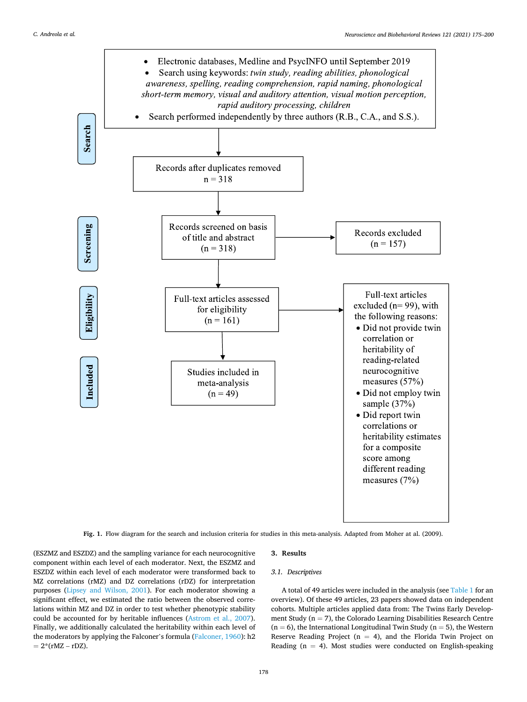<span id="page-4-0"></span>

**Fig. 1.** Flow diagram for the search and inclusion criteria for studies in this meta-analysis. Adapted from Moher at al. (2009).

(ESZMZ and ESZDZ) and the sampling variance for each neurocognitive component within each level of each moderator. Next, the ESZMZ and ESZDZ within each level of each moderator were transformed back to MZ correlations (rMZ) and DZ correlations (rDZ) for interpretation purposes [\(Lipsey and Wilson, 2001\)](#page-25-0). For each moderator showing a significant effect, we estimated the ratio between the observed correlations within MZ and DZ in order to test whether phenotypic stability could be accounted for by heritable influences ([Astrom et al., 2007](#page-24-0)). Finally, we additionally calculated the heritability within each level of the moderators by applying the Falconer's formula ([Falconer, 1960](#page-25-0)): h2  $= 2*(rMZ - rDZ).$ 

## **3. Results**

## *3.1. Descriptives*

A total of 49 articles were included in the analysis (see [Table 1](#page-5-0) for an overview). Of these 49 articles, 23 papers showed data on independent cohorts. Multiple articles applied data from: The Twins Early Development Study ( $n = 7$ ), the Colorado Learning Disabilities Research Centre  $(n = 6)$ , the International Longitudinal Twin Study  $(n = 5)$ , the Western Reserve Reading Project ( $n = 4$ ), and the Florida Twin Project on Reading ( $n = 4$ ). Most studies were conducted on English-speaking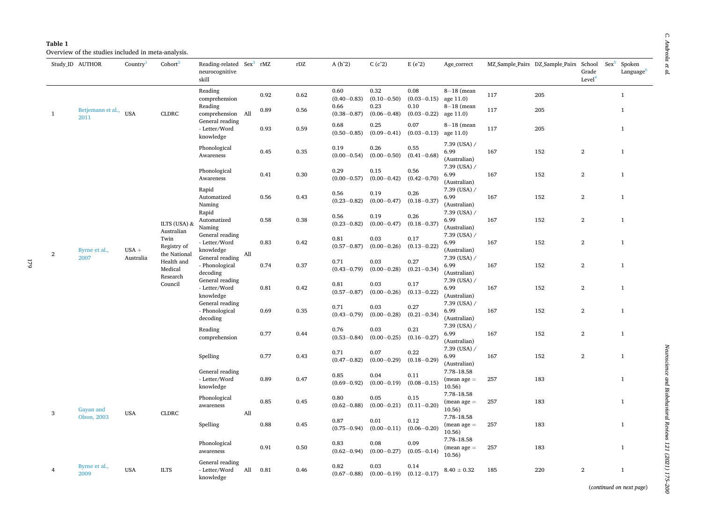| ē |  |
|---|--|
|   |  |
| r |  |

<span id="page-5-0"></span>

|    | Study_ID AUTHOR           | Country <sup><math>\perp</math></sup> | Cohort                              | Reading-related Sex <sup>3</sup> rMZ<br>neurocognitive<br>skill |     |      | rDZ  | $A(h^2)$                                   | $C(c^2)$                                   | $E(e^2)$                                   | Age_correct                            |     | MZ Sample Pairs DZ Sample Pairs School | Grade<br>Level <sup>4</sup> | $Sex^5$ | Spoken<br>Language <sup>6</sup> |
|----|---------------------------|---------------------------------------|-------------------------------------|-----------------------------------------------------------------|-----|------|------|--------------------------------------------|--------------------------------------------|--------------------------------------------|----------------------------------------|-----|----------------------------------------|-----------------------------|---------|---------------------------------|
|    |                           |                                       |                                     | Reading                                                         |     | 0.92 | 0.62 | 0.60                                       | 0.32                                       | 0.08                                       | $8-18$ (mean                           | 117 | 205                                    |                             |         | $\mathbf{1}$                    |
| -1 | Betjemann et al.,<br>2011 | <b>USA</b>                            | <b>CLDRC</b>                        | comprehension<br>Reading<br>comprehension All                   |     | 0.89 | 0.56 | $(0.40 - 0.83)$<br>0.66<br>$(0.38 - 0.87)$ | $(0.10 - 0.50)$<br>0.23<br>$(0.06 - 0.48)$ | $(0.03 - 0.15)$<br>0.10<br>$(0.03 - 0.22)$ | age 11.0)<br>$8-18$ (mean<br>age 11.0) | 117 | 205                                    |                             |         | $\mathbf{1}$                    |
|    |                           |                                       |                                     | General reading<br>- Letter/Word<br>knowledge                   |     | 0.93 | 0.59 | 0.68<br>$(0.50 - 0.85)$                    | 0.25<br>$(0.09 - 0.41)$                    | 0.07<br>$(0.03 - 0.13)$                    | $8-18$ (mean<br>age 11.0)              | 117 | 205                                    |                             |         | $\mathbf{1}$                    |
|    |                           |                                       |                                     | Phonological<br>Awareness                                       |     | 0.45 | 0.35 | 0.19<br>$(0.00 - 0.54)$                    | 0.26<br>$(0.00 - 0.50)$                    | 0.55<br>$(0.41 - 0.68)$                    | $7.39$ (USA) /<br>6.99<br>(Australian) | 167 | 152                                    | $\overline{2}$              |         | $\mathbf{1}$                    |
|    |                           |                                       |                                     | Phonological<br>Awareness                                       |     | 0.41 | 0.30 | 0.29<br>$(0.00 - 0.57)$                    | 0.15<br>$(0.00 - 0.42)$                    | 0.56<br>$(0.42 - 0.70)$                    | 7.39 (USA) /<br>6.99<br>(Australian)   | 167 | 152                                    | $\overline{2}$              |         | $\mathbf{1}$                    |
|    |                           |                                       |                                     | Rapid<br>Automatized<br>Naming                                  |     | 0.56 | 0.43 | 0.56<br>$(0.23 - 0.82)$                    | 0.19<br>$(0.00 - 0.47)$                    | 0.26<br>$(0.18 - 0.37)$                    | 7.39 (USA) /<br>6.99<br>(Australian)   | 167 | 152                                    | $\overline{2}$              |         | $\mathbf{1}$                    |
|    |                           |                                       | ILTS (USA) &<br>Australian          | Rapid<br>Automatized<br>Naming                                  |     | 0.58 | 0.38 | 0.56<br>$(0.23 - 0.82)$                    | 0.19<br>$(0.00 - 0.47)$                    | 0.26<br>$(0.18 - 0.37)$                    | 7.39 (USA) /<br>6.99<br>(Australian)   | 167 | 152                                    | $\overline{2}$              |         | $\mathbf{1}$                    |
| 2  | Byrne et al.,             | $USA +$                               | Twin<br>Registry of<br>the National | General reading<br>- Letter/Word<br>knowledge                   | All | 0.83 | 0.42 | 0.81<br>$(0.57 - 0.87)$                    | 0.03<br>$(0.00 - 0.26)$                    | 0.17<br>$(0.13 - 0.22)$                    | 7.39 (USA) /<br>6.99<br>(Australian)   | 167 | 152                                    | $\overline{2}$              |         | $\mathbf{1}$                    |
|    | 2007                      | Australia                             | Health and<br>Medical<br>Research   | General reading<br>- Phonological<br>decoding                   |     | 0.74 | 0.37 | 0.71<br>$(0.43 - 0.79)$                    | 0.03<br>$(0.00 - 0.28)$                    | 0.27<br>$(0.21 - 0.34)$                    | 7.39 (USA) /<br>6.99<br>(Australian)   | 167 | 152                                    | 2                           |         | $\mathbf{1}$                    |
|    |                           |                                       | Council                             | General reading<br>- Letter/Word<br>knowledge                   |     | 0.81 | 0.42 | 0.81<br>$(0.57 - 0.87)$                    | 0.03<br>$(0.00 - 0.26)$                    | 0.17<br>$(0.13 - 0.22)$                    | 7.39 (USA) /<br>6.99<br>(Australian)   | 167 | 152                                    | $\overline{2}$              |         | $\mathbf{1}$                    |
|    |                           |                                       |                                     | General reading<br>- Phonological<br>decoding                   |     | 0.69 | 0.35 | 0.71<br>$(0.43 - 0.79)$                    | 0.03<br>$(0.00 - 0.28)$                    | 0.27<br>$(0.21 - 0.34)$                    | 7.39 (USA) /<br>6.99<br>(Australian)   | 167 | 152                                    | $\overline{2}$              |         | $\mathbf{1}$                    |
|    |                           |                                       |                                     | Reading<br>comprehension                                        |     | 0.77 | 0.44 | 0.76<br>$(0.53 - 0.84)$                    | 0.03<br>$(0.00 - 0.25)$                    | 0.21<br>$(0.16 - 0.27)$                    | 7.39 (USA) /<br>6.99<br>(Australian)   | 167 | 152                                    | $\overline{2}$              |         | $\mathbf{1}$                    |
|    |                           |                                       |                                     | Spelling                                                        |     | 0.77 | 0.43 | 0.71<br>$(0.47 - 0.82)$                    | 0.07<br>$(0.00 - 0.29)$                    | 0.22<br>$(0.18 - 0.29)$                    | 7.39 (USA) /<br>6.99<br>(Australian)   | 167 | 152                                    | $\overline{2}$              |         | $\mathbf{1}$                    |
|    |                           |                                       |                                     | General reading<br>- Letter/Word<br>knowledge                   |     | 0.89 | 0.47 | 0.85<br>$(0.69 - 0.92)$                    | 0.04<br>$(0.00 - 0.19)$                    | 0.11<br>$(0.08 - 0.15)$                    | 7.78-18.58<br>$(mean age =$<br>10.56)  | 257 | 183                                    |                             |         | $\mathbf{1}$                    |
| 3  | Gayan and                 | <b>USA</b>                            | <b>CLDRC</b>                        | Phonological<br>awareness                                       | All | 0.85 | 0.45 | 0.80<br>$(0.62 - 0.88)$                    | 0.05<br>$(0.00 - 0.21)$                    | 0.15<br>$(0.11 - 0.20)$                    | 7.78-18.58<br>$(mean age =$<br>10.56)  | 257 | 183                                    |                             |         | $\mathbf{1}$                    |
|    | Olson, 2003               |                                       |                                     | Spelling                                                        |     | 0.88 | 0.45 | 0.87<br>$(0.75 - 0.94)$                    | 0.01<br>$(0.00 - 0.11)$                    | 0.12<br>$(0.06 - 0.20)$                    | 7.78-18.58<br>$(mean age =$<br>10.56)  | 257 | 183                                    |                             |         | $\mathbf{1}$                    |
|    |                           |                                       |                                     | Phonological<br>awareness                                       |     | 0.91 | 0.50 | 0.83<br>$(0.62 - 0.94)$                    | 0.08<br>$(0.00 - 0.27)$                    | 0.09<br>$(0.05 - 0.14)$                    | 7.78-18.58<br>$(mean age =$<br>10.56)  | 257 | 183                                    |                             |         | $\mathbf{1}$                    |
|    | Byrne et al.,<br>2009     | <b>USA</b>                            | <b>ILTS</b>                         | General reading<br>- Letter/Word<br>knowledge                   | All | 0.81 | 0.46 | 0.82<br>$(0.67 - 0.88)$                    | 0.03<br>$(0.00-0.19)$ $(0.12-0.17)$        | 0.14                                       | $8.40 \pm 0.32$                        | 185 | 220                                    | $\mathbf{2}$                |         | $\mathbf{1}$                    |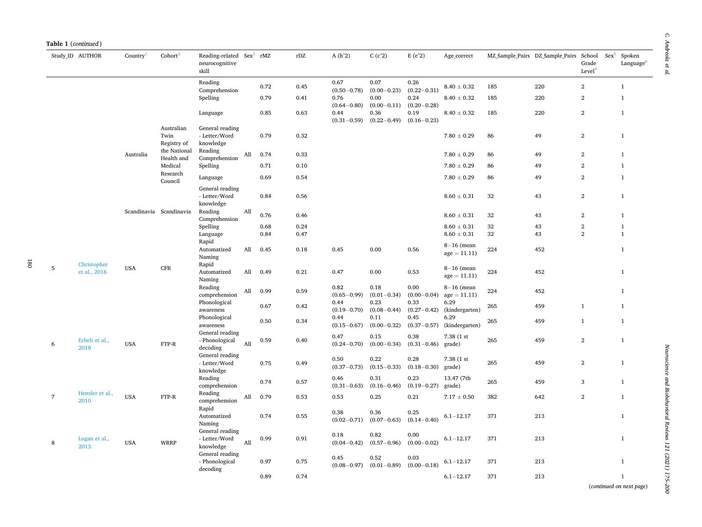|                | Study ID AUTHOR             | Country    | Cohort <sup>2</sup>               | Reading-related Sex <sup>3</sup> rMZ<br>neurocognitive<br>skill |     |      | $\rm rDZ$ | $A(h^2)$                | C(c <sup>2</sup> )      | $E(e^2)$                | Age correct                    |     | MZ Sample Pairs DZ Sample Pairs | School<br>Grade<br>Level <sup>4</sup> | $Sex^5$ | Spoken<br>Language <sup>6</sup> |
|----------------|-----------------------------|------------|-----------------------------------|-----------------------------------------------------------------|-----|------|-----------|-------------------------|-------------------------|-------------------------|--------------------------------|-----|---------------------------------|---------------------------------------|---------|---------------------------------|
|                |                             |            |                                   | Reading<br>Comprehension                                        |     | 0.72 | 0.45      | 0.67<br>$(0.50 - 0.78)$ | 0.07<br>$(0.00 - 0.23)$ | 0.26<br>$(0.22 - 0.31)$ | $8.40 \pm 0.32$                | 185 | 220                             | $\mathbf{2}$                          |         | $\mathbf{1}$                    |
|                |                             |            |                                   | Spelling                                                        |     | 0.79 | 0.41      | 0.76<br>$(0.64 - 0.80)$ | 0.00<br>$(0.00 - 0.11)$ | 0.24<br>$(0.20 - 0.28)$ | $8.40\pm0.32$                  | 185 | 220                             | $\,2$                                 |         | $\mathbf{1}$                    |
|                |                             |            |                                   | Language                                                        |     | 0.85 | 0.63      | 0.44<br>$(0.31 - 0.59)$ | 0.36<br>$(0.22 - 0.49)$ | 0.19<br>$(0.16 - 0.23)$ | $8.40 \pm 0.32$                | 185 | 220                             | $\,2$                                 |         | $\mathbf{1}$                    |
|                |                             |            | Australian<br>Twin<br>Registry of | General reading<br>- Letter/Word<br>knowledge                   |     | 0.79 | 0.32      |                         |                         |                         | $7.80 \pm 0.29$                | 86  | 49                              | $\mathbf{2}$                          |         | $\mathbf{1}$                    |
|                |                             | Australia  | the National<br>Health and        | Reading<br>Comprehension                                        | All | 0.74 | 0.33      |                         |                         |                         | $7.80 \pm 0.29$                | 86  | 49                              | $\,2$                                 |         | $\mathbf{1}$                    |
|                |                             |            | Medical                           | Spelling                                                        |     | 0.71 | 0.10      |                         |                         |                         | $7.80\pm0.29$                  | 86  | 49                              | $\mathbf{2}$                          |         | $\mathbf{1}$                    |
|                |                             |            | Research<br>Council               | Language                                                        |     | 0.69 | 0.54      |                         |                         |                         | $7.80 \pm 0.29$                | 86  | 49                              | $\overline{2}$                        |         | $\mathbf{1}$                    |
|                |                             |            |                                   | General reading<br>- Letter/Word<br>knowledge                   |     | 0.84 | 0.56      |                         |                         |                         | $8.60 \pm 0.31$                | 32  | 43                              | $\mathbf{2}$                          |         | $\mathbf{1}$                    |
|                |                             |            | Scandinavia Scandinavia           | Reading<br>Comprehension                                        | All | 0.76 | 0.46      |                         |                         |                         | $8.60 \pm 0.31$                | 32  | 43                              | $\mathbf{2}$                          |         | $\mathbf{1}$                    |
|                |                             |            |                                   | Spelling                                                        |     | 0.68 | 0.24      |                         |                         |                         | $8.60 \pm 0.31$                | 32  | 43                              | $\mathbf{2}$                          |         | $\mathbf{1}$                    |
|                |                             |            |                                   | Language<br>Rapid                                               |     | 0.84 | 0.47      |                         |                         |                         | $8.60\pm0.31$                  | 32  | 43                              | $\overline{2}$                        |         | $\mathbf{1}$                    |
|                |                             |            |                                   | Automatized<br>Naming                                           | All | 0.45 | 0.18      | 0.45                    | 0.00                    | 0.56                    | $8-16$ (mean<br>$age = 11.11)$ | 224 | 452                             |                                       |         | $\mathbf{1}$                    |
| 5              | Christopher<br>et al., 2016 | <b>USA</b> | <b>CFR</b>                        | Rapid<br>Automatized<br>Naming                                  | All | 0.49 | 0.21      | 0.47                    | 0.00                    | 0.53                    | $8-16$ (mean<br>$age = 11.11)$ | 224 | 452                             |                                       |         | $\mathbf{1}$                    |
|                |                             |            |                                   | Reading<br>comprehension                                        | All | 0.99 | 0.59      | 0.82<br>$(0.65 - 0.99)$ | 0.18<br>$(0.01 - 0.34)$ | 0.00<br>$(0.00 - 0.04)$ | $8-16$ (mean<br>$age = 11.11$  | 224 | 452                             |                                       |         | $\mathbf{1}$                    |
|                |                             |            |                                   | Phonological<br>awareness                                       |     | 0.67 | 0.42      | 0.44<br>$(0.19 - 0.70)$ | 0.23<br>$(0.08 - 0.44)$ | 0.33<br>$(0.27 - 0.42)$ | 6.29<br>(kindergarten)         | 265 | 459                             | $\mathbf{1}$                          |         | $\mathbf{1}$                    |
|                |                             |            |                                   | Phonological<br>awareness                                       |     | 0.50 | 0.34      | 0.44<br>$(0.15 - 0.67)$ | 0.11<br>$(0.00 - 0.32)$ | 0.45<br>$(0.37 - 0.57)$ | 6.29<br>(kindergarten)         | 265 | 459                             | $\mathbf{1}$                          |         | $\mathbf{1}$                    |
| 6              | Erbeli et al.,<br>2018      | <b>USA</b> | FTP-R                             | General reading<br>- Phonological<br>decoding                   | All | 0.59 | 0.40      | 0.47<br>$(0.24 - 0.70)$ | 0.15<br>$(0.00 - 0.34)$ | 0.38<br>$(0.31 - 0.46)$ | 7.38 (1 st<br>grade)           | 265 | 459                             | $\overline{2}$                        |         | $\mathbf{1}$                    |
|                |                             |            |                                   | General reading<br>- Letter/Word<br>knowledge                   |     | 0.75 | 0.49      | 0.50<br>$(0.37 - 0.73)$ | 0.22<br>$(0.15 - 0.33)$ | 0.28<br>$(0.18 - 0.30)$ | 7.38 (1 st<br>grade)           | 265 | 459                             | $\overline{2}$                        |         | $\mathbf{1}$                    |
|                |                             |            |                                   | Reading<br>comprehension                                        |     | 0.74 | 0.57      | 0.46<br>$(0.31 - 0.63)$ | 0.31<br>$(0.16 - 0.46)$ | 0.23<br>$(0.19 - 0.27)$ | 13.47 (7th<br>grade)           | 265 | 459                             | 3                                     |         | $\mathbf{1}$                    |
| $\overline{7}$ | Hensler et al.,<br>2010     | <b>USA</b> | FTP-R                             | Reading<br>comprehension                                        | All | 0.79 | 0.53      | 0.53                    | 0.25                    | 0.21                    | $7.17\pm0.50$                  | 382 | 642                             | $\,2$                                 |         | $\mathbf{1}$                    |
|                |                             |            |                                   | Rapid<br>Automatized<br>Naming                                  |     | 0.74 | 0.55      | 0.38<br>$(0.02 - 0.71)$ | 0.36<br>$(0.07 - 0.63)$ | 0.25<br>$(0.14 - 0.40)$ | $6.1 - 12.17$                  | 371 | 213                             |                                       |         | $\mathbf{1}$                    |
| 8              | Logan et al.,<br>2013       | <b>USA</b> | <b>WRRP</b>                       | General reading<br>- Letter/Word<br>knowledge                   | All | 0.99 | 0.91      | 0.18<br>$(0.04 - 0.42)$ | 0.82<br>$(0.57 - 0.96)$ | 0.00<br>$(0.00 - 0.02)$ | $6.1 - 12.17$                  | 371 | 213                             |                                       |         | $\mathbf{1}$                    |
|                |                             |            |                                   | General reading<br>- Phonological<br>decoding                   |     | 0.97 | 0.75      | 0.45<br>$(0.08 - 0.97)$ | 0.52<br>$(0.01 - 0.89)$ | 0.03<br>$(0.00 - 0.18)$ | $6.1 - 12.17$                  | 371 | 213                             |                                       |         | $\mathbf{1}$                    |
|                |                             |            |                                   |                                                                 |     | 0.89 | 0.74      |                         |                         |                         | $6.1 - 12.17$                  | 371 | 213                             |                                       |         | $\mathbf{1}$                    |

Neuroscience and Biobehavioral Reviews 121 (2021) 175-200 *Neuroscience and Biobehavioral Reviews 121 (2021) 175–200*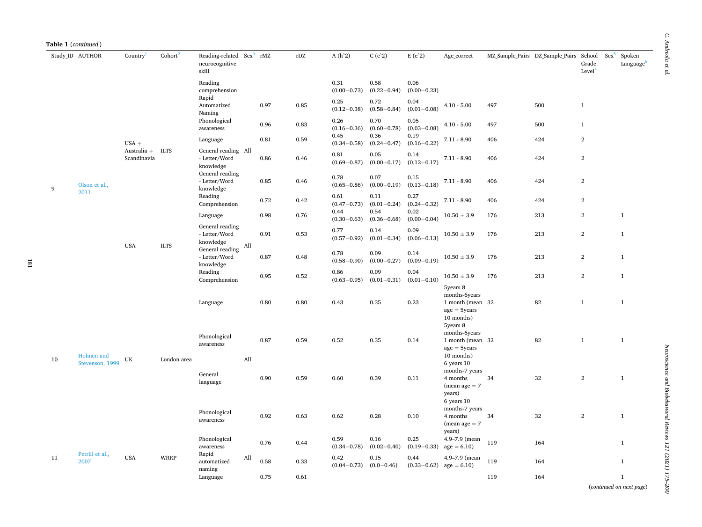| Table 1 (continued) |                         |                            |                     |                                                                 |     |      |      |                         |                         |                         |                                                                                               |     |                                                         |                             |                                 |
|---------------------|-------------------------|----------------------------|---------------------|-----------------------------------------------------------------|-----|------|------|-------------------------|-------------------------|-------------------------|-----------------------------------------------------------------------------------------------|-----|---------------------------------------------------------|-----------------------------|---------------------------------|
|                     | Study ID AUTHOR         | Country <sup>1</sup>       | Cohort <sup>2</sup> | Reading-related Sex <sup>3</sup> rMZ<br>neurocognitive<br>skill |     |      | rDZ  | $A(h^2)$                | C(c <sup>2</sup> )      | $E(e^2)$                | Age_correct                                                                                   |     | MZ Sample Pairs DZ Sample Pairs School Sex <sup>5</sup> | Grade<br>Level <sup>4</sup> | Spoken<br>Language <sup>6</sup> |
|                     |                         |                            |                     | Reading<br>comprehension                                        |     |      |      | 0.31<br>$(0.00 - 0.73)$ | 0.58<br>$(0.22 - 0.94)$ | 0.06<br>$(0.00 - 0.23)$ |                                                                                               |     |                                                         |                             |                                 |
|                     |                         |                            |                     | Rapid<br>Automatized<br>Naming                                  |     | 0.97 | 0.85 | 0.25<br>$(0.12 - 0.38)$ | 0.72<br>$(0.58 - 0.84)$ | 0.04<br>$(0.01 - 0.08)$ | $4.10 - 5.00$                                                                                 | 497 | 500                                                     | $\mathbf{1}$                |                                 |
|                     |                         |                            |                     | Phonological<br>awareness                                       |     | 0.96 | 0.83 | 0.26<br>$(0.16 - 0.36)$ | 0.70<br>$(0.60 - 0.78)$ | 0.05<br>$(0.03 - 0.08)$ | $4.10 - 5.00$                                                                                 | 497 | 500                                                     | $\mathbf{1}$                |                                 |
|                     |                         | $USA +$                    |                     | Language                                                        |     | 0.81 | 0.59 | 0.45<br>$(0.34 - 0.58)$ | 0.36<br>$(0.24 - 0.47)$ | 0.19<br>$(0.16 - 0.22)$ | $7.11 - 8.90$                                                                                 | 406 | 424                                                     | $\boldsymbol{2}$            |                                 |
|                     |                         | Australia +<br>Scandinavia | <b>ILTS</b>         | General reading All<br>- Letter/Word<br>knowledge               |     | 0.86 | 0.46 | 0.81<br>$(0.69 - 0.87)$ | 0.05<br>$(0.00 - 0.17)$ | 0.14<br>$(0.12 - 0.17)$ | $7.11 - 8.90$                                                                                 | 406 | 424                                                     | $\boldsymbol{2}$            |                                 |
| 9                   | Olson et al.,           |                            |                     | General reading<br>- Letter/Word<br>knowledge                   |     | 0.85 | 0.46 | 0.78<br>$(0.65 - 0.86)$ | 0.07<br>$(0.00 - 0.19)$ | 0.15<br>$(0.13 - 0.18)$ | $7.11 - 8.90$                                                                                 | 406 | 424                                                     | $\overline{2}$              |                                 |
|                     | 2011                    |                            |                     | Reading<br>Comprehension                                        |     | 0.72 | 0.42 | 0.61<br>$(0.47 - 0.73)$ | 0.11<br>$(0.01 - 0.24)$ | 0.27<br>$(0.24 - 0.32)$ | $7.11 - 8.90$                                                                                 | 406 | 424                                                     | $\mathbf{2}$                |                                 |
|                     |                         |                            |                     | Language                                                        |     | 0.98 | 0.76 | 0.44<br>$(0.30 - 0.63)$ | 0.54<br>$(0.36 - 0.68)$ | 0.02<br>$(0.00 - 0.04)$ | $10.50 \pm 3.9$                                                                               | 176 | 213                                                     | $\boldsymbol{2}$            | $\mathbf{1}$                    |
|                     |                         | <b>USA</b>                 | <b>ILTS</b>         | General reading<br>- Letter/Word<br>knowledge                   | All | 0.91 | 0.53 | 0.77<br>$(0.57 - 0.92)$ | 0.14<br>$(0.01 - 0.34)$ | 0.09<br>$(0.06 - 0.13)$ | $10.50 \pm 3.9$                                                                               | 176 | 213                                                     | $\,2$                       | $\mathbf{1}$                    |
|                     |                         |                            |                     | General reading<br>- Letter/Word<br>knowledge                   |     | 0.87 | 0.48 | 0.78<br>$(0.58 - 0.90)$ | 0.09<br>$(0.00 - 0.27)$ | 0.14<br>$(0.09 - 0.19)$ | $10.50 \pm 3.9$                                                                               | 176 | 213                                                     | $\,2$                       | $\mathbf{1}$                    |
|                     |                         |                            |                     | Reading<br>Comprehension                                        |     | 0.95 | 0.52 | 0.86<br>$(0.63 - 0.95)$ | 0.09<br>$(0.01 - 0.31)$ | 0.04<br>$(0.01 - 0.10)$ | $10.50 \pm 3.9$                                                                               | 176 | 213                                                     | $\,2$                       | $\mathbf{1}$                    |
|                     |                         |                            |                     | Language                                                        |     | 0.80 | 0.80 | 0.43                    | 0.35                    | 0.23                    | 5years 8<br>months-6years<br>1 month (mean 32<br>$age = 5 \, years$<br>10 months)<br>5years 8 |     | 82                                                      | $\mathbf{1}$                | $\mathbf{1}$                    |
|                     | Hohnen and              |                            |                     | Phonological<br>awareness                                       |     | 0.87 | 0.59 | 0.52                    | 0.35                    | 0.14                    | months-6years<br>1 month (mean 32<br>$age = 5 \, years$<br>10 months)                         |     | 82                                                      | $\mathbf{1}$                | $\mathbf{1}$                    |
| 10                  | Stevenson, 1999         | UK                         | London area         | General<br>language                                             | All | 0.90 | 0.59 | 0.60                    | 0.39                    | 0.11                    | 6 years 10<br>months-7 years<br>4 months<br>$(mean age = 7)$<br>years)                        | 34  | 32                                                      | $\boldsymbol{2}$            | $\mathbf{1}$                    |
|                     |                         |                            |                     | Phonological<br>awareness                                       |     | 0.92 | 0.63 | 0.62                    | 0.28                    | 0.10                    | 6 years 10<br>months-7 years<br>4 months<br>$(mean age = 7)$                                  | 34  | 32                                                      | $\,2$                       | $\mathbf{1}$                    |
|                     |                         |                            |                     | Phonological<br>awareness                                       |     | 0.76 | 0.44 | 0.59<br>$(0.34 - 0.78)$ | 0.16<br>$(0.02 - 0.40)$ | 0.25<br>$(0.19 - 0.33)$ | years)<br>4.9-7.9 (mean<br>$age = 6.10$                                                       | 119 | 164                                                     |                             | $\mathbf{1}$                    |
| 11                  | Petrill et al.,<br>2007 | <b>USA</b>                 | <b>WRRP</b>         | Rapid<br>automatized                                            | All | 0.58 | 0.33 | 0.42<br>$(0.04 - 0.73)$ | 0.15<br>$(0.0 - 0.46)$  | 0.44<br>$(0.33 - 0.62)$ | 4.9-7.9 (mean<br>$age = 6.10$                                                                 | 119 | 164                                                     |                             | $\mathbf{1}$                    |
|                     |                         |                            |                     | naming<br>Language                                              |     | 0.75 | 0.61 |                         |                         |                         |                                                                                               | 119 | 164                                                     |                             | $\mathbf{1}$                    |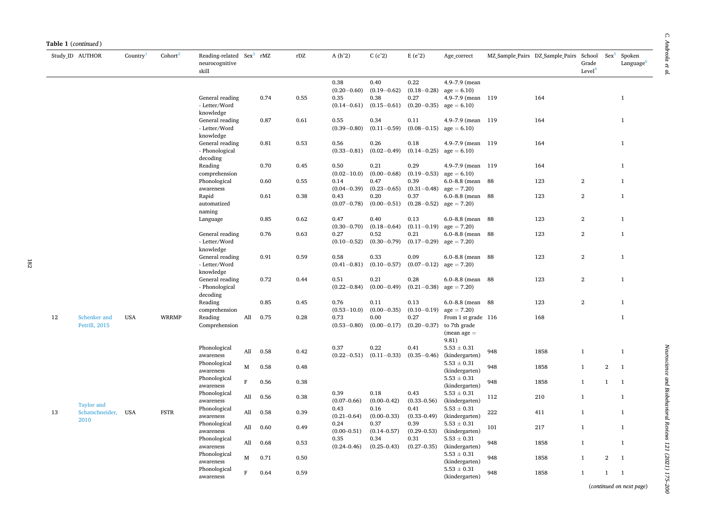|    | Table 1 (continued)         |                      |                     |                                                                 |     |      |      |                 |                    |                           |                        |     |                                        |                             |                                          |                                 |
|----|-----------------------------|----------------------|---------------------|-----------------------------------------------------------------|-----|------|------|-----------------|--------------------|---------------------------|------------------------|-----|----------------------------------------|-----------------------------|------------------------------------------|---------------------------------|
|    | Study_ID AUTHOR             | Country <sup>1</sup> | Cohort <sup>2</sup> | Reading-related Sex <sup>3</sup> rMZ<br>neurocognitive<br>skill |     |      | rDZ  | $A(h^2)$        | C(c <sup>2</sup> ) | $E(e^2)$                  | Age_correct            |     | MZ Sample Pairs DZ Sample Pairs School | Grade<br>Level <sup>4</sup> | $Sex^5$                                  | Spoken<br>Language <sup>6</sup> |
|    |                             |                      |                     |                                                                 |     |      |      | 0.38            | 0.40               | 0.22                      | 4.9-7.9 (mean          |     |                                        |                             |                                          |                                 |
|    |                             |                      |                     |                                                                 |     |      |      | $(0.20 - 0.60)$ | $(0.19 - 0.62)$    | $(0.18 - 0.28)$           | $age = 6.10$           |     |                                        |                             |                                          |                                 |
|    |                             |                      |                     | General reading                                                 |     | 0.74 | 0.55 | 0.35            | 0.38               | 0.27                      | 4.9-7.9 (mean 119)     |     | 164                                    |                             |                                          | $\mathbf{1}$                    |
|    |                             |                      |                     | - Letter/Word<br>knowledge                                      |     |      |      | $(0.14 - 0.61)$ | $(0.15 - 0.61)$    | $(0.20-0.35)$ age = 6.10) |                        |     |                                        |                             |                                          |                                 |
|    |                             |                      |                     | General reading                                                 |     | 0.87 | 0.61 | 0.55            | 0.34               | 0.11                      | $4.9 - 7.9$ (mean      | 119 | 164                                    |                             |                                          | $\mathbf{1}$                    |
|    |                             |                      |                     | - Letter/Word<br>knowledge                                      |     |      |      | $(0.39 - 0.80)$ | $(0.11 - 0.59)$    | $(0.08 - 0.15)$           | $age = 6.10$           |     |                                        |                             |                                          |                                 |
|    |                             |                      |                     | General reading                                                 |     | 0.81 | 0.53 | 0.56            | 0.26               | 0.18                      | $4.9 - 7.9$ (mean      | 119 | 164                                    |                             |                                          | $\mathbf{1}$                    |
|    |                             |                      |                     | - Phonological                                                  |     |      |      | $(0.33 - 0.81)$ | $(0.02 - 0.49)$    | $(0.14 - 0.25)$           | $age = 6.10$           |     |                                        |                             |                                          |                                 |
|    |                             |                      |                     |                                                                 |     |      |      |                 |                    |                           |                        |     |                                        |                             |                                          |                                 |
|    |                             |                      |                     | decoding<br>Reading                                             |     | 0.70 | 0.45 | 0.50            | 0.21               | 0.29                      | 4.9-7.9 (mean 119      |     | 164                                    |                             |                                          | $\mathbf{1}$                    |
|    |                             |                      |                     | comprehension                                                   |     |      |      | $(0.02 - 10.0)$ | $(0.00 - 0.68)$    | $(0.19 - 0.53)$           | $age = 6.10$           |     |                                        |                             |                                          |                                 |
|    |                             |                      |                     | Phonological                                                    |     | 0.60 | 0.55 | 0.14            | 0.47               | 0.39                      | $6.0 - 8.8$ (mean $88$ |     | 123                                    | $\overline{2}$              |                                          | $\mathbf{1}$                    |
|    |                             |                      |                     | awareness                                                       |     |      |      | $(0.04 - 0.39)$ | $(0.23 - 0.65)$    | $(0.31 - 0.48)$           | $age = 7.20$           |     |                                        |                             |                                          |                                 |
|    |                             |                      |                     | Rapid                                                           |     | 0.61 | 0.38 | 0.43            | 0.20               | 0.37                      | $6.0 - 8.8$ (mean      | 88  | 123                                    | $\,2$                       |                                          | $\mathbf{1}$                    |
|    |                             |                      |                     |                                                                 |     |      |      |                 |                    | $(0.28 - 0.52)$           |                        |     |                                        |                             |                                          |                                 |
|    |                             |                      |                     | automatized<br>naming                                           |     |      |      | $(0.07 - 0.78)$ | $(0.00 - 0.51)$    |                           | $age = 7.20$           |     |                                        |                             |                                          |                                 |
|    |                             |                      |                     | Language                                                        |     | 0.85 | 0.62 | 0.47            | 0.40               | 0.13                      | $6.0 - 8.8$ (mean $88$ |     | 123                                    | $\overline{2}$              |                                          | $\mathbf{1}$                    |
|    |                             |                      |                     |                                                                 |     |      |      | $(0.30 - 0.70)$ | $(0.18 - 0.64)$    | $(0.11 - 0.19)$           | $age = 7.20$           |     |                                        |                             |                                          |                                 |
|    |                             |                      |                     | General reading                                                 |     | 0.76 | 0.63 | 0.27            | 0.52               | 0.21                      | 6.0-8.8 (mean 88       |     | 123                                    | $\overline{2}$              |                                          | $\mathbf{1}$                    |
|    |                             |                      |                     | - Letter/Word                                                   |     |      |      | $(0.10 - 0.52)$ | $(0.30 - 0.79)$    | $(0.17 - 0.29)$           | $age = 7.20$           |     |                                        |                             |                                          |                                 |
|    |                             |                      |                     | knowledge                                                       |     |      |      |                 |                    |                           |                        |     |                                        |                             |                                          |                                 |
|    |                             |                      |                     | General reading                                                 |     | 0.91 | 0.59 | 0.58            | 0.33               | 0.09                      | 6.0-8.8 (mean 88       |     | 123                                    | $\,2$                       |                                          | $1\,$                           |
|    |                             |                      |                     | - Letter/Word                                                   |     |      |      | $(0.41 - 0.81)$ | $(0.10 - 0.57)$    | $(0.07 - 0.12)$           | $age = 7.20$           |     |                                        |                             |                                          |                                 |
|    |                             |                      |                     | knowledge                                                       |     |      |      |                 |                    |                           |                        |     |                                        |                             |                                          |                                 |
|    |                             |                      |                     | General reading                                                 |     | 0.72 | 0.44 | 0.51            | 0.21               | 0.28                      | $6.0 - 8.8$ (mean      | 88  | 123                                    | $\boldsymbol{2}$            |                                          | $\mathbf{1}$                    |
|    |                             |                      |                     | - Phonological                                                  |     |      |      | $(0.22 - 0.84)$ | $(0.00 - 0.49)$    | $(0.21 - 0.38)$           | $age = 7.20$           |     |                                        |                             |                                          |                                 |
|    |                             |                      |                     | decoding                                                        |     |      |      |                 |                    |                           |                        |     |                                        |                             |                                          |                                 |
|    |                             |                      |                     | Reading                                                         |     | 0.85 | 0.45 | 0.76            | 0.11               | 0.13                      | $6.0 - 8.8$ (mean $88$ |     | 123                                    | $\mathbf{2}$                |                                          | $\mathbf{1}$                    |
|    |                             |                      |                     | comprehension                                                   |     |      |      | $(0.53 - 10.0)$ | $(0.00 - 0.35)$    | $(0.10 - 0.19)$           | $age = 7.20$           |     |                                        |                             |                                          |                                 |
| 12 | Schenker and                | <b>USA</b>           | <b>WRRMP</b>        | Reading                                                         | All | 0.75 | 0.28 | 0.73            | 0.00               | 0.27                      | From 1 st grade 116    |     | 168                                    |                             |                                          | $\mathbf{1}$                    |
|    | Petrill, 2015               |                      |                     | Comprehension                                                   |     |      |      | $(0.53 - 0.80)$ | $(0.00 - 0.17)$    | $(0.20 - 0.37)$           | to 7th grade           |     |                                        |                             |                                          |                                 |
|    |                             |                      |                     |                                                                 |     |      |      |                 |                    |                           | $(mean age =$          |     |                                        |                             |                                          |                                 |
|    |                             |                      |                     |                                                                 |     |      |      |                 |                    |                           | 9.81)                  |     |                                        |                             |                                          |                                 |
|    |                             |                      |                     | Phonological                                                    | All | 0.58 | 0.42 | 0.37            | 0.22               | 0.41                      | $5.53 \pm 0.31$        | 948 | 1858                                   | $\mathbf{1}$                |                                          | $\mathbf{1}$                    |
|    |                             |                      |                     | awareness                                                       |     |      |      | $(0.22 - 0.51)$ | $(0.11 - 0.33)$    | $(0.35 - 0.46)$           | (kindergarten)         |     |                                        |                             |                                          |                                 |
|    |                             |                      |                     | Phonological<br>М                                               |     | 0.58 | 0.48 |                 |                    |                           | $5.53 \pm 0.31$        | 948 | 1858                                   | $\mathbf{1}$                | $\overline{2}$                           | $\overline{1}$                  |
|    |                             |                      |                     | awareness                                                       |     |      |      |                 |                    |                           | (kindergarten)         |     |                                        |                             |                                          |                                 |
|    |                             |                      |                     | Phonological<br>F                                               |     | 0.56 | 0.38 |                 |                    |                           | $5.53 \pm 0.31$        | 948 | 1858                                   | $\mathbf{1}$                | $\mathbf{1}$                             | $\overline{1}$                  |
|    |                             |                      |                     | awareness                                                       |     |      |      |                 |                    |                           | (kindergarten)         |     |                                        |                             |                                          |                                 |
|    |                             |                      |                     | Phonological                                                    |     | 0.56 | 0.38 | 0.39            | 0.18               | 0.43                      | $5.53\pm0.31$          |     | 210                                    | $\mathbf{1}$                |                                          | $\mathbf{1}$                    |
|    |                             |                      |                     | awareness                                                       | All |      |      | $(0.07 - 0.66)$ | $(0.00 - 0.42)$    | $(0.33 - 0.56)$           | (kindergarten)         | 112 |                                        |                             |                                          |                                 |
|    | Taylor and                  |                      |                     | Phonological                                                    |     |      |      | 0.43            | 0.16               | 0.41                      | $5.53 \pm 0.31$        |     |                                        |                             |                                          |                                 |
| 13 | Schatschneider, USA<br>2010 |                      | <b>FSTR</b>         | awareness                                                       | All | 0.58 | 0.39 | $(0.21 - 0.64)$ | $(0.00 - 0.33)$    | $(0.33 - 0.49)$           | (kindergarten)         | 222 | 411                                    | $\mathbf{1}$                |                                          | $\mathbf{1}$                    |
|    |                             |                      |                     | Phonological                                                    |     |      |      | 0.24            | 0.37               | 0.39                      | $5.53 \pm 0.31$        |     |                                        |                             |                                          |                                 |
|    |                             |                      |                     | awareness                                                       | All | 0.60 | 0.49 | $(0.00 - 0.51)$ | $(0.14 - 0.57)$    | $(0.29 - 0.53)$           | (kindergarten)         | 101 | 217                                    | $\mathbf{1}$                |                                          | $\mathbf{1}$                    |
|    |                             |                      |                     | Phonological                                                    |     |      |      | 0.35            | 0.34               | 0.31                      | $5.53 \pm 0.31$        |     |                                        |                             |                                          |                                 |
|    |                             |                      |                     | awareness                                                       | All | 0.68 | 0.53 | $(0.24 - 0.46)$ | $(0.25 - 0.43)$    | $(0.27 - 0.35)$           | (kindergarten)         | 948 | 1858                                   | $\mathbf{1}$                |                                          | $\mathbf{1}$                    |
|    |                             |                      |                     | Phonological                                                    |     |      |      |                 |                    |                           | $5.53 \pm 0.31$        |     |                                        |                             |                                          |                                 |
|    |                             |                      |                     | М<br>awareness                                                  |     | 0.71 | 0.50 |                 |                    |                           | (kindergarten)         | 948 | 1858                                   | $\mathbf{1}$                | $\mathbf{2}$                             | $\overline{1}$                  |
|    |                             |                      |                     | Phonological<br>F                                               |     | 0.64 | 0.59 |                 |                    |                           | $5.53 \pm 0.31$        | 948 | 1858                                   | $\mathbf{1}$                | $\mathbf{1}$<br>$\overline{\phantom{0}}$ |                                 |
|    |                             |                      |                     | awareness                                                       |     |      |      |                 |                    |                           | (kindergarten)         |     |                                        |                             |                                          |                                 |

 $\mathcal C.$  Andreola et al. *C. Andreola et al.*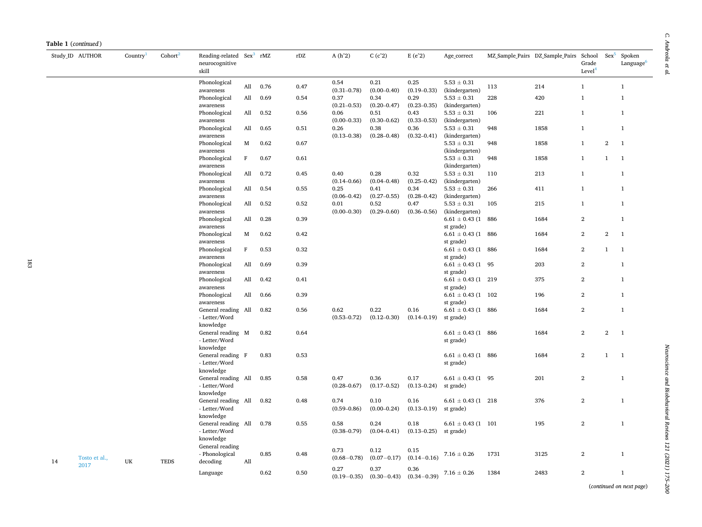|    | Study ID AUTHOR | Country | Cohort <sup>2</sup> | Reading-related<br>neurocognitive<br>skill                     |              | $Sex^3$ rMZ | rDZ  | $A(h^2)$                | C(c <sup>2</sup> )      | $E(e^2)$                | Age_correct                                         |      | MZ Sample Pairs DZ Sample Pairs | School<br>Grade<br>Level <sup>4</sup> | $Sex^5$          | Spoken<br>Language <sup>6</sup> |
|----|-----------------|---------|---------------------|----------------------------------------------------------------|--------------|-------------|------|-------------------------|-------------------------|-------------------------|-----------------------------------------------------|------|---------------------------------|---------------------------------------|------------------|---------------------------------|
|    |                 |         |                     | Phonological<br>awareness                                      | All          | 0.76        | 0.47 | 0.54<br>$(0.31 - 0.78)$ | 0.21<br>$(0.00 - 0.40)$ | 0.25<br>$(0.19 - 0.33)$ | $5.53 \pm 0.31$<br>(kindergarten)                   | 113  | 214                             | $\mathbf{1}$                          |                  | $\mathbf{1}$                    |
|    |                 |         |                     | Phonological<br>awareness                                      | All          | 0.69        | 0.54 | 0.37<br>$(0.21 - 0.53)$ | 0.34<br>$(0.20 - 0.47)$ | 0.29<br>$(0.23 - 0.35)$ | $5.53 \pm 0.31$<br>(kindergarten)                   | 228  | 420                             | $\mathbf{1}$                          |                  | $\mathbf{1}$                    |
|    |                 |         |                     | Phonological<br>awareness                                      | All          | 0.52        | 0.56 | 0.06<br>$(0.00 - 0.33)$ | 0.51<br>$(0.30 - 0.62)$ | 0.43<br>$(0.33 - 0.53)$ | $5.53\pm0.31$<br>(kindergarten)                     | 106  | 221                             | $\mathbf{1}$                          |                  | $\mathbf{1}$                    |
|    |                 |         |                     | Phonological<br>awareness                                      | All          | 0.65        | 0.51 | 0.26<br>$(0.13 - 0.38)$ | 0.38<br>$(0.28 - 0.48)$ | 0.36<br>$(0.32 - 0.41)$ | $5.53 \pm 0.31$<br>(kindergarten)                   | 948  | 1858                            | $\mathbf{1}$                          |                  | $\mathbf{1}$                    |
|    |                 |         |                     | Phonological<br>awareness                                      | М            | 0.62        | 0.67 |                         |                         |                         | $5.53 \pm 0.31$<br>(kindergarten)                   | 948  | 1858                            | $\mathbf{1}$                          | $\boldsymbol{2}$ | $\mathbf{1}$                    |
|    |                 |         |                     | Phonological                                                   | $\mathbf F$  | 0.67        | 0.61 |                         |                         |                         | $5.53 \pm 0.31$                                     | 948  | 1858                            | $\mathbf{1}$                          | $\mathbf{1}$     | $\mathbf{1}$                    |
|    |                 |         |                     | awareness<br>Phonological<br>awareness                         | All          | 0.72        | 0.45 | 0.40<br>$(0.14 - 0.66)$ | 0.28<br>$(0.04 - 0.48)$ | 0.32<br>$(0.25 - 0.42)$ | (kindergarten)<br>$5.53 \pm 0.31$<br>(kindergarten) | 110  | 213                             | $\mathbf{1}$                          |                  | $\mathbf{1}$                    |
|    |                 |         |                     | Phonological                                                   | All          | 0.54        | 0.55 | 0.25<br>$(0.06 - 0.42)$ | 0.41<br>$(0.27 - 0.55)$ | 0.34<br>$(0.28 - 0.42)$ | $5.53 \pm 0.31$<br>(kindergarten)                   | 266  | 411                             | $\mathbf{1}$                          |                  | $\mathbf{1}$                    |
|    |                 |         |                     | awareness<br>Phonological<br>awareness                         | All          | 0.52        | 0.52 | 0.01<br>$(0.00 - 0.30)$ | 0.52<br>$(0.29 - 0.60)$ | 0.47<br>$(0.36 - 0.56)$ | $5.53 \pm 0.31$<br>(kindergarten)                   | 105  | 215                             | $\mathbf{1}$                          |                  | $\mathbf{1}$                    |
|    |                 |         |                     | Phonological<br>awareness                                      | All          | 0.28        | 0.39 |                         |                         |                         | $6.61 \pm 0.43$ (1 886)<br>st grade)                |      | 1684                            | $\overline{2}$                        |                  | $\mathbf 1$                     |
|    |                 |         |                     | Phonological<br>awareness                                      | M            | 0.62        | 0.42 |                         |                         |                         | $6.61 \pm 0.43$ (1 886)<br>st grade)                |      | 1684                            | $\overline{2}$                        | $\mathbf{2}$     | $\mathbf{1}$                    |
|    |                 |         |                     | Phonological<br>awareness                                      | $\mathbf{F}$ | 0.53        | 0.32 |                         |                         |                         | $6.61 \pm 0.43$ (1 886)<br>st grade)                |      | 1684                            | $\overline{2}$                        | $\mathbf{1}$     | <sup>1</sup>                    |
|    |                 |         |                     | Phonological<br>awareness                                      | All          | 0.69        | 0.39 |                         |                         |                         | $6.61 \pm 0.43$ (1 95<br>st grade)                  |      | 203                             | $\overline{2}$                        |                  | $\mathbf{1}$                    |
|    |                 |         |                     | Phonological<br>awareness                                      | All          | 0.42        | 0.41 |                         |                         |                         | $6.61 \pm 0.43$ (1 219)<br>st grade)                |      | 375                             | $\overline{2}$                        |                  | $\mathbf{1}$                    |
|    |                 |         |                     | Phonological<br>awareness                                      | All          | 0.66        | 0.39 |                         |                         |                         | $6.61 \pm 0.43$ (1 102<br>st grade)                 |      | 196                             | $\,2$                                 |                  | $\mathbf{1}$                    |
|    |                 |         |                     | General reading All<br>- Letter/Word<br>knowledge              |              | 0.82        | 0.56 | 0.62<br>$(0.53 - 0.72)$ | 0.22<br>$(0.12 - 0.30)$ | 0.16<br>$(0.14 - 0.19)$ | $6.61 \pm 0.43$ (1 886)<br>st grade)                |      | 1684                            | $\overline{2}$                        |                  | $\mathbf{1}$                    |
|    |                 |         |                     | General reading M<br>- Letter/Word<br>knowledge                |              | 0.82        | 0.64 |                         |                         |                         | $6.61 \pm 0.43$ (1 886)<br>st grade)                |      | 1684                            | $\mathbf{2}$                          | $\mathbf{2}$     | <sup>1</sup>                    |
|    |                 |         |                     | General reading F<br>- Letter/Word                             |              | 0.83        | 0.53 |                         |                         |                         | $6.61 \pm 0.43$ (1 886)<br>st grade)                |      | 1684                            | $\overline{2}$                        | $\mathbf{1}$     | <sup>1</sup>                    |
|    |                 |         |                     | knowledge<br>General reading All<br>- Letter/Word<br>knowledge |              | 0.85        | 0.58 | 0.47<br>$(0.28 - 0.67)$ | 0.36<br>$(0.17 - 0.52)$ | 0.17<br>$(0.13 - 0.24)$ | $6.61 \pm 0.43$ (1 95<br>st grade)                  |      | 201                             | $\overline{2}$                        |                  | $\mathbf{1}$                    |
|    |                 |         |                     | General reading All<br>- Letter/Word<br>knowledge              |              | 0.82        | 0.48 | 0.74<br>$(0.59 - 0.86)$ | 0.10<br>$(0.00 - 0.24)$ | 0.16<br>$(0.13 - 0.19)$ | $6.61 \pm 0.43$ (1 218)<br>st grade)                |      | 376                             | $\mathbf{2}$                          |                  | $\mathbf{1}$                    |
|    |                 |         |                     | General reading All<br>- Letter/Word<br>knowledge              |              | 0.78        | 0.55 | 0.58<br>$(0.38 - 0.79)$ | 0.24<br>$(0.04 - 0.41)$ | 0.18<br>$(0.13 - 0.25)$ | $6.61 \pm 0.43$ (1 101<br>st grade)                 |      | 195                             | $\mathbf{2}$                          |                  | $\mathbf{1}$                    |
| 14 | Tosto et al.,   | UK      | <b>TEDS</b>         | General reading<br>- Phonological<br>decoding                  | All          | 0.85        | 0.48 | 0.73<br>$(0.68 - 0.78)$ | 0.12<br>$(0.07 - 0.17)$ | 0.15<br>$(0.14 - 0.16)$ | $7.16 \pm 0.26$                                     | 1731 | 3125                            | $\,2$                                 |                  | $\mathbf{1}$                    |
|    | 2017            |         |                     | Language                                                       |              | 0.62        | 0.50 | 0.27<br>$(0.19 - 0.35)$ | 0.37<br>$(0.30 - 0.43)$ | 0.36<br>$(0.34 - 0.39)$ | $7.16\pm0.26$                                       | 1384 | 2483                            | $\mathbf{2}$                          |                  | $\mathbf{1}$                    |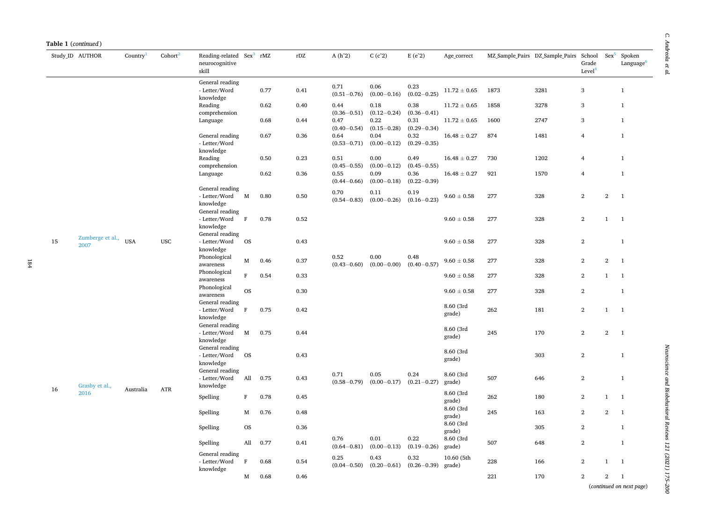|    | Study_ID AUTHOR          | Country    | Cohort <sup>2</sup> | Reading-related Sex <sup>3</sup> rMZ<br>neurocognitive<br>skill  |              |      | $\rm rDZ$ | $A(h^2)$                | C(c <sup>2</sup> )      | $E(e^2)$                            | Age_correct          |      | MZ Sample Pairs DZ Sample Pairs | School<br>Grade<br>Level <sup>4</sup> | $Sex^5$        | Spoken<br>Language <sup>6</sup> |
|----|--------------------------|------------|---------------------|------------------------------------------------------------------|--------------|------|-----------|-------------------------|-------------------------|-------------------------------------|----------------------|------|---------------------------------|---------------------------------------|----------------|---------------------------------|
|    |                          |            |                     | General reading<br>- Letter/Word<br>knowledge                    |              | 0.77 | 0.41      | 0.71<br>$(0.51 - 0.76)$ | 0.06<br>$(0.00 - 0.16)$ | 0.23<br>$(0.02 - 0.25)$             | $11.72 \pm 0.65$     | 1873 | 3281                            | 3                                     |                | $\mathbf{1}$                    |
|    |                          |            |                     | Reading<br>comprehension                                         |              | 0.62 | 0.40      | 0.44<br>$(0.36 - 0.51)$ | 0.18<br>$(0.12 - 0.24)$ | 0.38<br>$(0.36 - 0.41)$             | $11.72 \pm 0.65$     | 1858 | 3278                            | 3                                     |                | $\mathbf{1}$                    |
|    |                          |            |                     | Language                                                         |              | 0.68 | 0.44      | 0.47<br>$(0.40 - 0.54)$ | 0.22<br>$(0.15 - 0.28)$ | 0.31<br>$(0.29 - 0.34)$             | $11.72 \pm 0.65$     | 1600 | 2747                            | 3                                     |                | $\mathbf{1}$                    |
|    |                          |            |                     | General reading<br>- Letter/Word<br>knowledge                    |              | 0.67 | 0.36      | 0.64<br>$(0.53 - 0.71)$ | 0.04<br>$(0.00 - 0.12)$ | 0.32<br>$(0.29 - 0.35)$             | $16.48 \pm 0.27$     | 874  | 1481                            | $\overline{4}$                        |                | $\mathbf{1}$                    |
|    |                          |            |                     | Reading<br>comprehension                                         |              | 0.50 | 0.23      | 0.51<br>$(0.45 - 0.55)$ | 0.00<br>$(0.00 - 0.12)$ | 0.49<br>$(0.45 - 0.55)$             | $16.48 \pm 0.27$     | 730  | 1202                            | $\overline{4}$                        |                | $\mathbf{1}$                    |
|    |                          |            |                     | Language                                                         |              | 0.62 | 0.36      | 0.55<br>$(0.44 - 0.66)$ | 0.09<br>$(0.00 - 0.18)$ | 0.36<br>$(0.22 - 0.39)$             | $16.48 \pm 0.27$     | 921  | 1570                            | $\overline{4}$                        |                | $\mathbf{1}$                    |
|    |                          |            |                     | General reading<br>- Letter/Word<br>knowledge<br>General reading | $\mathbf{M}$ | 0.80 | 0.50      | 0.70<br>$(0.54 - 0.83)$ | 0.11<br>$(0.00 - 0.26)$ | 0.19<br>$(0.16 - 0.23)$             | $9.60 \pm 0.58$      | 277  | 328                             | $\boldsymbol{2}$                      | $\mathbf{2}$   | $\mathbf{1}$                    |
|    |                          |            |                     | - Letter/Word<br>$\mathbf{F}$<br>knowledge<br>General reading    |              | 0.78 | 0.52      |                         |                         |                                     | $9.60 \pm 0.58$      | 277  | 328                             | $\overline{2}$                        | $\mathbf{1}$   | $\mathbf{1}$                    |
| 15 | Zumberge et al.,<br>2007 | <b>USA</b> | <b>USC</b>          | - Letter/Word<br>knowledge                                       | <b>OS</b>    |      | 0.43      |                         |                         |                                     | $9.60\pm0.58$        | 277  | 328                             | $\overline{2}$                        |                | $\mathbf{1}$                    |
|    |                          |            |                     | Phonological<br>awareness                                        | M            | 0.46 | 0.37      | 0.52<br>$(0.43 - 0.60)$ | 0.00<br>$(0.00 - 0.00)$ | 0.48<br>$(0.40 - 0.57)$             | $9.60\pm0.58$        | 277  | 328                             | $\boldsymbol{2}$                      | $\mathbf{2}$   | $\mathbf{1}$                    |
|    |                          |            |                     | Phonological<br>awareness                                        | $\mathbf F$  | 0.54 | 0.33      |                         |                         |                                     | $9.60 \pm 0.58$      | 277  | 328                             | $\sqrt{2}$                            | $\mathbf{1}$   | $\mathbf{1}$                    |
|    |                          |            |                     | Phonological<br>awareness                                        | <b>OS</b>    |      | 0.30      |                         |                         |                                     | $9.60 \pm 0.58$      | 277  | 328                             | $\overline{2}$                        |                | $\mathbf{1}$                    |
|    |                          |            |                     | General reading<br>- Letter/Word<br>knowledge                    | $\mathbf{F}$ | 0.75 | 0.42      |                         |                         |                                     | 8.60 (3rd<br>grade)  | 262  | 181                             | $\overline{2}$                        | $\mathbf{1}$   | $\mathbf{1}$                    |
|    |                          |            |                     | General reading<br>- Letter/Word<br>knowledge                    | $\mathbf M$  | 0.75 | 0.44      |                         |                         |                                     | 8.60 (3rd<br>grade)  | 245  | 170                             | $\overline{2}$                        | $\overline{2}$ | $\overline{1}$                  |
|    |                          |            |                     | General reading<br>- Letter/Word<br>knowledge                    | <b>OS</b>    |      | 0.43      |                         |                         |                                     | 8.60 (3rd<br>grade)  |      | 303                             | $\overline{2}$                        |                | $\mathbf{1}$                    |
| 16 | Grasby et al.,           | Australia  | ATR                 | General reading<br>- Letter/Word<br>knowledge                    | All          | 0.75 | 0.43      | 0.71<br>$(0.58 - 0.79)$ | 0.05<br>$(0.00 - 0.17)$ | 0.24<br>$(0.21 - 0.27)$             | 8.60 (3rd<br>grade)  | 507  | 646                             | $\overline{2}$                        |                | $\mathbf{1}$                    |
|    | 2016                     |            |                     | Spelling                                                         | $\mathbf F$  | 0.78 | 0.45      |                         |                         |                                     | 8.60 (3rd<br>grade)  | 262  | 180                             | $\sqrt{2}$                            | $\mathbf{1}$   | $\mathbf{1}$                    |
|    |                          |            |                     | Spelling                                                         | M            | 0.76 | 0.48      |                         |                         |                                     | 8.60 (3rd<br>grade)  | 245  | 163                             | $\overline{2}$                        | $\overline{2}$ | $\overline{1}$                  |
|    |                          |            |                     | Spelling                                                         | <b>OS</b>    |      | 0.36      |                         |                         |                                     | 8.60 (3rd<br>grade)  |      | 305                             | $\overline{2}$                        |                | $\mathbf{1}$                    |
|    |                          |            |                     | Spelling                                                         | All          | 0.77 | 0.41      | 0.76<br>$(0.64 - 0.81)$ | 0.01<br>$(0.00 - 0.13)$ | 0.22<br>$(0.19 - 0.26)$             | 8.60 (3rd<br>grade)  | 507  | 648                             | $\overline{2}$                        |                | $\mathbf{1}$                    |
|    |                          |            |                     | General reading<br>- Letter/Word<br>knowledge                    | $\,$ F       | 0.68 | 0.54      | 0.25<br>$(0.04 - 0.50)$ | 0.43                    | 0.32<br>$(0.20-0.61)$ $(0.26-0.39)$ | 10.60 (5th<br>grade) | 228  | 166                             | $\sqrt{2}$                            | $\mathbf{1}$   | $\overline{1}$                  |
|    |                          |            |                     |                                                                  | M            | 0.68 | 0.46      |                         |                         |                                     |                      | 221  | 170                             | $\overline{2}$                        | $\overline{2}$ | <sup>1</sup>                    |

*Neuroscience and Biobehavioral Reviews 121 (2021) 175–200*

Neuroscience and Biobehavioral Reviews 121 (2021) 175-200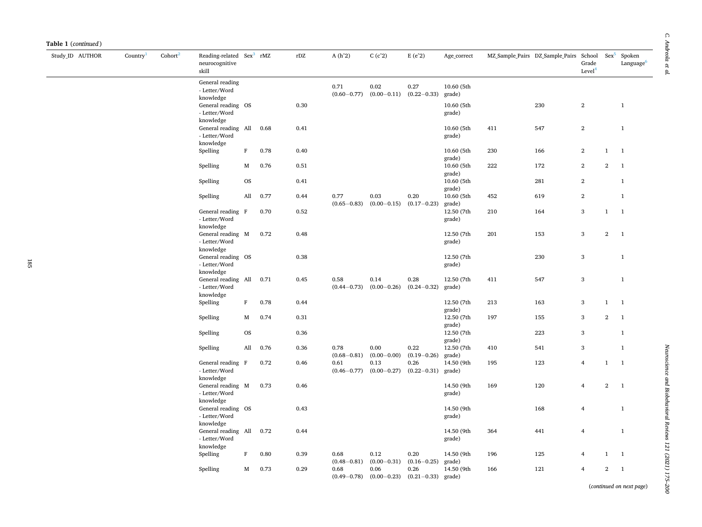| Study ID AUTHOR | Country | Cohort <sup>2</sup> | Reading-related Sex <sup>3</sup> rMZ<br>neurocognitive<br>skill |                  |      | rDZ          | $A(h^2)$                | $C(c^2)$                | $E(e^2)$                            | Age_correct                        |     | MZ Sample Pairs DZ Sample Pairs | School<br>Grade<br>Level <sup>4</sup> | $Sex^5$        | Spoken<br>Language <sup>6</sup> |
|-----------------|---------|---------------------|-----------------------------------------------------------------|------------------|------|--------------|-------------------------|-------------------------|-------------------------------------|------------------------------------|-----|---------------------------------|---------------------------------------|----------------|---------------------------------|
|                 |         |                     | General reading<br>- Letter/Word<br>knowledge                   |                  |      |              | 0.71<br>$(0.60 - 0.77)$ | 0.02                    | 0.27<br>$(0.00-0.11)$ $(0.22-0.33)$ | 10.60 (5th<br>grade)               |     |                                 |                                       |                |                                 |
|                 |         |                     | General reading OS<br>- Letter/Word<br>knowledge                |                  |      | 0.30         |                         |                         |                                     | 10.60 (5th<br>grade)               |     | 230                             | $\overline{2}$                        |                | $\mathbf{1}$                    |
|                 |         |                     | General reading All<br>- Letter/Word<br>knowledge               |                  | 0.68 | 0.41         |                         |                         |                                     | 10.60 (5th<br>grade)               | 411 | 547                             | $\overline{2}$                        |                | $\mathbf{1}$                    |
|                 |         |                     | Spelling                                                        | $\, {\rm F}$     | 0.78 | 0.40         |                         |                         |                                     | 10.60 (5th<br>grade)               | 230 | 166                             | $\overline{2}$                        | $\mathbf{1}$   | $\overline{1}$                  |
|                 |         |                     | Spelling                                                        | М                | 0.76 | 0.51         |                         |                         |                                     | 10.60 (5th<br>grade)               | 222 | 172                             | $\overline{2}$                        | $\overline{2}$ | $\overline{1}$                  |
|                 |         |                     | Spelling                                                        | <b>OS</b>        |      | 0.41         |                         |                         |                                     | 10.60 (5th<br>grade)               |     | 281                             | $\overline{2}$                        |                | $\mathbf{1}$                    |
|                 |         |                     | Spelling                                                        | All              | 0.77 | 0.44         | 0.77<br>$(0.65 - 0.83)$ | 0.03                    | 0.20<br>$(0.00-0.15)$ $(0.17-0.23)$ | 10.60 (5th<br>grade)               | 452 | 619                             | $\overline{2}$                        |                | $\mathbf{1}$                    |
|                 |         |                     | General reading F<br>- Letter/Word<br>knowledge                 |                  | 0.70 | 0.52         |                         |                         |                                     | 12.50 (7th<br>grade)               | 210 | 164                             | 3                                     | $\mathbf{1}$   | $\overline{1}$                  |
|                 |         |                     | General reading M<br>- Letter/Word<br>knowledge                 |                  | 0.72 | 0.48         |                         |                         |                                     | 12.50 (7th<br>grade)               | 201 | 153                             | 3                                     | $\overline{2}$ | $\overline{1}$                  |
|                 |         |                     | General reading OS<br>- Letter/Word<br>knowledge                |                  |      | $\rm 0.38$   |                         |                         |                                     | 12.50 (7th<br>grade)               |     | 230                             | 3                                     |                | $\mathbf{1}$                    |
|                 |         |                     | General reading All<br>- Letter/Word<br>knowledge               |                  | 0.71 | 0.45         | 0.58<br>$(0.44 - 0.73)$ | 0.14<br>$(0.00 - 0.26)$ | 0.28<br>$(0.24 - 0.32)$             | 12.50 (7th<br>grade)               | 411 | 547                             | 3                                     |                | $\mathbf{1}$                    |
|                 |         |                     | Spelling                                                        | $\rm F$          | 0.78 | 0.44         |                         |                         |                                     | 12.50 (7th<br>grade)               | 213 | 163                             | 3                                     | $\mathbf{1}$   | <sup>1</sup>                    |
|                 |         |                     | Spelling                                                        | M                | 0.74 | 0.31         |                         |                         |                                     | 12.50 (7th<br>grade)               | 197 | 155                             | 3                                     | $\overline{2}$ | $\overline{1}$                  |
|                 |         |                     | Spelling                                                        | <b>OS</b><br>All | 0.76 | 0.36<br>0.36 | 0.78                    | 0.00                    | 0.22                                | 12.50 (7th<br>grade)<br>12.50 (7th | 410 | 223<br>541                      | 3<br>3                                |                | $\mathbf{1}$<br>$\mathbf{1}$    |
|                 |         |                     | Spelling<br>General reading F                                   |                  | 0.72 | 0.46         | $(0.68 - 0.81)$<br>0.61 | 0.13                    | $(0.00-0.00)$ $(0.19-0.26)$<br>0.26 | grade)<br>14.50 (9th               | 195 | 123                             | $\overline{4}$                        | $\mathbf{1}$   | $\overline{1}$                  |
|                 |         |                     | - Letter/Word<br>knowledge                                      |                  |      |              | $(0.46 - 0.77)$         | $(0.00 - 0.27)$         | $(0.22 - 0.31)$                     | grade)                             |     |                                 |                                       |                |                                 |
|                 |         |                     | General reading M<br>- Letter/Word<br>knowledge                 |                  | 0.73 | 0.46         |                         |                         |                                     | 14.50 (9th<br>grade)               | 169 | 120                             | $\overline{4}$                        | $\overline{2}$ | $\mathbf{1}$                    |
|                 |         |                     | General reading OS<br>- Letter/Word<br>knowledge                |                  |      | 0.43         |                         |                         |                                     | 14.50 (9th<br>grade)               |     | 168                             | $\overline{4}$                        |                | $\mathbf{1}$                    |
|                 |         |                     | General reading All 0.72<br>- Letter/Word<br>knowledge          |                  |      | 0.44         |                         |                         |                                     | 14.50 (9th<br>grade)               | 364 | 441                             | $\overline{4}$                        |                | $\mathbf{1}$                    |
|                 |         |                     | Spelling                                                        | $\mathbf{F}$     | 0.80 | 0.39         | 0.68<br>$(0.48 - 0.81)$ | 0.12                    | 0.20<br>$(0.00-0.31)$ $(0.16-0.25)$ | 14.50 (9th<br>grade)               | 196 | 125                             | $\overline{4}$                        | $\mathbf{1}$   | $\mathbf{1}$                    |
|                 |         |                     | Spelling                                                        | M                | 0.73 | 0.29         | 0.68<br>$(0.49 - 0.78)$ | 0.06<br>$(0.00 - 0.23)$ | 0.26<br>$(0.21 - 0.33)$             | 14.50 (9th<br>grade)               | 166 | 121                             | $\overline{4}$                        | $\overline{2}$ | $\overline{1}$                  |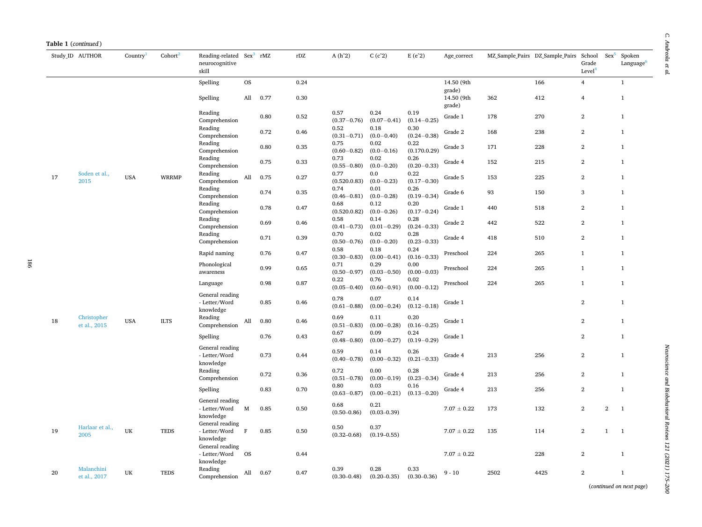|  | <b>Table 1</b> ( <i>continued</i> ) |
|--|-------------------------------------|
|--|-------------------------------------|

|    | Study_ID AUTHOR             | Country <sup>1</sup> | Cohort <sup>2</sup> | Reading-related Sex <sup>3</sup> rMZ<br>neurocognitive<br>skill |           |      | $\rm rDZ$ | $A(h^2)$                | C(c <sup>2</sup> )      | $E(e^2)$                | Age_correct                    |      | MZ Sample Pairs DZ Sample Pairs | School<br>Grade<br>Level <sup>4</sup> | $Sex^5$        | Spoken<br>Language <sup>6</sup> |
|----|-----------------------------|----------------------|---------------------|-----------------------------------------------------------------|-----------|------|-----------|-------------------------|-------------------------|-------------------------|--------------------------------|------|---------------------------------|---------------------------------------|----------------|---------------------------------|
|    |                             |                      |                     | Spelling                                                        | <b>OS</b> |      | 0.24      |                         |                         |                         | 14.50 (9th                     |      | 166                             | $\overline{4}$                        |                | $\mathbf{1}$                    |
|    |                             |                      |                     | Spelling                                                        | All       | 0.77 | 0.30      |                         |                         |                         | grade)<br>14.50 (9th<br>grade) | 362  | 412                             | $\overline{4}$                        |                | $\mathbf{1}$                    |
|    |                             |                      |                     | Reading<br>Comprehension                                        |           | 0.80 | 0.52      | 0.57<br>$(0.37 - 0.76)$ | 0.24<br>$(0.07 - 0.41)$ | 0.19<br>$(0.14 - 0.25)$ | Grade 1                        | 178  | 270                             | $\overline{2}$                        |                | $\mathbf{1}$                    |
|    |                             |                      |                     | Reading<br>Comprehension                                        |           | 0.72 | 0.46      | 0.52<br>$(0.31 - 0.71)$ | 0.18<br>$(0.0 - 0.40)$  | 0.30<br>$(0.24 - 0.38)$ | Grade 2                        | 168  | 238                             | $\overline{2}$                        |                | $\mathbf{1}$                    |
|    |                             |                      |                     | Reading<br>Comprehension                                        |           | 0.80 | 0.35      | 0.75<br>$(0.60 - 0.82)$ | 0.02<br>$(0.0 - 0.16)$  | 0.22<br>(0.170.0.29)    | Grade 3                        | 171  | 228                             | $\overline{2}$                        |                | $\mathbf{1}$                    |
|    |                             |                      |                     | Reading<br>Comprehension                                        |           | 0.75 | 0.33      | 0.73<br>$(0.55 - 0.80)$ | 0.02<br>$(0.0 - 0.20)$  | 0.26<br>$(0.20 - 0.33)$ | Grade 4                        | 152  | 215                             | $\overline{2}$                        |                | $\mathbf{1}$                    |
| 17 | Soden et al.,<br>2015       | <b>USA</b>           | <b>WRRMP</b>        | Reading<br>Comprehension                                        | All       | 0.75 | 0.27      | 0.77<br>(0.520.0.83)    | 0.0<br>$(0.0 - 0.23)$   | 0.22<br>$(0.17 - 0.30)$ | Grade 5                        | 153  | 225                             | $\overline{2}$                        |                | $\mathbf{1}$                    |
|    |                             |                      |                     | Reading<br>Comprehension                                        |           | 0.74 | 0.35      | 0.74<br>$(0.46 - 0.81)$ | 0.01<br>$(0.0 - 0.28)$  | 0.26<br>$(0.19 - 0.34)$ | Grade 6                        | 93   | 150                             | 3                                     |                | $\mathbf{1}$                    |
|    |                             |                      |                     | Reading<br>Comprehension                                        |           | 0.78 | 0.47      | 0.68<br>(0.520.0.82)    | 0.12<br>$(0.0 - 0.26)$  | 0.20<br>$(0.17 - 0.24)$ | Grade 1                        | 440  | 518                             | $\sqrt{2}$                            |                | $\mathbf{1}$                    |
|    |                             |                      |                     | Reading<br>Comprehension                                        |           | 0.69 | 0.46      | 0.58<br>$(0.41 - 0.73)$ | 0.14<br>$(0.01 - 0.29)$ | 0.28<br>$(0.24 - 0.33)$ | Grade 2                        | 442  | 522                             | $\overline{2}$                        |                | $\mathbf{1}$                    |
|    |                             |                      |                     | Reading<br>Comprehension                                        |           | 0.71 | 0.39      | 0.70<br>$(0.50 - 0.76)$ | 0.02<br>$(0.0 - 0.20)$  | 0.28<br>$(0.23 - 0.33)$ | Grade 4                        | 418  | 510                             | $\overline{2}$                        |                | $\mathbf{1}$                    |
|    |                             |                      |                     | Rapid naming                                                    |           | 0.76 | 0.47      | 0.58<br>$(0.30 - 0.83)$ | 0.18<br>$(0.00 - 0.41)$ | 0.24<br>$(0.16 - 0.33)$ | Preschool                      | 224  | 265                             | $\mathbf{1}$                          |                | $\mathbf{1}$                    |
|    |                             |                      |                     | Phonological<br>awareness                                       |           | 0.99 | 0.65      | 0.71<br>$(0.50 - 0.97)$ | 0.29<br>$(0.03 - 0.50)$ | 0.00<br>$(0.00 - 0.03)$ | Preschool                      | 224  | 265                             | $\mathbf{1}$                          |                | $\mathbf{1}$                    |
|    |                             |                      |                     | Language                                                        |           | 0.98 | 0.87      | 0.22<br>$(0.05 - 0.40)$ | 0.76<br>$(0.60 - 0.91)$ | 0.02<br>$(0.00 - 0.12)$ | Preschool                      | 224  | 265                             | $\mathbf{1}$                          |                | $\mathbf{1}$                    |
|    |                             |                      |                     | General reading<br>- Letter/Word<br>knowledge                   |           | 0.85 | 0.46      | 0.78<br>$(0.61 - 0.88)$ | 0.07<br>$(0.00 - 0.24)$ | 0.14<br>$(0.12 - 0.18)$ | Grade 1                        |      |                                 | $\boldsymbol{2}$                      |                | $\mathbf{1}$                    |
| 18 | Christopher<br>et al., 2015 | <b>USA</b>           | <b>ILTS</b>         | Reading<br>Comprehension                                        | All       | 0.80 | 0.46      | 0.69<br>$(0.51 - 0.83)$ | 0.11<br>$(0.00 - 0.28)$ | 0.20<br>$(0.16 - 0.25)$ | Grade 1                        |      |                                 | $\overline{2}$                        |                | $\mathbf{1}$                    |
|    |                             |                      |                     | Spelling                                                        |           | 0.76 | 0.43      | 0.67<br>$(0.48 - 0.80)$ | 0.09<br>$(0.00 - 0.27)$ | 0.24<br>$(0.19 - 0.29)$ | Grade 1                        |      |                                 | $\overline{2}$                        |                | $\mathbf{1}$                    |
|    |                             |                      |                     | General reading<br>- Letter/Word<br>knowledge                   |           | 0.73 | 0.44      | 0.59<br>$(0.40 - 0.78)$ | 0.14<br>$(0.00 - 0.32)$ | 0.26<br>$(0.21 - 0.33)$ | Grade 4                        | 213  | 256                             | $\overline{2}$                        |                | $\mathbf{1}$                    |
|    |                             |                      |                     | Reading<br>Comprehension                                        |           | 0.72 | 0.36      | 0.72<br>$(0.51 - 0.78)$ | 0.00<br>$(0.00 - 0.19)$ | 0.28<br>$(0.23 - 0.34)$ | Grade 4                        | 213  | 256                             | $\overline{2}$                        |                | $\mathbf{1}$                    |
|    |                             |                      |                     | Spelling                                                        |           | 0.83 | 0.70      | 0.80<br>$(0.63 - 0.87)$ | 0.03<br>$(0.00 - 0.21)$ | 0.16<br>$(0.13 - 0.20)$ | Grade 4                        | 213  | 256                             | $\overline{2}$                        |                | $\mathbf{1}$                    |
|    |                             |                      |                     | General reading<br>- Letter/Word M<br>knowledge                 |           | 0.85 | 0.50      | 0.68<br>$(0.50 - 0.86)$ | 0.21<br>$(0.03 - 0.39)$ |                         | $7.07 \pm 0.22$                | 173  | 132                             | $\overline{2}$                        | $\overline{2}$ | $\mathbf{1}$                    |
| 19 | Harlaar et al.,<br>2005     | UK                   | <b>TEDS</b>         | General reading<br>- Letter/Word<br>knowledge                   | $\,$ F    | 0.85 | 0.50      | 0.50<br>$(0.32 - 0.68)$ | 0.37<br>$(0.19 - 0.55)$ |                         | $7.07 \pm 0.22$                | 135  | 114                             | $\boldsymbol{2}$                      | $\mathbf{1}$   | $\mathbf{1}$                    |
|    |                             |                      |                     | General reading<br>- Letter/Word<br>knowledge                   | <b>OS</b> |      | 0.44      |                         |                         |                         | $7.07 \pm 0.22$                |      | 228                             | $\boldsymbol{2}$                      |                | $\mathbf{1}$                    |
| 20 | Malanchini<br>et al., 2017  | UK                   | <b>TEDS</b>         | Reading<br>Comprehension                                        | All       | 0.67 | 0.47      | 0.39<br>$(0.30 - 0.48)$ | 0.28<br>$(0.20 - 0.35)$ | 0.33<br>$(0.30 - 0.36)$ | $9 - 10$                       | 2502 | 4425                            | $\overline{2}$                        |                | $\mathbf{1}$                    |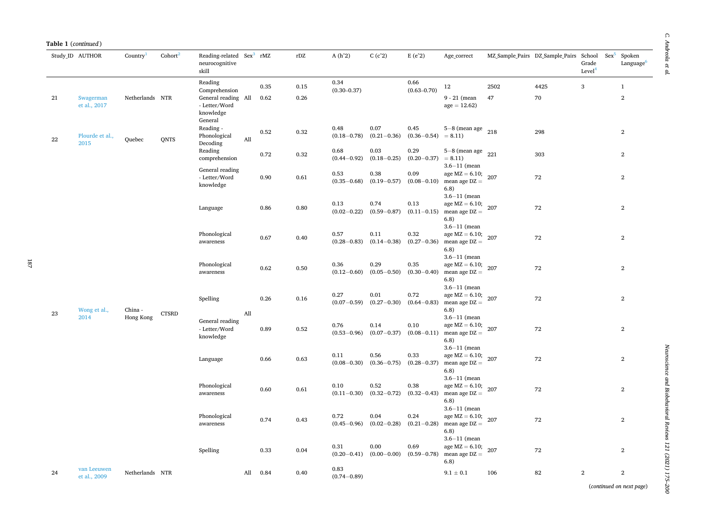|  | Table 1 (continued) |
|--|---------------------|
|--|---------------------|

|    | Study ID AUTHOR             | Country         | Cohort <sup>2</sup> | Reading-related Sex <sup>3</sup> rMZ<br>neurocognitive<br>skill               |     |      | rDZ      | $A(h^2)$                | C(c <sup>2</sup> )                                | $E(e^2)$                | Age_correct                                                                             |      | MZ Sample Pairs DZ Sample Pairs School | Grade<br>Level <sup>4</sup> | $Sex^5$ | Spoken<br>Language <sup>6</sup> |
|----|-----------------------------|-----------------|---------------------|-------------------------------------------------------------------------------|-----|------|----------|-------------------------|---------------------------------------------------|-------------------------|-----------------------------------------------------------------------------------------|------|----------------------------------------|-----------------------------|---------|---------------------------------|
|    |                             |                 |                     | Reading                                                                       |     | 0.35 | 0.15     | 0.34                    |                                                   | 0.66                    | 12                                                                                      | 2502 | 4425                                   | 3                           |         | $\mathbf{1}$                    |
| 21 | Swagerman<br>et al., 2017   | Netherlands NTR |                     | Comprehension<br>General reading All<br>- Letter/Word<br>knowledge<br>General |     | 0.62 | 0.26     | $(0.30 - 0.37)$         |                                                   | $(0.63 - 0.70)$         | $9 - 21$ (mean<br>$age = 12.62$                                                         | 47   | 70                                     |                             |         | $\mathbf{2}$                    |
| 22 | Plourde et al.,<br>2015     | Quebec          | <b>QNTS</b>         | Reading -<br>Phonological<br>Decoding                                         | All | 0.52 | 0.32     | 0.48<br>$(0.18 - 0.78)$ | 0.07<br>$(0.21 - 0.36)$                           | 0.45<br>$(0.36 - 0.54)$ | $5-8$ (mean age $218$<br>$= 8.11$                                                       |      | 298                                    |                             |         | $\mathbf{2}$                    |
|    |                             |                 |                     | Reading<br>comprehension                                                      |     | 0.72 | 0.32     | 0.68<br>$(0.44 - 0.92)$ | 0.03<br>$(0.18 - 0.25)$                           | 0.29<br>$(0.20 - 0.37)$ | $5-8$ (mean age $221$<br>$= 8.11$                                                       |      | 303                                    |                             |         | $\mathbf 2$                     |
|    |                             |                 |                     | General reading<br>- Letter/Word<br>knowledge                                 |     | 0.90 | 0.61     | 0.53<br>$(0.35 - 0.68)$ | 0.38<br>$(0.19 - 0.57)$                           | 0.09<br>$(0.08 - 0.10)$ | $3.6 - 11$ (mean<br>age $MZ = 6.10;$<br>mean age $DZ =$<br>6.8)                         | 207  | 72                                     |                             |         | $\mathbf{2}$                    |
|    |                             |                 |                     | Language                                                                      |     | 0.86 | 0.80     | 0.13<br>$(0.02 - 0.22)$ | 0.74<br>$(0.59 - 0.87)$                           | 0.13<br>$(0.11 - 0.15)$ | $3.6 - 11$ (mean<br>age MZ = $6.10; 207$<br>mean age $DZ =$<br>6.8)                     |      | 72                                     |                             |         | $\mathbf{2}$                    |
|    |                             |                 |                     | Phonological<br>awareness                                                     |     | 0.67 | 0.40     | 0.57<br>$(0.28 - 0.83)$ | 0.11<br>$(0.14-0.38)$ $(0.27-0.36)$               | 0.32                    | $3.6 - 11$ (mean<br>age MZ = $6.10$ ; 207<br>mean age $DZ =$<br>6.8)                    |      | 72                                     |                             |         | $\mathbf{2}$                    |
|    |                             |                 |                     | Phonological<br>awareness                                                     |     | 0.62 | $0.50\,$ | 0.36<br>$(0.12 - 0.60)$ | 0.29<br>$(0.05 - 0.50)$                           | 0.35<br>$(0.30 - 0.40)$ | $3.6 - 11$ (mean<br>age MZ = $6.10; 207$<br>mean age $DZ =$<br>6.8)<br>$3.6 - 11$ (mean |      | 72                                     |                             |         | $\overline{2}$                  |
| 23 | Wong et al.,                | China -         | <b>CTSRD</b>        | Spelling                                                                      | All | 0.26 | 0.16     | 0.27<br>$(0.07 - 0.59)$ | 0.01<br>$(0.27 - 0.30)$                           | 0.72<br>$(0.64 - 0.83)$ | age MZ = $6.10$ ; 207<br>mean age $DZ =$<br>6.8)                                        |      | 72                                     |                             |         | $\mathbf{2}$                    |
|    | 2014                        | Hong Kong       |                     | General reading<br>- Letter/Word<br>knowledge                                 |     | 0.89 | 0.52     | 0.76<br>$(0.53 - 0.96)$ | 0.14<br>$(0.07 - 0.37)$                           | 0.10<br>$(0.08 - 0.11)$ | $3.6 - 11$ (mean<br>age $MZ = 6.10;$<br>mean age $DZ =$<br>6.8)<br>$3.6 - 11$ (mean     | 207  | 72                                     |                             |         | $\overline{2}$                  |
|    |                             |                 |                     | Language                                                                      |     | 0.66 | 0.63     | 0.11<br>$(0.08 - 0.30)$ | 0.56<br>$(0.36 - 0.75)$                           | 0.33<br>$(0.28 - 0.37)$ | age $MZ = 6.10$ ;<br>mean age $DZ =$<br>6.8)                                            | 207  | 72                                     |                             |         | $\overline{2}$                  |
|    |                             |                 |                     | Phonological<br>awareness                                                     |     | 0.60 | 0.61     | 0.10<br>$(0.11 - 0.30)$ | 0.52<br>$(0.32 - 0.72)$                           | 0.38<br>$(0.32 - 0.43)$ | $3.6 - 11$ (mean<br>age MZ = $6.10; 207$<br>mean age $DZ =$<br>6.8)                     |      | 72                                     |                             |         | $\mathbf{2}$                    |
|    |                             |                 |                     | Phonological<br>awareness                                                     |     | 0.74 | 0.43     | 0.72<br>$(0.45 - 0.96)$ | 0.04<br>$(0.02 - 0.28)$                           | 0.24<br>$(0.21 - 0.28)$ | $3.6 - 11$ (mean<br>age MZ = $6.10; 207$<br>mean age $DZ =$<br>6.8)                     |      | 72                                     |                             |         | $\mathbf{2}$                    |
|    |                             |                 |                     | Spelling                                                                      |     | 0.33 | 0.04     | 0.31                    | 0.00<br>$(0.20-0.41)$ $(0.00-0.00)$ $(0.59-0.78)$ | 0.69                    | $3.6 - 11$ (mean<br>age MZ = $6.10$ ; 207<br>mean age $DZ =$<br>6.8)                    |      | 72                                     |                             |         | $\mathbf{2}$                    |
| 24 | van Leeuwen<br>et al., 2009 | Netherlands NTR |                     |                                                                               | All | 0.84 | 0.40     | 0.83<br>$(0.74 - 0.89)$ |                                                   |                         | $9.1 \pm 0.1$                                                                           | 106  | 82                                     | $\,2\,$                     |         | $\overline{2}$                  |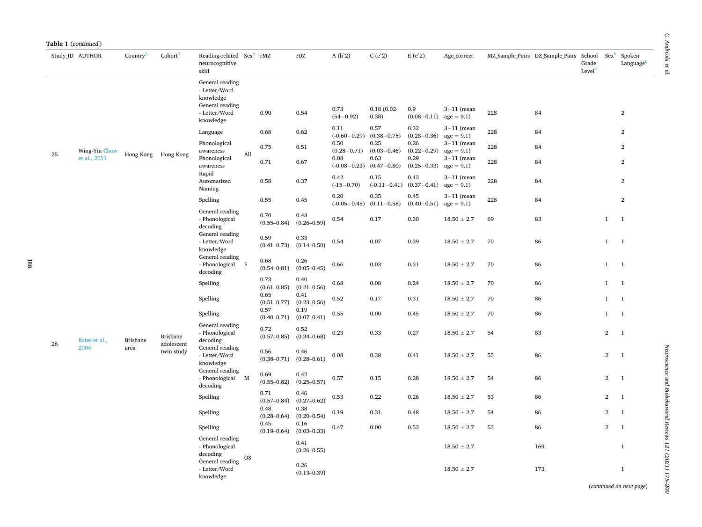| <b>Table 1</b> ( <i>continued</i> ) |  |  |  |
|-------------------------------------|--|--|--|
|-------------------------------------|--|--|--|

|    | Study_ID AUTHOR               | Country <sup>1</sup> | Cohort <sup>2</sup>           | Reading-related Sex <sup>3</sup> rMZ<br>neurocognitive<br>skill                                |           |                         | rDZ                     | $A(h^2)$                        | $\mathrm{C}\left(\mathrm{c}\hat{~}\mathrm{2}\right)$ | $E(e^2)$                         | Age_correct                                 |     | MZ Sample Pairs DZ Sample Pairs School | Grade<br>Level <sup>4</sup> | $Sex^5$        | Spoken<br>Language <sup>6</sup> |
|----|-------------------------------|----------------------|-------------------------------|------------------------------------------------------------------------------------------------|-----------|-------------------------|-------------------------|---------------------------------|------------------------------------------------------|----------------------------------|---------------------------------------------|-----|----------------------------------------|-----------------------------|----------------|---------------------------------|
|    |                               |                      |                               | General reading<br>- Letter/Word<br>knowledge<br>General reading<br>- Letter/Word<br>knowledge |           | 0.90                    | 0.54                    | 0.73<br>$(54 - 0.92)$           | $0.18(0.02 -$<br>0.38)                               | 0.9<br>$(0.08-0.11)$ age = 9.1)  | $3-11$ (mean                                | 228 | 84                                     |                             |                | $\overline{2}$                  |
|    |                               |                      |                               | Language                                                                                       |           | 0.68                    | 0.62                    | 0.11<br>$(-0.60 - 0.29)$        | 0.57<br>$(0.38 - 0.75)$                              | 0.32<br>$(0.28 - 0.36)$          | $3-11$ (mean<br>$age = 9.1$                 | 228 | 84                                     |                             |                | $\overline{2}$                  |
| 25 | Wing-Yin Chow<br>et al., 2011 |                      | Hong Kong Hong Kong           | Phonological<br>awareness<br>Phonological                                                      | All       | 0.75                    | 0.51                    | 0.50<br>$(0.28 - 0.71)$<br>0.08 | 0.25<br>$(0.03 - 0.46)$<br>0.63                      | 0.26<br>$(0.22 - 0.29)$<br>0.29  | $3-11$ (mean<br>$age = 9.1$<br>$3-11$ (mean | 228 | 84                                     |                             |                | $\overline{2}$                  |
|    |                               |                      |                               | awareness<br>Rapid                                                                             |           | 0.71                    | 0.67                    | $(-0.08 - 0.23)$                | $(0.47 - 0.80)$                                      | $(0.25 - 0.33)$                  | $age = 9.1$                                 | 228 | 84                                     |                             |                | $\overline{2}$                  |
|    |                               |                      |                               | Automatized<br>Naming                                                                          |           | 0.58                    | 0.37                    | 0.42<br>$(-15 - 0.70)$          | 0.15<br>$(-0.11-0.41)$ $(0.37-0.41)$ age = 9.1)      | 0.43                             | $3-11$ (mean                                | 228 | 84                                     |                             |                | $\overline{2}$                  |
|    |                               |                      |                               | Spelling                                                                                       |           | 0.55                    | 0.45                    | 0.20<br>$(-0.05 - 0.45)$        | 0.35<br>$(0.11 - 0.58)$                              | 0.45<br>$(0.40-0.51)$ age = 9.1) | $3-11$ (mean                                | 228 | 84                                     |                             |                | $\mathbf{2}$                    |
|    |                               |                      |                               | General reading<br>- Phonological<br>decoding                                                  |           | 0.70<br>$(0.55 - 0.84)$ | 0.43<br>$(0.26 - 0.59)$ | 0.54                            | 0.17                                                 | 0.30                             | $18.50 \pm 2.7$                             | 69  | 83                                     |                             | $\mathbf{1}$   | $\mathbf{1}$                    |
|    |                               |                      |                               | General reading<br>- Letter/Word<br>knowledge                                                  |           | 0.59<br>$(0.41 - 0.73)$ | 0.33<br>$(0.14 - 0.50)$ | 0.54                            | 0.07                                                 | 0.39                             | $18.50 \pm 2.7$                             | 70  | 86                                     |                             | $\mathbf{1}$   | <sup>1</sup>                    |
|    |                               |                      |                               | General reading<br>- Phonological F<br>decoding                                                |           | 0.68<br>$(0.54 - 0.81)$ | 0.26<br>$(0.05 - 0.45)$ | 0.66                            | 0.03                                                 | 0.31                             | $18.50 \pm 2.7$                             | 70  | 86                                     |                             | $\mathbf{1}$   | $\overline{1}$                  |
|    |                               |                      |                               | Spelling                                                                                       |           | 0.73<br>$(0.61 - 0.85)$ | 0.40<br>$(0.21 - 0.56)$ | 0.68                            | 0.08                                                 | 0.24                             | $18.50 \pm 2.7$                             | 70  | 86                                     |                             | $\mathbf{1}$   | $\overline{1}$                  |
|    |                               |                      |                               | Spelling                                                                                       |           | 0.65<br>$(0.51 - 0.77)$ | 0.41<br>$(0.23 - 0.56)$ | 0.52                            | 0.17                                                 | 0.31                             | $18.50 \pm 2.7$                             | 70  | 86                                     |                             | $\mathbf{1}$   | <sup>1</sup>                    |
|    |                               |                      |                               | Spelling                                                                                       |           | 0.57<br>$(0.40 - 0.71)$ | 0.19<br>$(0.07 - 0.41)$ | 0.55                            | 0.00                                                 | 0.45                             | $18.50 \pm 2.7$                             | 70  | 86                                     |                             | $\mathbf{1}$   | $\overline{1}$                  |
|    | Bates et al.,                 | <b>Brisbane</b>      | <b>Brisbane</b><br>adolescent | General reading<br>- Phonological<br>decoding                                                  |           | 0.72<br>$(0.57 - 0.85)$ | 0.52<br>$(0.34 - 0.68)$ | 0.23                            | 0.33                                                 | 0.27                             | $18.50 \pm 2.7$                             | 54  | 83                                     |                             | $\overline{2}$ | $\mathbf{1}$                    |
| 26 | 2004                          | area                 | twin study                    | General reading<br>- Letter/Word<br>knowledge                                                  |           | 0.56<br>$(0.38 - 0.71)$ | 0.46<br>$(0.28 - 0.61)$ | 0.08                            | 0.38                                                 | 0.41                             | $18.50 \pm 2.7$                             | 55  | 86                                     |                             | $\overline{2}$ | $\overline{1}$                  |
|    |                               |                      |                               | General reading<br>- Phonological M<br>decoding                                                |           | 0.69<br>$(0.55 - 0.82)$ | 0.42<br>$(0.25 - 0.57)$ | 0.57                            | 0.15                                                 | 0.28                             | $18.50 \pm 2.7$                             | 54  | 86                                     |                             | $\overline{2}$ | $\overline{1}$                  |
|    |                               |                      |                               | Spelling                                                                                       |           | 0.71<br>$(0.57 - 0.84)$ | 0.46<br>$(0.27 - 0.62)$ | 0.53                            | 0.22                                                 | 0.26                             | $18.50 \pm 2.7$                             | 53  | 86                                     |                             | $\mathbf{2}$   | $\mathbf{1}$                    |
|    |                               |                      |                               | Spelling                                                                                       |           | 0.48<br>$(0.28 - 0.64)$ | 0.38<br>$(0.20 - 0.54)$ | 0.19                            | 0.31                                                 | 0.48                             | $18.50 \pm 2.7$                             | 54  | 86                                     |                             | $\overline{2}$ | $\mathbf{1}$                    |
|    |                               |                      |                               | Spelling                                                                                       |           | 0.45<br>$(0.19 - 0.64)$ | 0.16<br>$(0.03 - 0.33)$ | 0.47                            | 0.00                                                 | 0.53                             | $18.50 \pm 2.7$                             | 53  | 86                                     |                             | $\overline{2}$ | $\mathbf{1}$                    |
|    |                               |                      |                               | General reading<br>- Phonological<br>decoding                                                  |           |                         | 0.41<br>$(0.26 - 0.55)$ |                                 |                                                      |                                  | $18.50 \pm 2.7$                             |     | 169                                    |                             |                | $\mathbf{1}$                    |
|    |                               |                      |                               | General reading<br>- Letter/Word<br>knowledge                                                  | <b>OS</b> |                         | 0.26<br>$(0.13 - 0.39)$ |                                 |                                                      |                                  | $18.50 \pm 2.7$                             |     | 173                                    | $\sim$ $\sim$ $\sim$ $\sim$ |                | $\mathbf{1}$                    |

*Neuroscience and Biobehavioral Reviews 121 (2021) 175–200*

Neuroscience and Biobehavioral Reviews 121 (2021) 175-200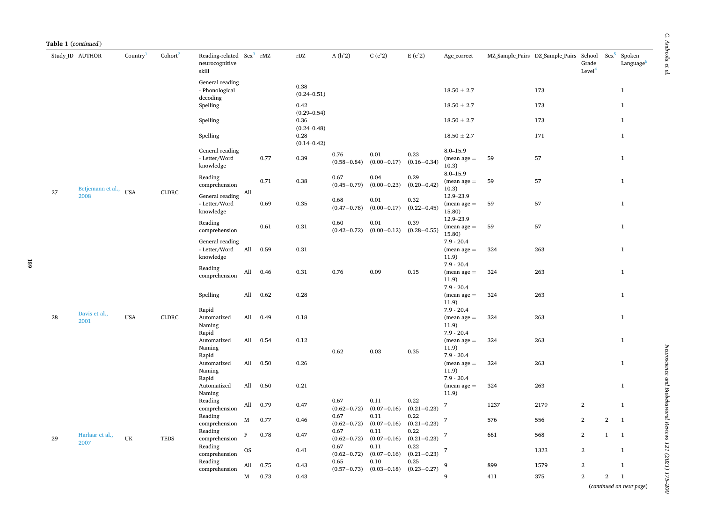|    | Study_ID AUTHOR         | Country    | $\text{Cohort}^2$ | Reading-related Sex <sup>3</sup> rMZ<br>neurocognitive<br>skill |             |      | $\rm rDZ$               | $A(h^2)$                | C(c <sup>2</sup> )      | $E(e^2)$                | Age_correct                                            |      | MZ Sample Pairs DZ Sample Pairs School | Grade<br>Level <sup>4</sup> | $Sex^5$        | Spoken<br>Language <sup>6</sup> |
|----|-------------------------|------------|-------------------|-----------------------------------------------------------------|-------------|------|-------------------------|-------------------------|-------------------------|-------------------------|--------------------------------------------------------|------|----------------------------------------|-----------------------------|----------------|---------------------------------|
|    |                         |            |                   | General reading<br>- Phonological<br>decoding                   |             |      | 0.38<br>$(0.24 - 0.51)$ |                         |                         |                         | $18.50 \pm 2.7$                                        |      | 173                                    |                             |                | $\mathbf{1}$                    |
|    |                         |            |                   | Spelling                                                        |             |      | 0.42<br>$(0.29 - 0.54)$ |                         |                         |                         | $18.50 \pm 2.7$                                        |      | 173                                    |                             |                | $\mathbf{1}$                    |
|    |                         |            |                   | Spelling                                                        |             |      | 0.36<br>$(0.24 - 0.48)$ |                         |                         |                         | $18.50 \pm 2.7$                                        |      | 173                                    |                             |                | $\mathbf{1}$                    |
|    |                         |            |                   | Spelling                                                        |             |      | 0.28<br>$(0.14 - 0.42)$ |                         |                         |                         | $18.50 \pm 2.7$                                        |      | 171                                    |                             |                | $\mathbf{1}$                    |
|    |                         |            |                   | General reading<br>- Letter/Word<br>knowledge                   |             | 0.77 | 0.39                    | 0.76<br>$(0.58 - 0.84)$ | 0.01<br>$(0.00 - 0.17)$ | 0.23<br>$(0.16 - 0.34)$ | $8.0 - 15.9$<br>$(mean age =$<br>10.3)                 | 59   | 57                                     |                             |                | $\mathbf{1}$                    |
|    | Betjemann et al.,       |            |                   | Reading<br>comprehension                                        |             | 0.71 | 0.38                    | 0.67<br>$(0.45 - 0.79)$ | 0.04<br>$(0.00 - 0.23)$ | 0.29<br>$(0.20 - 0.42)$ | $8.0 - 15.9$<br>$(mean age =$<br>10.3)                 | 59   | 57                                     |                             |                | $\mathbf{1}$                    |
| 27 | 2008                    | <b>USA</b> | <b>CLDRC</b>      | General reading $\,$ All $\,$<br>- Letter/Word<br>knowledge     |             | 0.69 | 0.35                    | 0.68<br>$(0.47 - 0.78)$ | 0.01<br>$(0.00 - 0.17)$ | 0.32<br>$(0.22 - 0.45)$ | 12.9-23.9<br>$(mean age =$<br>15.80)                   | 59   | 57                                     |                             |                | $\mathbf{1}$                    |
|    |                         |            |                   | Reading<br>comprehension                                        |             | 0.61 | 0.31                    | 0.60<br>$(0.42 - 0.72)$ | 0.01<br>$(0.00 - 0.12)$ | 0.39<br>$(0.28 - 0.55)$ | 12.9-23.9<br>$(mean age =$<br>15.80)                   | 59   | 57                                     |                             |                | $\mathbf{1}$                    |
|    |                         |            |                   | General reading<br>- Letter/Word<br>knowledge                   | All         | 0.59 | 0.31                    |                         |                         |                         | $7.9 - 20.4$<br>$(mean age =$<br>11.9)                 | 324  | 263                                    |                             |                | $\mathbf{1}$                    |
|    |                         |            |                   | Reading<br>comprehension                                        | All         | 0.46 | 0.31                    | 0.76                    | 0.09                    | 0.15                    | $7.9 - 20.4$<br>$(mean age =$<br>11.9)                 | 324  | 263                                    |                             |                | $\mathbf{1}$                    |
|    |                         |            |                   | Spelling                                                        | All         | 0.62 | 0.28                    |                         |                         |                         | $7.9 - 20.4$<br>$(mean age =$<br>11.9)                 | 324  | 263                                    |                             |                | $\mathbf{1}$                    |
| 28 | Davis et al.,<br>2001   | <b>USA</b> | <b>CLDRC</b>      | Rapid<br>Automatized<br>Naming<br>Rapid                         | All         | 0.49 | 0.18                    |                         |                         |                         | $7.9 - 20.4$<br>$(mean age =$<br>11.9)<br>$7.9 - 20.4$ | 324  | 263                                    |                             |                | $\mathbf{1}$                    |
|    |                         |            |                   | Automatized<br>Naming<br>Rapid                                  | All         | 0.54 | 0.12                    | 0.62                    | 0.03                    | 0.35                    | $(mean age =$<br>11.9)<br>$7.9 - 20.4$                 | 324  | 263                                    |                             |                | $\mathbf{1}$                    |
|    |                         |            |                   | Automatized<br>Naming                                           | All         | 0.50 | 0.26                    |                         |                         |                         | $(mean age =$<br>11.9)<br>$7.9 - 20.4$                 | 324  | 263                                    |                             |                | $\mathbf{1}$                    |
|    |                         |            |                   | Rapid<br>Automatized<br>Naming                                  | All         | 0.50 | 0.21                    |                         |                         |                         | $(mean age =$<br>11.9)                                 | 324  | 263                                    |                             |                | $\mathbf{1}$                    |
|    |                         |            |                   | Reading<br>comprehension                                        | All         | 0.79 | 0.47                    | 0.67<br>$(0.62 - 0.72)$ | 0.11<br>$(0.07 - 0.16)$ | 0.22<br>$(0.21 - 0.23)$ | 7                                                      | 1237 | 2179                                   | $\mathbf{2}$                |                | $\mathbf{1}$                    |
|    |                         |            |                   | Reading<br>comprehension                                        | M           | 0.77 | 0.46                    | 0.67<br>$(0.62 - 0.72)$ | 0.11<br>$(0.07 - 0.16)$ | 0.22<br>$(0.21 - 0.23)$ | 7                                                      | 576  | 556                                    | $\overline{2}$              | $\overline{2}$ | $\mathbf{1}$                    |
| 29 | Harlaar et al.,<br>2007 | UK         | <b>TEDS</b>       | Reading<br>comprehension                                        | $\mathbf F$ | 0.78 | 0.47                    | 0.67<br>$(0.62 - 0.72)$ | 0.11<br>$(0.07 - 0.16)$ | 0.22<br>$(0.21 - 0.23)$ | 7                                                      | 661  | 568                                    | $\overline{2}$              | $\mathbf{1}$   | $\mathbf{1}$                    |
|    |                         |            |                   | Reading<br>comprehension                                        | <b>OS</b>   |      | 0.41                    | 0.67<br>$(0.62 - 0.72)$ | 0.11<br>$(0.07 - 0.16)$ | 0.22<br>$(0.21 - 0.23)$ | 7                                                      |      | 1323                                   | $\,2$                       |                | $\mathbf{1}$                    |
|    |                         |            |                   | Reading<br>comprehension                                        | All         | 0.75 | 0.43                    | 0.65<br>$(0.57 - 0.73)$ | 0.10<br>$(0.03 - 0.18)$ | 0.25<br>$(0.23 - 0.27)$ | 9                                                      | 899  | 1579                                   | $\,2$                       |                | $\mathbf{1}$                    |
|    |                         |            |                   |                                                                 | М           | 0.73 | 0.43                    |                         |                         |                         | 9                                                      | 411  | 375                                    | $\overline{2}$              | $\mathbf{2}$   | $\mathbf{1}$                    |

 $\mathcal C.$  Andreola et al. *C. Andreola et al.*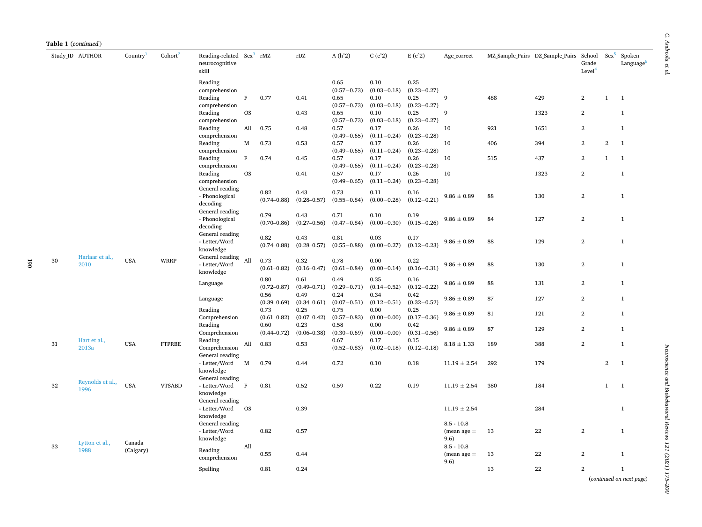| Table 1 (continued) |                  |            |                     |                                                                 |           |                         |                         |                         |                         |                         |                       |     |                                 |                                       |                |                                 |
|---------------------|------------------|------------|---------------------|-----------------------------------------------------------------|-----------|-------------------------|-------------------------|-------------------------|-------------------------|-------------------------|-----------------------|-----|---------------------------------|---------------------------------------|----------------|---------------------------------|
|                     | Study ID AUTHOR  | Country    | Cohort <sup>2</sup> | Reading-related Sex <sup>3</sup> rMZ<br>neurocognitive<br>skill |           |                         | rDZ                     | $A(h^2)$                | C(c <sup>2</sup> )      | $E(e^2)$                | Age_correct           |     | MZ Sample Pairs DZ Sample Pairs | School<br>Grade<br>Level <sup>4</sup> | $Sex^5$        | Spoken<br>Language <sup>6</sup> |
|                     |                  |            |                     | Reading                                                         |           |                         |                         | 0.65                    | 0.10                    | 0.25                    |                       |     |                                 |                                       |                |                                 |
|                     |                  |            |                     | comprehension                                                   |           |                         |                         | $(0.57 - 0.73)$         | $(0.03 - 0.18)$         | $(0.23 - 0.27)$         |                       |     |                                 |                                       |                |                                 |
|                     |                  |            |                     | Reading                                                         | $\rm F$   | 0.77                    | 0.41                    | 0.65                    | 0.10                    | 0.25                    | 9                     | 488 | 429                             | $\overline{2}$                        | $\mathbf{1}$   | $\overline{1}$                  |
|                     |                  |            |                     | comprehension                                                   |           |                         |                         | $(0.57 - 0.73)$         | $(0.03 - 0.18)$<br>0.10 | $(0.23 - 0.27)$<br>0.25 | 9                     |     | 1323                            | $\overline{2}$                        |                | $\mathbf{1}$                    |
|                     |                  |            |                     | Reading<br>comprehension                                        | <b>OS</b> |                         | 0.43                    | 0.65<br>$(0.57 - 0.73)$ | $(0.03 - 0.18)$         | $(0.23 - 0.27)$         |                       |     |                                 |                                       |                |                                 |
|                     |                  |            |                     | Reading                                                         | All       | 0.75                    | 0.48                    | 0.57                    | 0.17                    | 0.26                    | 10                    | 921 | 1651                            | $\mathbf{2}$                          |                | $\mathbf{1}$                    |
|                     |                  |            |                     | comprehension                                                   |           |                         |                         | $(0.49 - 0.65)$         | $(0.11 - 0.24)$         | $(0.23 - 0.28)$         |                       |     |                                 |                                       |                |                                 |
|                     |                  |            |                     | Reading                                                         | M         | 0.73                    | 0.53                    | 0.57                    | 0.17                    | 0.26                    | 10                    | 406 | 394                             | $\overline{2}$                        | $\mathbf{2}$   | $\overline{1}$                  |
|                     |                  |            |                     | comprehension                                                   |           |                         |                         | $(0.49 - 0.65)$         | $(0.11 - 0.24)$         | $(0.23 - 0.28)$         |                       |     |                                 |                                       |                |                                 |
|                     |                  |            |                     | Reading                                                         | $\rm F$   | 0.74                    | 0.45                    | 0.57                    | 0.17                    | 0.26                    | 10                    | 515 | 437                             | $\overline{2}$                        | $\mathbf{1}$   | $\mathbf{1}$                    |
|                     |                  |            |                     | comprehension                                                   |           |                         |                         | $(0.49 - 0.65)$         | $(0.11 - 0.24)$         | $(0.23 - 0.28)$         |                       |     |                                 |                                       |                |                                 |
|                     |                  |            |                     | Reading<br>comprehension                                        | <b>OS</b> |                         | 0.41                    | 0.57                    | 0.17<br>$(0.11 - 0.24)$ | 0.26<br>$(0.23 - 0.28)$ | 10                    |     | 1323                            | $\overline{2}$                        |                | $\mathbf{1}$                    |
|                     |                  |            |                     | General reading                                                 |           |                         |                         | $(0.49 - 0.65)$         |                         |                         |                       |     |                                 |                                       |                |                                 |
|                     |                  |            |                     | - Phonological                                                  |           | 0.82                    | 0.43                    | 0.73                    | 0.11                    | 0.16                    | $9.86 \pm 0.89$       | 88  | 130                             | $\mathbf{2}$                          |                | $\mathbf{1}$                    |
|                     |                  |            |                     | decoding                                                        |           | $(0.74 - 0.88)$         | $(0.28 - 0.57)$         | $(0.55 - 0.84)$         | $(0.00 - 0.28)$         | $(0.12 - 0.21)$         |                       |     |                                 |                                       |                |                                 |
|                     |                  |            |                     | General reading                                                 |           | 0.79                    | 0.43                    | 0.71                    | 0.10                    | 0.19                    |                       |     |                                 |                                       |                |                                 |
|                     |                  |            |                     | - Phonological                                                  |           | $(0.70 - 0.86)$         | $(0.27 - 0.56)$         | $(0.47 - 0.84)$         | $(0.00 - 0.30)$         | $(0.15 - 0.26)$         | $9.86 \pm 0.89$       | 84  | 127                             | $\mathbf{2}$                          |                | $\mathbf 1$                     |
|                     |                  |            |                     | decoding                                                        |           |                         |                         |                         |                         |                         |                       |     |                                 |                                       |                |                                 |
|                     |                  |            |                     | General reading                                                 |           | 0.82                    | 0.43                    | 0.81                    | 0.03                    | 0.17                    |                       |     |                                 |                                       |                |                                 |
|                     |                  |            |                     | - Letter/Word<br>knowledge                                      |           | $(0.74 - 0.88)$         | $(0.28 - 0.57)$         | $(0.55 - 0.88)$         | $(0.00 - 0.27)$         | $(0.12 - 0.23)$         | $9.86 \pm 0.89$       | 88  | 129                             | $\mathbf{2}$                          |                | $\mathbf{1}$                    |
|                     | Harlaar et al.,  |            |                     | General reading All                                             |           |                         |                         |                         |                         |                         |                       |     |                                 |                                       |                |                                 |
| 30                  | 2010             | <b>USA</b> | <b>WRRP</b>         | - Letter/Word                                                   |           | 0.73                    | 0.32                    | 0.78                    | 0.00                    | 0.22                    | $9.86 \pm 0.89$       | 88  | 130                             | $\overline{2}$                        |                | $\mathbf{1}$                    |
|                     |                  |            |                     | knowledge                                                       |           | $(0.61 - 0.82)$         | $(0.16 - 0.47)$         | $(0.61 - 0.84)$         | $(0.00 - 0.14)$         | $(0.16 - 0.31)$         |                       |     |                                 |                                       |                |                                 |
|                     |                  |            |                     | Language                                                        |           | 0.80                    | 0.61                    | 0.49                    | 0.35                    | 0.16                    | $9.86\pm0.89$         | 88  | 131                             | $\mathbf{2}$                          |                | $\mathbf{1}$                    |
|                     |                  |            |                     |                                                                 |           | $(0.72 - 0.87)$         | $(0.49 - 0.71)$         | $(0.29 - 0.71)$         | $(0.14 - 0.52)$         | $(0.12 - 0.22)$         |                       |     |                                 |                                       |                |                                 |
|                     |                  |            |                     | Language                                                        |           | 0.56                    | 0.49                    | 0.24                    | 0.34                    | 0.42                    | $9.86 \pm 0.89$       | 87  | 127                             | $\overline{2}$                        |                | $\mathbf{1}$                    |
|                     |                  |            |                     |                                                                 |           | $(0.39 - 0.69)$         | $(0.34 - 0.61)$         | $(0.07 - 0.51)$         | $(0.12 - 0.51)$         | $(0.32 - 0.52)$         |                       |     |                                 |                                       |                |                                 |
|                     |                  |            |                     | Reading<br>Comprehension                                        |           | 0.73<br>$(0.61 - 0.82)$ | 0.25<br>$(0.07 - 0.42)$ | 0.75<br>$(0.57 - 0.83)$ | 0.00<br>$(0.00 - 0.00)$ | 0.25<br>$(0.17 - 0.36)$ | $9.86 \pm 0.89$       | 81  | 121                             | $\overline{2}$                        |                | $\mathbf{1}$                    |
|                     |                  |            |                     | Reading                                                         |           | 0.60                    | 0.23                    | 0.58                    | 0.00                    | 0.42                    |                       |     |                                 |                                       |                |                                 |
|                     |                  |            |                     | Comprehension                                                   |           | $(0.44 - 0.72)$         | $(0.06 - 0.38)$         | $(0.30 - 0.69)$         | $(0.00 - 0.00)$         | $(0.31 - 0.56)$         | $9.86 \pm 0.89$       | 87  | 129                             | $\overline{2}$                        |                | $\mathbf{1}$                    |
| 31                  | Hart et al.,     | <b>USA</b> | <b>FTPRBE</b>       | Reading                                                         | All       | 0.83                    | 0.53                    | 0.67                    | 0.17                    | 0.15                    | $8.18\,\pm\,1.33$     | 189 | 388                             | $\,2\,$                               |                | $\mathbf{1}$                    |
|                     | 2013a            |            |                     | Comprehension                                                   |           |                         |                         | $(0.52 - 0.83)$         | $(0.02 - 0.18)$         | $(0.12 - 0.18)$         |                       |     |                                 |                                       |                |                                 |
|                     |                  |            |                     | General reading                                                 |           |                         |                         |                         |                         |                         |                       |     |                                 |                                       |                |                                 |
|                     |                  |            |                     | - Letter/Word                                                   | M         | 0.79                    | 0.44                    | 0.72                    | 0.10                    | 0.18                    | $11.19 \pm 2.54$      | 292 | 179                             |                                       | $\overline{2}$ | $\overline{1}$                  |
|                     |                  |            |                     | knowledge<br>General reading                                    |           |                         |                         |                         |                         |                         |                       |     |                                 |                                       |                |                                 |
| 32                  | Reynolds et al., | <b>USA</b> | <b>VTSABD</b>       | - Letter/Word $\quad$ F                                         |           | 0.81                    | 0.52                    | 0.59                    | 0.22                    | 0.19                    | $11.19 \pm 2.54$      | 380 | 184                             |                                       | $\mathbf{1}$   | $\overline{1}$                  |
|                     | 1996             |            |                     | knowledge                                                       |           |                         |                         |                         |                         |                         |                       |     |                                 |                                       |                |                                 |
|                     |                  |            |                     | General reading                                                 |           |                         |                         |                         |                         |                         |                       |     |                                 |                                       |                |                                 |
|                     |                  |            |                     | - Letter/Word                                                   | <b>OS</b> |                         | 0.39                    |                         |                         |                         | $11.19 \pm 2.54$      |     | 284                             |                                       |                | $\mathbf{1}$                    |
|                     |                  |            |                     | knowledge                                                       |           |                         |                         |                         |                         |                         |                       |     |                                 |                                       |                |                                 |
|                     |                  |            |                     | General reading                                                 |           |                         |                         |                         |                         |                         | $8.5 - 10.8$          |     |                                 |                                       |                |                                 |
|                     |                  |            |                     | - Letter/Word<br>knowledge                                      |           | 0.82                    | 0.57                    |                         |                         |                         | $(mean age =$<br>9.6) | 13  | 22                              | $\overline{2}$                        |                | $\mathbf{1}$                    |
| 33                  | Lytton et al.,   | Canada     |                     |                                                                 | All       |                         |                         |                         |                         |                         | $8.5 - 10.8$          |     |                                 |                                       |                |                                 |
|                     | 1988             | (Calgary)  |                     | Reading                                                         |           | 0.55                    | 0.44                    |                         |                         |                         | $(mean age =$         | 13  | 22                              | $\mathbf{2}$                          |                | $\mathbf{1}$                    |
|                     |                  |            |                     | comprehension                                                   |           |                         |                         |                         |                         |                         | 9.6)                  |     |                                 |                                       |                |                                 |
|                     |                  |            |                     | Spelling                                                        |           | 0.81                    | 0.24                    |                         |                         |                         |                       | 13  | 22                              | $\overline{2}$                        |                | $\mathbf{1}$                    |
|                     |                  |            |                     |                                                                 |           |                         |                         |                         |                         |                         |                       |     |                                 |                                       |                | (continued on next page)        |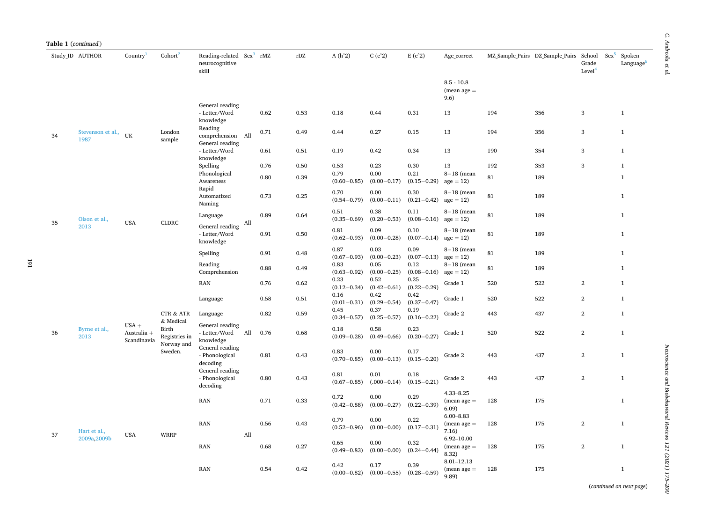| Table 1 (continued) |                              |                                       |                                                   |                                                                 |     |      |      |                         |                                                   |                                 |                                         |     |                                 |                                       |         |                                 |
|---------------------|------------------------------|---------------------------------------|---------------------------------------------------|-----------------------------------------------------------------|-----|------|------|-------------------------|---------------------------------------------------|---------------------------------|-----------------------------------------|-----|---------------------------------|---------------------------------------|---------|---------------------------------|
|                     | Study ID AUTHOR              | Country <sup>1</sup>                  | Cohort <sup>2</sup>                               | Reading-related Sex <sup>3</sup> rMZ<br>neurocognitive<br>skill |     |      | rDZ  | $A(h^2)$                | $C(c^2)$                                          | $E(e^2)$                        | Age_correct                             |     | MZ Sample Pairs DZ Sample Pairs | School<br>Grade<br>Level <sup>4</sup> | $Sex^5$ | Spoken<br>Language <sup>6</sup> |
|                     |                              |                                       |                                                   |                                                                 |     |      |      |                         |                                                   |                                 | $8.5 - 10.8$<br>$(mean age =$<br>9.6)   |     |                                 |                                       |         |                                 |
|                     |                              |                                       |                                                   | General reading<br>- Letter/Word<br>knowledge                   |     | 0.62 | 0.53 | 0.18                    | 0.44                                              | 0.31                            | 13                                      | 194 | 356                             | 3                                     |         | $\mathbf{1}$                    |
| 34                  | Stevenson et al., UK<br>1987 |                                       | London<br>sample                                  | Reading<br>comprehension All                                    |     | 0.71 | 0.49 | 0.44                    | 0.27                                              | 0.15                            | 13                                      | 194 | 356                             | $\,$ 3                                |         | $1\,$                           |
|                     |                              |                                       |                                                   | General reading<br>- Letter/Word<br>knowledge                   |     | 0.61 | 0.51 | 0.19                    | 0.42                                              | 0.34                            | 13                                      | 190 | 354                             | 3                                     |         | $\mathbf{1}$                    |
|                     |                              |                                       |                                                   | Spelling                                                        |     | 0.76 | 0.50 | 0.53                    | 0.23                                              | 0.30                            | 13                                      | 192 | 353                             | 3                                     |         | $\mathbf{1}$                    |
|                     |                              |                                       |                                                   | Phonological<br>Awareness                                       |     | 0.80 | 0.39 | 0.79<br>$(0.60 - 0.85)$ | 0.00<br>$(0.00 - 0.17)$                           | 0.21<br>$(0.15 - 0.29)$         | $8-18$ (mean<br>$age = 12$              | 81  | 189                             |                                       |         | $\mathbf{1}$                    |
|                     |                              |                                       |                                                   | Rapid<br>Automatized<br>Naming                                  |     | 0.73 | 0.25 | 0.70<br>$(0.54 - 0.79)$ | 0.00<br>$(0.00 - 0.11)$                           | 0.30<br>$(0.21 - 0.42)$         | $8-18$ (mean<br>$age = 12$              | 81  | 189                             |                                       |         | $\mathbf{1}$                    |
| 35                  | Olson et al.,                | <b>USA</b>                            | <b>CLDRC</b>                                      | Language                                                        | All | 0.89 | 0.64 | 0.51<br>$(0.35 - 0.69)$ | 0.38<br>$(0.20 - 0.53)$                           | 0.11<br>$(0.08 - 0.16)$         | $8-18$ (mean<br>$age = 12$              | 81  | 189                             |                                       |         | $1\,$                           |
|                     | 2013                         |                                       |                                                   | General reading<br>- Letter/Word<br>knowledge                   |     | 0.91 | 0.50 | 0.81<br>$(0.62 - 0.93)$ | 0.09<br>$(0.00 - 0.28)$                           | 0.10<br>$(0.07 - 0.14)$         | $8-18$ (mean<br>$age = 12$              | 81  | 189                             |                                       |         | $\mathbf{1}$                    |
|                     |                              |                                       |                                                   | Spelling                                                        |     | 0.91 | 0.48 | 0.87<br>$(0.67 - 0.93)$ | 0.03<br>$(0.00 - 0.23)$                           | 0.09<br>$(0.07 - 0.13)$         | $8-18$ (mean<br>$age = 12$              | 81  | 189                             |                                       |         | $\mathbf{1}$                    |
|                     |                              |                                       |                                                   | Reading<br>Comprehension                                        |     | 0.88 | 0.49 | 0.83<br>$(0.63 - 0.92)$ | 0.05<br>$(0.00 - 0.25)$                           | 0.12<br>$(0.08-0.16)$ age = 12) | $8-18$ (mean                            | 81  | 189                             |                                       |         | $\mathbf{1}$                    |
|                     |                              |                                       |                                                   | RAN                                                             |     | 0.76 | 0.62 | 0.23<br>$(0.12 - 0.34)$ | 0.52<br>$(0.42 - 0.61)$                           | 0.25<br>$(0.22 - 0.29)$         | Grade 1                                 | 520 | 522                             | $\,2$                                 |         | $\mathbf{1}$                    |
|                     |                              |                                       |                                                   | Language                                                        |     | 0.58 | 0.51 | 0.16<br>$(0.01 - 0.31)$ | 0.42<br>$(0.29 - 0.54)$                           | 0.42<br>$(0.37 - 0.47)$         | Grade 1                                 | 520 | 522                             | $\mathbf{2}$                          |         | $\mathbf{1}$                    |
|                     |                              |                                       | <b>CTR &amp; ATR</b>                              | Language                                                        |     | 0.82 | 0.59 | 0.45<br>$(0.34 - 0.57)$ | 0.37<br>$(0.25 - 0.57)$                           | 0.19<br>$(0.16 - 0.22)$         | Grade 2                                 | 443 | 437                             | $\,2$                                 |         | $\mathbf{1}$                    |
| 36                  | Byrne et al.,<br>2013        | $USA +$<br>Australia +<br>Scandinavia | & Medical<br>Birth<br>Registries in<br>Norway and | General reading<br>- Letter/Word<br>knowledge                   | All | 0.76 | 0.68 | 0.18<br>$(0.09 - 0.28)$ | 0.58<br>$(0.49 - 0.66)$                           | 0.23<br>$(0.20 - 0.27)$         | Grade 1                                 | 520 | 522                             | $\mathbf{2}$                          |         | $\mathbf{1}$                    |
|                     |                              |                                       | Sweden.                                           | General reading<br>- Phonological<br>decoding                   |     | 0.81 | 0.43 | 0.83<br>$(0.70 - 0.85)$ | 0.00<br>$(0.00 - 0.13)$                           | 0.17<br>$(0.15 - 0.20)$         | Grade 2                                 | 443 | 437                             | $\mathbf{2}$                          |         | $\mathbf{1}$                    |
|                     |                              |                                       |                                                   | General reading<br>- Phonological<br>decoding                   |     | 0.80 | 0.43 | 0.81<br>$(0.67 - 0.85)$ | 0.01<br>$(.000-0.14)$                             | 0.18<br>$(0.15 - 0.21)$         | Grade 2                                 | 443 | 437                             | $\,2$                                 |         | $\mathbf{1}$                    |
|                     |                              |                                       |                                                   | <b>RAN</b>                                                      |     | 0.71 | 0.33 | 0.72<br>$(0.42 - 0.88)$ | 0.00<br>$(0.00 - 0.27)$                           | 0.29<br>$(0.22 - 0.39)$         | $4.33 - 8.25$<br>$(mean age =$<br>6.09  | 128 | 175                             |                                       |         | $\mathbf{1}$                    |
|                     | Hart et al.,                 |                                       |                                                   | <b>RAN</b>                                                      |     | 0.56 | 0.43 | 0.79<br>$(0.52 - 0.96)$ | 0.00<br>$(0.00 - 0.00)$                           | 0.22<br>$(0.17 - 0.31)$         | $6.00 - 8.83$<br>$(mean age =$<br>7.16) | 128 | 175                             | $\,2$                                 |         | $\mathbf{1}$                    |
| 37                  | 2009a, 2009b                 | <b>USA</b>                            | <b>WRRP</b>                                       | RAN                                                             | All | 0.68 | 0.27 | 0.65<br>$(0.49 - 0.83)$ | 0.00<br>$(0.00 - 0.00)$                           | 0.32<br>$(0.24 - 0.44)$         | 6.92-10.00<br>$(mean age =$<br>8.32)    | 128 | 175                             | $\,2$                                 |         | $\mathbf{1}$                    |
|                     |                              |                                       |                                                   | RAN                                                             |     | 0.54 | 0.42 | 0.42                    | 0.17<br>$(0.00-0.82)$ $(0.00-0.55)$ $(0.28-0.59)$ | 0.39                            | $8.01 - 12.13$<br>$(mean age =$<br>9.89 | 128 | 175                             |                                       |         | $\mathbf{1}$                    |

 $\mathcal C.$  Andreola et al. *C. Andreola et al.*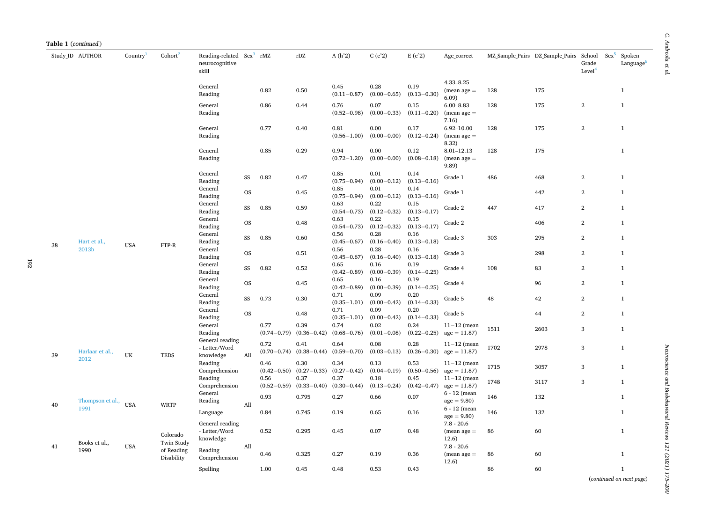| Study ID AUTHOR |                          | Country <sup>1</sup> | Cohort $2$                             | Reading-related Sex <sup>3</sup> rMZ          |                 |                         | $\rm rDZ$                | $A(h^2)$                                   | C(c <sup>2</sup> )                         | $E(e^2)$                                   | Age_correct                                    |              | MZ Sample Pairs DZ Sample Pairs School | $Sex^5$                          | Spoken                       |
|-----------------|--------------------------|----------------------|----------------------------------------|-----------------------------------------------|-----------------|-------------------------|--------------------------|--------------------------------------------|--------------------------------------------|--------------------------------------------|------------------------------------------------|--------------|----------------------------------------|----------------------------------|------------------------------|
|                 |                          |                      |                                        | neurocognitive<br>skill                       |                 |                         |                          |                                            |                                            |                                            |                                                |              |                                        | Grade<br>Level <sup>4</sup>      | Language <sup>6</sup>        |
|                 |                          |                      |                                        | General<br>Reading                            |                 | 0.82                    | 0.50                     | 0.45<br>$(0.11 - 0.87)$                    | 0.28<br>$(0.00 - 0.65)$                    | 0.19<br>$(0.13 - 0.30)$                    | $4.33 - 8.25$<br>$(mean age =$<br>6.09         | 128          | 175                                    |                                  | $\,1\,$                      |
|                 |                          |                      |                                        | General<br>Reading                            |                 | 0.86                    | 0.44                     | 0.76<br>$(0.52 - 0.98)$                    | 0.07<br>$(0.00 - 0.33)$                    | 0.15<br>$(0.11 - 0.20)$                    | $6.00 - 8.83$<br>$(mean age =$<br>7.16)        | 128          | 175                                    | $\,2$                            | $\mathbf{1}$                 |
|                 |                          |                      |                                        | General<br>Reading                            |                 | 0.77                    | 0.40                     | 0.81<br>$(0.56 - 1.00)$                    | 0.00<br>$(0.00 - 0.00)$                    | 0.17<br>$(0.12 - 0.24)$                    | 6.92-10.00<br>$(mean age =$<br>8.32)           | 128          | 175                                    | $\overline{2}$                   | $\mathbf{1}$                 |
|                 |                          |                      |                                        | General<br>Reading                            |                 | 0.85                    | 0.29                     | 0.94<br>$(0.72 - 1.20)$                    | 0.00<br>$(0.00 - 0.00)$                    | 0.12<br>$(0.08 - 0.18)$                    | $8.01 - 12.13$<br>$(mean age =$<br>9.89)       | 128          | 175                                    |                                  | $\mathbf{1}$                 |
|                 |                          |                      |                                        | General<br>Reading<br>General                 | SS              | 0.82                    | 0.47                     | 0.85<br>$(0.75 - 0.94)$<br>0.85            | 0.01<br>$(0.00 - 0.12)$<br>0.01            | 0.14<br>$(0.13 - 0.16)$<br>0.14            | Grade 1                                        | 486          | 468                                    | $\mathbf{2}$                     | $\mathbf{1}$                 |
|                 |                          |                      |                                        | Reading<br>General                            | <b>OS</b>       |                         | 0.45                     | $(0.75 - 0.94)$<br>0.63                    | $(0.00 - 0.12)$<br>0.22                    | $(0.13 - 0.16)$<br>0.15                    | Grade 1                                        |              | 442                                    | $\overline{2}$                   | $\mathbf{1}$                 |
|                 |                          |                      |                                        | Reading<br>General                            | SS<br><b>OS</b> | 0.85                    | 0.59<br>0.48             | $(0.54 - 0.73)$<br>0.63                    | $(0.12 - 0.32)$<br>0.22                    | $(0.13 - 0.17)$<br>0.15                    | Grade 2<br>Grade 2                             | 447          | 417<br>406                             | $\overline{2}$<br>$\overline{2}$ | $\mathbf{1}$<br>$\mathbf{1}$ |
|                 | Hart et al.,             |                      |                                        | Reading<br>General<br>Reading                 | SS              | 0.85                    | 0.60                     | $(0.54 - 0.73)$<br>0.56<br>$(0.45 - 0.67)$ | $(0.12 - 0.32)$<br>0.28<br>$(0.16 - 0.40)$ | $(0.13 - 0.17)$<br>0.16<br>$(0.13 - 0.18)$ | Grade 3                                        | 303          | 295                                    | $\overline{2}$                   | $\mathbf{1}$                 |
| 38              | 2013b                    | <b>USA</b>           | FTP-R                                  | General<br>Reading                            | <b>OS</b>       |                         | 0.51                     | 0.56<br>$(0.45 - 0.67)$                    | 0.28<br>$(0.16 - 0.40)$                    | 0.16<br>$(0.13 - 0.18)$                    | Grade 3                                        |              | 298                                    | $\overline{2}$                   | $\mathbf{1}$                 |
|                 |                          |                      |                                        | General<br>Reading                            | SS              | 0.82                    | 0.52                     | 0.65<br>$(0.42 - 0.89)$                    | 0.16<br>$(0.00 - 0.39)$                    | 0.19<br>$(0.14 - 0.25)$                    | Grade 4                                        | 108          | 83                                     | $\overline{2}$                   | $\mathbf{1}$                 |
|                 |                          |                      |                                        | General<br>Reading                            | <b>OS</b>       |                         | 0.45                     | 0.65<br>$(0.42 - 0.89)$                    | 0.16<br>$(0.00 - 0.39)$                    | 0.19<br>$(0.14 - 0.25)$                    | Grade 4                                        |              | 96                                     | $\overline{2}$                   | $\mathbf{1}$                 |
|                 |                          |                      |                                        | General<br>Reading<br>General                 | SS              | 0.73                    | 0.30                     | 0.71<br>$(0.35 - 1.01)$<br>0.71            | 0.09<br>$(0.00 - 0.42)$<br>0.09            | 0.20<br>$(0.14 - 0.33)$<br>0.20            | Grade 5                                        | 48           | 42                                     | $\,2\,$                          | $\mathbf{1}$                 |
|                 |                          |                      |                                        | Reading<br>General                            | <b>OS</b>       | 0.77                    | 0.48<br>0.39             | $(0.35 - 1.01)$<br>0.74                    | $(0.00 - 0.42)$<br>0.02                    | $(0.14 - 0.33)$<br>0.24                    | Grade 5<br>$11-12$ (mean                       | 1511         | 44<br>2603                             | $\,2\,$<br>$\,$ 3                | $\mathbf{1}$<br>$\mathbf{1}$ |
|                 |                          |                      |                                        | Reading<br>General reading                    |                 | $(0.74 - 0.79)$<br>0.72 | $(0.36 - 0.42)$<br>0.41  | $(0.68 - 0.76)$<br>0.64                    | $(0.01 - 0.08)$<br>0.08                    | $(0.22 - 0.25)$<br>0.28                    | $age = 11.87$<br>$11-12$ (mean                 |              |                                        |                                  |                              |
| 39              | Harlaar et al.,<br>2012  | UK                   | <b>TEDS</b>                            | - Letter/Word<br>knowledge<br>Reading         | All             | $(0.70 - 0.74)$<br>0.46 | $(0.38 - 0.44)$<br>0.30  | $(0.59 - 0.70)$<br>0.34                    | $(0.03 - 0.13)$<br>0.13                    | $(0.26 - 0.30)$<br>0.53                    | $age = 11.87$<br>$11-12$ (mean                 | 1702         | 2978                                   | $\sqrt{3}$                       | $\mathbf{1}$                 |
|                 |                          |                      |                                        | Comprehension<br>Reading                      |                 | $(0.42 - 0.50)$<br>0.56 | $(0.27 - 0.33)$<br>0.37  | $(0.27 - 0.42)$<br>0.37                    | $(0.04 - 0.19)$<br>0.18                    | $(0.50 - 0.56)$<br>0.45                    | $age = 11.87$<br>$11-12$ (mean                 | 1715<br>1748 | 3057<br>3117                           | $\sqrt{3}$<br>$\sqrt{3}$         | $\mathbf{1}$<br>$\mathbf{1}$ |
|                 |                          |                      |                                        | Comprehension<br>General                      |                 | $(0.52 - 0.59)$<br>0.93 | $(0.33 - 0.40)$<br>0.795 | $(0.30 - 0.44)$<br>0.27                    | $(0.13 - 0.24)$<br>0.66                    | $(0.42 - 0.47)$<br>0.07                    | $age = 11.87$<br>$6 - 12$ (mean                | 146          | 132                                    |                                  | $\mathbf{1}$                 |
| 40              | Thompson et al.,<br>1991 | <b>USA</b>           | <b>WRTP</b>                            | Reading<br>Language                           | All             | 0.84                    | 0.745                    | 0.19                                       | 0.65                                       | 0.16                                       | $age = 9.80$<br>$6 - 12$ (mean<br>$age = 9.80$ | 146          | 132                                    |                                  | $\mathbf{1}$                 |
|                 |                          |                      | Colorado                               | General reading<br>- Letter/Word<br>knowledge |                 | 0.52                    | 0.295                    | 0.45                                       | 0.07                                       | 0.48                                       | $7.8 - 20.6$<br>$(mean age =$<br>12.6)         | 86           | 60                                     |                                  | $\mathbf{1}$                 |
| 41              | Books et al.,<br>1990    | <b>USA</b>           | Twin Study<br>of Reading<br>Disability | Reading<br>Comprehension                      | All             | 0.46                    | 0.325                    | 0.27                                       | 0.19                                       | 0.36                                       | $7.8 - 20.6$<br>$(mean age =$                  | 86           | 60                                     |                                  | $\mathbf{1}$                 |
|                 |                          |                      |                                        | Spelling                                      |                 | 1.00                    | 0.45                     | 0.48                                       | 0.53                                       | 0.43                                       | 12.6)                                          | 86           | 60                                     |                                  | $\mathbf{1}$                 |

Neuroscience and Biobehavioral Reviews 121 (2021) 175-200 *Neuroscience and Biobehavioral Reviews 121 (2021) 175–200*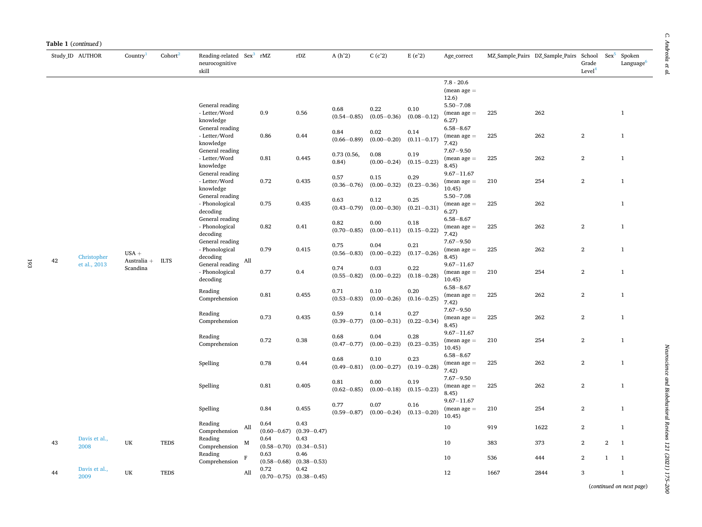|    | Study ID AUTHOR       | Country <sup>1</sup>     | Cohort <sup>2</sup> | Reading-related Sex <sup>3</sup> rMZ<br>neurocognitive<br>skill |                         | rDZ                                     | $A(h^2)$                | C(c <sup>2</sup> )      | $E(e^2)$                | Age_correct                                             |      | MZ_Sample_Pairs DZ_Sample_Pairs | School Sex <sup>5</sup><br>Grade<br>Level <sup>4</sup> |                  | Spoken<br>Language <sup>6</sup> |
|----|-----------------------|--------------------------|---------------------|-----------------------------------------------------------------|-------------------------|-----------------------------------------|-------------------------|-------------------------|-------------------------|---------------------------------------------------------|------|---------------------------------|--------------------------------------------------------|------------------|---------------------------------|
|    |                       |                          |                     | General reading                                                 |                         |                                         |                         |                         |                         | $7.8 - 20.6$<br>$(mean age =$<br>12.6)<br>$5.50 - 7.08$ |      |                                 |                                                        |                  |                                 |
|    |                       |                          |                     | - Letter/Word<br>knowledge<br>General reading                   | 0.9                     | 0.56                                    | 0.68<br>$(0.54 - 0.85)$ | 0.22<br>$(0.05 - 0.36)$ | 0.10<br>$(0.08 - 0.12)$ | $(mean age =$<br>6.27)<br>$6.58 - 8.67$                 | 225  | 262                             |                                                        |                  | $\mathbf{1}$                    |
|    |                       |                          |                     | - Letter/Word<br>knowledge                                      | 0.86                    | 0.44                                    | 0.84<br>$(0.66 - 0.89)$ | 0.02<br>$(0.00 - 0.20)$ | 0.14<br>$(0.11 - 0.17)$ | $(mean age =$<br>7.42)                                  | 225  | 262                             | $\sqrt{2}$                                             |                  | $\mathbf{1}$                    |
|    |                       |                          |                     | General reading<br>- Letter/Word<br>knowledge                   | 0.81                    | 0.445                                   | 0.73 (0.56,<br>0.84)    | 0.08<br>$(0.00 - 0.24)$ | 0.19<br>$(0.15 - 0.23)$ | $7.67 - 9.50$<br>$(mean age =$<br>8.45)                 | 225  | 262                             | $\overline{2}$                                         |                  | $\mathbf{1}$                    |
|    |                       |                          |                     | General reading<br>- Letter/Word<br>knowledge                   | 0.72                    | 0.435                                   | 0.57<br>$(0.36 - 0.76)$ | 0.15<br>$(0.00 - 0.32)$ | 0.29<br>$(0.23 - 0.36)$ | $9.67 - 11.67$<br>$(mean age =$<br>10.45)               | 210  | 254                             | $\overline{2}$                                         |                  | $\mathbf{1}$                    |
|    |                       |                          |                     | General reading<br>- Phonological<br>decoding                   | 0.75                    | 0.435                                   | 0.63<br>$(0.43 - 0.79)$ | 0.12<br>$(0.00 - 0.30)$ | 0.25<br>$(0.21 - 0.31)$ | $5.50 - 7.08$<br>$(mean age =$<br>6.27)                 | 225  | 262                             |                                                        |                  | $\mathbf{1}$                    |
|    |                       |                          |                     | General reading<br>- Phonological<br>decoding                   | 0.82                    | 0.41                                    | 0.82<br>$(0.70 - 0.85)$ | 0.00<br>$(0.00 - 0.11)$ | 0.18<br>$(0.15 - 0.22)$ | $6.58 - 8.67$<br>$(mean age =$<br>7.42)                 | 225  | 262                             | $\overline{2}$                                         |                  | $\mathbf{1}$                    |
| 42 | Christopher           | $USA +$<br>Australia $+$ | <b>ILTS</b>         | General reading<br>- Phonological<br>decoding<br>All            | 0.79                    | 0.415                                   | 0.75<br>$(0.56 - 0.83)$ | 0.04<br>$(0.00 - 0.22)$ | 0.21<br>$(0.17 - 0.26)$ | $7.67 - 9.50$<br>$(mean age =$<br>8.45)                 | 225  | 262                             | $\boldsymbol{2}$                                       |                  | $\mathbf{1}$                    |
|    | et al., 2013          | Scandina                 |                     | General reading<br>- Phonological<br>decoding                   | 0.77                    | 0.4                                     | 0.74<br>$(0.55 - 0.82)$ | 0.03<br>$(0.00 - 0.22)$ | 0.22<br>$(0.18 - 0.28)$ | $9.67 - 11.67$<br>$(mean age =$<br>10.45)               | 210  | 254                             | $\sqrt{2}$                                             |                  | $\mathbf{1}$                    |
|    |                       |                          |                     | Reading<br>Comprehension                                        | 0.81                    | 0.455                                   | 0.71<br>$(0.53 - 0.83)$ | 0.10<br>$(0.00 - 0.26)$ | 0.20<br>$(0.16 - 0.25)$ | $6.58 - 8.67$<br>$(mean age =$<br>7.42)                 | 225  | 262                             | $\overline{2}$                                         |                  | $\mathbf{1}$                    |
|    |                       |                          |                     | Reading<br>Comprehension                                        | 0.73                    | 0.435                                   | 0.59<br>$(0.39 - 0.77)$ | 0.14<br>$(0.00 - 0.31)$ | 0.27<br>$(0.22 - 0.34)$ | $7.67 - 9.50$<br>$(mean age =$<br>8.45)                 | 225  | 262                             | $\overline{2}$                                         |                  | $\mathbf{1}$                    |
|    |                       |                          |                     | Reading<br>Comprehension                                        | 0.72                    | 0.38                                    | 0.68<br>$(0.47 - 0.77)$ | 0.04<br>$(0.00 - 0.23)$ | 0.28<br>$(0.23 - 0.35)$ | $9.67 - 11.67$<br>$(mean age =$<br>10.45)               | 210  | 254                             | $\overline{2}$                                         |                  | $\mathbf{1}$                    |
|    |                       |                          |                     | Spelling                                                        | 0.78                    | 0.44                                    | 0.68<br>$(0.49 - 0.81)$ | 0.10<br>$(0.00 - 0.27)$ | 0.23<br>$(0.19 - 0.28)$ | $6.58 - 8.67$<br>$(mean age =$<br>7.42)                 | 225  | 262                             | $\sqrt{2}$                                             |                  | $\mathbf{1}$                    |
|    |                       |                          |                     | Spelling                                                        | 0.81                    | 0.405                                   | 0.81<br>$(0.62 - 0.85)$ | 0.00<br>$(0.00 - 0.18)$ | 0.19<br>$(0.15 - 0.23)$ | $7.67 - 9.50$<br>$(mean age =$<br>8.45)                 | 225  | 262                             | $\overline{2}$                                         |                  | $\mathbf{1}$                    |
|    |                       |                          |                     | Spelling                                                        | 0.84                    | 0.455                                   | 0.77<br>$(0.59 - 0.87)$ | 0.07<br>$(0.00 - 0.24)$ | 0.16<br>$(0.13 - 0.20)$ | $9.67 - 11.67$<br>$(mean age =$<br>10.45)               | 210  | 254                             | $\sqrt{2}$                                             |                  | $\mathbf{1}$                    |
|    |                       |                          |                     | Reading<br>All<br>Comprehension                                 | 0.64<br>$(0.60 - 0.67)$ | 0.43<br>$(0.39 - 0.47)$                 |                         |                         |                         | 10                                                      | 919  | 1622                            | $\overline{2}$                                         |                  | $\mathbf{1}$                    |
| 43 | Davis et al.,<br>2008 | UK                       | <b>TEDS</b>         | Reading<br>М<br>Comprehension                                   | 0.64<br>$(0.58 - 0.70)$ | 0.43<br>$(0.34 - 0.51)$                 |                         |                         |                         | 10                                                      | 383  | 373                             | $\sqrt{2}$                                             | $\boldsymbol{2}$ | $\mathbf{1}$                    |
|    |                       |                          |                     | Reading<br>$\mathbf F$<br>Comprehension                         | 0.63<br>$(0.58 - 0.68)$ | 0.46<br>$(0.38 - 0.53)$                 |                         |                         |                         | 10                                                      | 536  | 444                             | $\overline{2}$                                         | $\mathbf{1}$     | $\mathbf{1}$                    |
| 44 | Davis et al.,<br>2009 | UK                       | <b>TEDS</b>         | All                                                             | 0.72                    | 0.42<br>$(0.70 - 0.75)$ $(0.38 - 0.45)$ |                         |                         |                         | 12                                                      | 1667 | 2844                            | 3                                                      |                  | $\mathbf{1}$                    |

193

Neuroscience and Biobehavioral Reviews 121 (2021) 175-200 *Neuroscience and Biobehavioral Reviews 121 (2021) 175–200*

(*continued on next page*)

 $\mathcal C.$  Andreola et al. *C. Andreola et al.*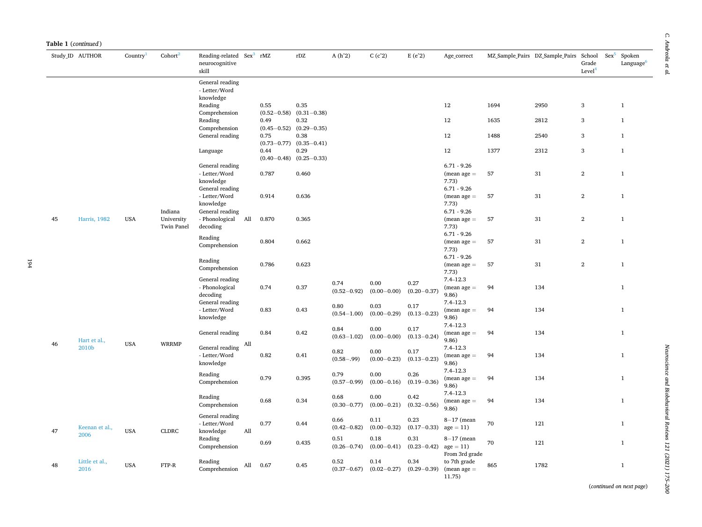|    | Table 1 (continued)    |                      |                                     |                                                                 |                         |                                     |                         |                         |                         |                                                     |      |                                        |                             |         |                                 |
|----|------------------------|----------------------|-------------------------------------|-----------------------------------------------------------------|-------------------------|-------------------------------------|-------------------------|-------------------------|-------------------------|-----------------------------------------------------|------|----------------------------------------|-----------------------------|---------|---------------------------------|
|    | Study ID AUTHOR        | Country <sup>1</sup> | Cohort $2$                          | Reading-related Sex <sup>3</sup> rMZ<br>neurocognitive<br>skill |                         | rDZ                                 | $A(h^2)$                | C(c <sup>2</sup> )      | $E(e^2)$                | Age_correct                                         |      | MZ Sample Pairs DZ Sample Pairs School | Grade<br>Level <sup>4</sup> | $Sex^5$ | Spoken<br>Language <sup>6</sup> |
|    |                        |                      |                                     | General reading<br>- Letter/Word<br>knowledge                   |                         |                                     |                         |                         |                         |                                                     |      |                                        |                             |         |                                 |
|    |                        |                      |                                     | Reading<br>Comprehension                                        | 0.55<br>$(0.52 - 0.58)$ | 0.35<br>$(0.31 - 0.38)$             |                         |                         |                         | 12                                                  | 1694 | 2950                                   | $\sqrt{3}$                  |         | $\mathbf{1}$                    |
|    |                        |                      |                                     | Reading<br>Comprehension                                        | 0.49                    | 0.32<br>$(0.45-0.52)$ $(0.29-0.35)$ |                         |                         |                         | 12                                                  | 1635 | 2812                                   | $\,$ 3                      |         | $\mathbf{1}$                    |
|    |                        |                      |                                     | General reading                                                 | 0.75<br>$(0.73 - 0.77)$ | 0.38<br>$(0.35 - 0.41)$             |                         |                         |                         | 12                                                  | 1488 | 2540                                   | $\,$ 3                      |         | $\mathbf{1}$                    |
|    |                        |                      |                                     | Language                                                        | 0.44<br>$(0.40 - 0.48)$ | 0.29<br>$(0.25 - 0.33)$             |                         |                         |                         | 12                                                  | 1377 | 2312                                   | $\sqrt{3}$                  |         | $\mathbf{1}$                    |
|    |                        |                      |                                     | General reading<br>- Letter/Word<br>knowledge                   | 0.787                   | 0.460                               |                         |                         |                         | $6.71 - 9.26$<br>$(mean age =$<br>7.73)             | 57   | 31                                     | $\,2$                       |         | $\mathbf{1}$                    |
|    |                        |                      |                                     | General reading<br>- Letter/Word<br>knowledge                   | 0.914                   | 0.636                               |                         |                         |                         | $6.71 - 9.26$<br>$(mean age =$<br>7.73)             | 57   | 31                                     | $\mathbf{2}$                |         | $\mathbf{1}$                    |
| 45 | <b>Harris</b> , 1982   | <b>USA</b>           | Indiana<br>University<br>Twin Panel | General reading<br>- Phonological<br>All<br>decoding            | 0.870                   | 0.365                               |                         |                         |                         | $6.71 - 9.26$<br>$(mean age =$<br>7.73)             | 57   | 31                                     | $\mathbf{2}$                |         | $\mathbf{1}$                    |
|    |                        |                      |                                     | Reading<br>Comprehension                                        | 0.804                   | 0.662                               |                         |                         |                         | $6.71 - 9.26$<br>$(mean age =$<br>7.73)             | 57   | 31                                     | $\,2$                       |         | $\mathbf{1}$                    |
|    |                        |                      |                                     | Reading<br>Comprehension                                        | 0.786                   | 0.623                               |                         |                         |                         | $6.71 - 9.26$<br>$(mean age =$<br>7.73)             | 57   | 31                                     | $\overline{2}$              |         | $\mathbf{1}$                    |
|    |                        |                      |                                     | General reading<br>- Phonological<br>decoding                   | 0.74                    | 0.37                                | 0.74<br>$(0.52 - 0.92)$ | 0.00<br>$(0.00 - 0.00)$ | 0.27<br>$(0.20 - 0.37)$ | $7.4 - 12.3$<br>$(mean age =$<br>9.86)              | 94   | 134                                    |                             |         | $\mathbf{1}$                    |
|    |                        |                      |                                     | General reading<br>- Letter/Word<br>knowledge                   | 0.83                    | 0.43                                | 0.80<br>$(0.54 - 1.00)$ | 0.03<br>$(0.00 - 0.29)$ | 0.17<br>$(0.13 - 0.23)$ | $7.4 - 12.3$<br>$(mean age =$<br>9.86)              | 94   | 134                                    |                             |         | $\mathbf{1}$                    |
| 46 | Hart et al.,           | <b>USA</b>           | <b>WRRMP</b>                        | General reading<br>All                                          | 0.84                    | 0.42                                | 0.84<br>$(0.63 - 1.02)$ | 0.00<br>$(0.00 - 0.00)$ | 0.17<br>$(0.13 - 0.24)$ | $7.4 - 12.3$<br>$(mean age =$<br>9.86               | 94   | 134                                    |                             |         | $\mathbf{1}$                    |
|    | 2010b                  |                      |                                     | General reading<br>- Letter/Word<br>knowledge                   | 0.82                    | 0.41                                | 0.82<br>$(0.58 - .99)$  | 0.00<br>$(0.00 - 0.23)$ | 0.17<br>$(0.13 - 0.23)$ | $7.4 - 12.3$<br>$(mean age =$<br>9.86)              | 94   | 134                                    |                             |         | $\mathbf{1}$                    |
|    |                        |                      |                                     | Reading<br>Comprehension                                        | 0.79                    | 0.395                               | 0.79<br>$(0.57 - 0.99)$ | 0.00<br>$(0.00 - 0.16)$ | 0.26<br>$(0.19 - 0.36)$ | $7.4 - 12.3$<br>$(mean age =$<br>9.86               | 94   | 134                                    |                             |         | $\mathbf{1}$                    |
|    |                        |                      |                                     | Reading<br>Comprehension                                        | 0.68                    | 0.34                                | 0.68<br>$(0.30 - 0.77)$ | 0.00<br>$(0.00 - 0.21)$ | 0.42<br>$(0.32 - 0.56)$ | $7.4 - 12.3$<br>$(mean age =$<br>9.86)              | 94   | 134                                    |                             |         | $\mathbf{1}$                    |
| 47 | Keenan et al.,         | <b>USA</b>           | <b>CLDRC</b>                        | General reading<br>- Letter/Word<br>knowledge<br>All            | 0.77                    | 0.44                                | 0.66<br>$(0.42 - 0.82)$ | 0.11<br>$(0.00 - 0.32)$ | 0.23<br>$(0.17 - 0.33)$ | $8-17$ (mean<br>$age = 11$                          | 70   | 121                                    |                             |         | $\mathbf{1}$                    |
|    | 2006                   |                      |                                     | Reading<br>Comprehension                                        | 0.69                    | 0.435                               | 0.51<br>$(0.26 - 0.74)$ | 0.18<br>$(0.00 - 0.41)$ | 0.31<br>$(0.23 - 0.42)$ | $8-17$ (mean<br>$age = 11$<br>From 3rd grade        | 70   | 121                                    |                             |         | $\mathbf{1}$                    |
| 48 | Little et al.,<br>2016 | <b>USA</b>           | FTP-R                               | Reading<br>All<br>Comprehension                                 | 0.67                    | 0.45                                | 0.52<br>$(0.37 - 0.67)$ | 0.14<br>$(0.02 - 0.27)$ | 0.34                    | to 7th grade<br>$(0.29-0.39)$ (mean age =<br>11.75) | 865  | 1782                                   |                             |         | $\mathbf{1}$                    |

 $\mathcal C.$  Andreola et al. *C. Andreola et al.*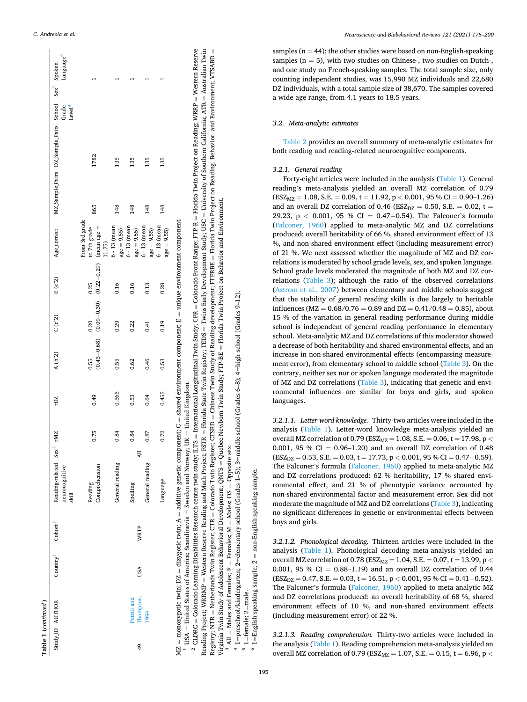<span id="page-21-0"></span>

|                | Table 1 (continued)      |                      |             |                                                                                                                                                 |      |            |       |                                                               |                  |                                          |                |                                                                                               |                       |  |
|----------------|--------------------------|----------------------|-------------|-------------------------------------------------------------------------------------------------------------------------------------------------|------|------------|-------|---------------------------------------------------------------|------------------|------------------------------------------|----------------|-----------------------------------------------------------------------------------------------|-----------------------|--|
|                | Study_ID AUTHOR          | Country <sup>1</sup> | Cohort      | Reading-related Sex<br>neurocognitive<br>skill                                                                                                  | rMZ  | rDZ        | A(h2) | C(C <sup>2</sup> )                                            | $E(e^{\gamma}2)$ | Age_correct                              |                | MZ_Sample_Pairs DZ_Sample_Pairs School Sex <sup>3</sup> Spoken<br>Grade<br>Level <sup>4</sup> | Language <sup>o</sup> |  |
|                |                          |                      |             | Comprehension<br>Reading                                                                                                                        | 0.75 | 0.49       | 0.55  | $(0.43-0.68)$ $(0.09-0.30)$ $(0.22-0.29)$ (mean age =<br>0.20 | 0.25             | From 3rd grade<br>to 7th grade<br>(1.75) | 865            | 1782                                                                                          |                       |  |
|                |                          |                      |             | General reading                                                                                                                                 | 0.84 | 0.565      | 0.55  | 0.29                                                          | 0.16             | $6 - 13$ (mean<br>$age = 9.55$           | 148            | 135                                                                                           |                       |  |
| $\frac{49}{5}$ | Thompson,<br>Petrill and | USA                  | <b>WRTP</b> | 긩<br>Spelling                                                                                                                                   | 0.84 | 0.53       | 0.62  | 0.22                                                          | 0.16             | $6 - 13$ (mean<br>$age = 9.55$           | 148            | 135                                                                                           |                       |  |
|                | 1994                     |                      |             | General reading                                                                                                                                 | 0.87 | 0.64       | 0.46  | 0.41                                                          | 0.13             | $6 - 13$ (mean<br>$age = 9.55$           | 148            | 135                                                                                           |                       |  |
|                |                          |                      |             | Language                                                                                                                                        | 0.72 | 0.455      | 0.53  | 0.19                                                          | 0.28             | $6 - 13$ (mean<br>$age = 9.55$           | $\frac{48}{5}$ | 135                                                                                           |                       |  |
|                |                          |                      |             | MZ = monozygotic twin; DZ = dizygotic twin; A = additive genetic component; C = shared environment component; E = unique environment component. |      | $\ddot{ }$ |       |                                                               |                  |                                          |                |                                                                                               |                       |  |

 monozygotic twin; DZ dizygotic twin; A additive genetic component; C shared environment component; E

 $^{1}$  USA  $=$  United States of America; Scandinavia Sweden and Norway; UK United Kingdom.

 Western Reserve Australian Twin Florida Twin Project on Reading. Behavior. and Environment; VTSABD University of Southern California; ATR Florida Twin Project on Reading; WRRP Florida Twin Project on Behavior and Environment. Twins Early Development Study; USC Colorado Front Range; FTP-R Chinese Twin Study of Reading development; FTPRBE International Longitudinal Twin Study; CFR Florida State Twin Registry; TEDS Quebec Newborn Twin Study; FTP-BE Colorado Twin Register; CTSRD Western Reserve Reading and Math Project; FSTR Colorado Learning Disabilities Research centre twin study; ILTS Virginia Twin Study of Adolescent Behavioral Development; QNTS Netherlands Twin Register; CTR Virginia Twin Study of Adolescent Reading Project; WRRMP Registry; NTR  $2$  CLDRC =

3 All = Males and Females; F = Females; M = Males; OS = Opposite sex.  $\overline{ }$ =elementary school (Grades 1–5); 3 =middle school (Grades 6–8); 4 =high school (Grades 9–12).

1=preschool/kindergarten; 2 =male.

က 1=female; 2 61=English speaking sample; 2 1=English speaking sample; 2 = non-English speaking sample.

non-English speaking sample.

*Neuroscience and Biobehavioral Reviews 121 (2021) 175–200*

samples ( $n = 44$ ); the other studies were based on non-English-speaking samples  $(n = 5)$ , with two studies on Chinese-, two studies on Dutch-, and one study on French-speaking samples. The total sample size, only counting independent studies, was 15,990 MZ individuals and 22,680 DZ individuals, with a total sample size of 38,670. The samples covered a wide age range, from 4.1 years to 18.5 years.

## *3.2. Meta-analytic estimates*

[Table 2](#page-22-0) provides an overall summary of meta-analytic estimates for both reading and reading-related neurocognitive components.

## *3.2.1. General reading*

Forty-eight articles were included in the analysis ([Table 1\)](#page-5-0). General reading's meta-analysis yielded an overall MZ correlation of 0.79 (ESZMZ = 1.08, S.E. = 0.09, t = 11.92, p *<* 0.001, 95 % CI = 0.90–1.26) and an overall DZ correlation of 0.46 (ESZ<sub>DZ</sub> = 0.50, S.E. = 0.02, t = 29.23, p *<* 0.001, 95 % CI = 0.47−0.54). The Falconer's formula [\(Falconer, 1960](#page-25-0)) applied to meta-analytic MZ and DZ correlations produced: overall heritability of 66 %, shared environment effect of 13 %, and non-shared environment effect (including measurement error) of 21 %. We next assessed whether the magnitude of MZ and DZ correlations is moderated by school grade levels, sex, and spoken language. School grade levels moderated the magnitude of both MZ and DZ correlations ([Table 3\)](#page-23-0); although the ratio of the observed correlations [\(Astrom et al., 2007](#page-24-0)) between elementary and middle schools suggest that the stability of general reading skills is due largely to heritable influences ( $MZ = 0.68/0.76 = 0.89$  and  $DZ = 0.41/0.48 = 0.85$ ), about 15 % of the variation in general reading performance during middle school is independent of general reading performance in elementary school. Meta-analytic MZ and DZ correlations of this moderator showed a decrease of both heritability and shared environmental effects, and an increase in non-shared environmental effects (encompassing measure-ment error), from elementary school to middle school ([Table 3\)](#page-23-0). On the contrary, neither sex nor or spoken language moderated the magnitude of MZ and DZ correlations ([Table 3](#page-23-0)), indicating that genetic and environmental influences are similar for boys and girls, and spoken languages.

*3.2.1.1. Letter-word knowledge.* Thirty-two articles were included in the analysis [\(Table 1](#page-5-0)). Letter-word knowledge meta-analysis yielded an overall MZ correlation of 0.79 (ESZMZ = 1.08, S.E. = 0.06, t = 17.98, p *<* 0.001, 95 % CI = 0.96–1.20) and an overall DZ correlation of 0.48 (ESZDZ = 0.53, S.E. = 0.03, t = 17.73, p *<* 0.001, 95 % CI = 0.47−0.59). The Falconer's formula [\(Falconer, 1960](#page-25-0)) applied to meta-analytic MZ and DZ correlations produced: 62 % heritability, 17 % shared environmental effect, and 21 % of phenotypic variance accounted by non-shared environmental factor and measurement error. Sex did not moderate the magnitude of MZ and DZ correlations ([Table 3](#page-23-0)), indicating no significant differences in genetic or environmental effects between boys and girls.

*3.2.1.2. Phonological decoding.* Thirteen articles were included in the analysis [\(Table 1\)](#page-5-0). Phonological decoding meta-analysis yielded an overall MZ correlation of 0.78 (ESZMZ = 1.04, S.E. = 0.07, t = 13.99, p *<* 0.001, 95 % CI =  $0.88-1.19$  and an overall DZ correlation of 0.44 (ESZDZ = 0.47, S.E. = 0.03, t = 16.51, p *<* 0.001, 95 % CI = 0.41−0.52). The Falconer's formula [\(Falconer, 1960](#page-25-0)) applied to meta-analytic MZ and DZ correlations produced: an overall heritability of 68 %, shared environment effects of 10 %, and non-shared environment effects (including measurement error) of 22 %.

*3.2.1.3. Reading comprehension.* Thirty-two articles were included in the analysis ([Table 1](#page-5-0)). Reading comprehension meta-analysis yielded an overall MZ correlation of 0.79 (ESZMZ = 1.07, S.E. = 0.15, t = 6.96, p *<*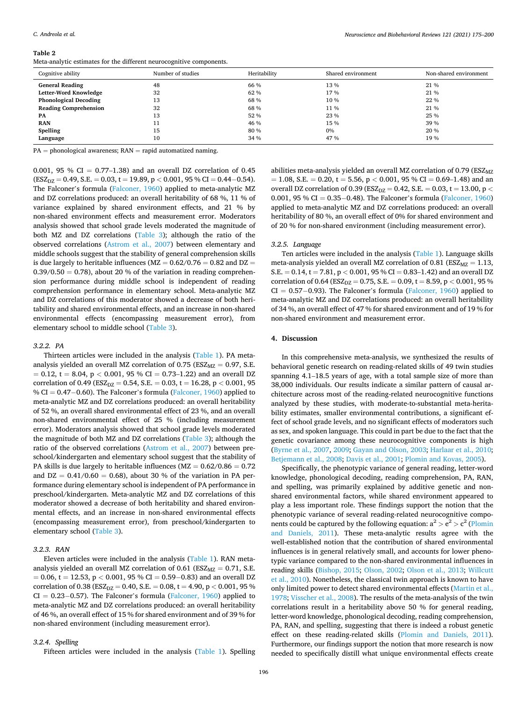#### <span id="page-22-0"></span>**Table 2**

Meta-analytic estimates for the different neurocognitive components.

| Cognitive ability            | Number of studies | Heritability | Shared environment | Non-shared environment |
|------------------------------|-------------------|--------------|--------------------|------------------------|
| <b>General Reading</b>       | 48                | 66 %         | 13%                | 21 %                   |
| Letter-Word Knowledge        | 32                | 62 %         | 17 %               | 21 %                   |
| <b>Phonological Decoding</b> | 13                | 68 %         | 10 %               | 22 %                   |
| <b>Reading Comprehension</b> | 32                | 68 %         | 11 %               | 21 %                   |
| PA                           | 13                | 52 %         | 23 %               | 25 %                   |
| <b>RAN</b>                   | 11                | 46 %         | 15 %               | 39 %                   |
| Spelling                     | 15                | 80 %         | 0%                 | 20 %                   |
| Language                     | 10                | 34 %         | 47 %               | 19 %                   |

 $PA = phonological$  awareness;  $RAN = rapid$  automatized naming.

0.001, 95 % CI =  $0.77-1.38$ ) and an overall DZ correlation of 0.45 (ESZDZ = 0.49, S.E. = 0.03, t = 19.89, p *<* 0.001, 95 % CI = 0.44−0.54). The Falconer's formula ([Falconer, 1960\)](#page-25-0) applied to meta-analytic MZ and DZ correlations produced: an overall heritability of 68 %, 11 % of variance explained by shared environment effects, and 21 % by non-shared environment effects and measurement error. Moderators analysis showed that school grade levels moderated the magnitude of both MZ and DZ correlations [\(Table 3\)](#page-23-0); although the ratio of the observed correlations [\(Astrom et al., 2007\)](#page-24-0) between elementary and middle schools suggest that the stability of general comprehension skills is due largely to heritable influences ( $MZ = 0.62/0.76 = 0.82$  and  $DZ =$  $0.39/0.50 = 0.78$ , about 20 % of the variation in reading comprehension performance during middle school is independent of reading comprehension performance in elementary school. Meta-analytic MZ and DZ correlations of this moderator showed a decrease of both heritability and shared environmental effects, and an increase in non-shared environmental effects (encompassing measurement error), from elementary school to middle school ([Table 3\)](#page-23-0).

#### *3.2.2. PA*

Thirteen articles were included in the analysis [\(Table 1\)](#page-5-0). PA metaanalysis yielded an overall MZ correlation of  $0.75$  (ESZ<sub>MZ</sub> = 0.97, S.E. = 0.12, t = 8.04, p *<* 0.001, 95 % CI = 0.73–1.22) and an overall DZ correlation of 0.49 (ESZ<sub>DZ</sub> = 0.54, S.E. = 0.03, t = 16.28, p < 0.001, 95 % CI = 0.47-0.60). The Falconer's formula ([Falconer, 1960](#page-25-0)) applied to meta-analytic MZ and DZ correlations produced: an overall heritability of 52 %, an overall shared environmental effect of 23 %, and an overall non-shared environmental effect of 25 % (including measurement error). Moderators analysis showed that school grade levels moderated the magnitude of both MZ and DZ correlations [\(Table 3\)](#page-23-0); although the ratio of the observed correlations ([Astrom et al., 2007\)](#page-24-0) between preschool/kindergarten and elementary school suggest that the stability of PA skills is due largely to heritable influences ( $MZ = 0.62/0.86 = 0.72$ and  $DZ = 0.41/0.60 = 0.68$ , about 30 % of the variation in PA performance during elementary school is independent of PA performance in preschool/kindergarten. Meta-analytic MZ and DZ correlations of this moderator showed a decrease of both heritability and shared environmental effects, and an increase in non-shared environmental effects (encompassing measurement error), from preschool/kindergarten to elementary school [\(Table 3\)](#page-23-0).

## *3.2.3. RAN*

Eleven articles were included in the analysis ([Table 1\)](#page-5-0). RAN metaanalysis yielded an overall MZ correlation of 0.61 ( $ESZ_{MZ} = 0.71$ , S.E. = 0.06, t = 12.53, p *<* 0.001, 95 % CI = 0.59−0.83) and an overall DZ correlation of 0.38 (ESZ<sub>DZ</sub> = 0.40, S.E. = 0.08, t = 4.90, p < 0.001, 95 % CI = 0.23−0.57). The Falconer's formula ([Falconer, 1960](#page-25-0)) applied to meta-analytic MZ and DZ correlations produced: an overall heritability of 46 %, an overall effect of 15 % for shared environment and of 39 % for non-shared environment (including measurement error).

## *3.2.4. Spelling*

Fifteen articles were included in the analysis [\(Table 1](#page-5-0)). Spelling

abilities meta-analysis yielded an overall MZ correlation of  $0.79$  (ESZ<sub>MZ</sub>)  $= 1.08$ , S.E.  $= 0.20$ ,  $t = 5.56$ ,  $p < 0.001$ , 95 % CI  $= 0.69 - 1.48$ ) and an overall DZ correlation of 0.39 (ESZ<sub>DZ</sub> = 0.42, S.E. = 0.03, t = 13.00, p < 0.001, 95 % CI = 0.35−0.48). The Falconer's formula ([Falconer, 1960\)](#page-25-0) applied to meta-analytic MZ and DZ correlations produced: an overall heritability of 80 %, an overall effect of 0% for shared environment and of 20 % for non-shared environment (including measurement error).

#### *3.2.5. Language*

Ten articles were included in the analysis [\(Table 1](#page-5-0)). Language skills meta-analysis yielded an overall MZ correlation of 0.81 ( $ESZ_{MZ} = 1.13$ , S.E. = 0.14, t = 7.81, p *<* 0.001, 95 % CI = 0.83–1.42) and an overall DZ correlation of 0.64 ( $ESZ_{DZ} = 0.75$ , S.E.  $= 0.09$ ,  $t = 8.59$ ,  $p < 0.001$ , 95 %  $CI = 0.57-0.93$ ). The Falconer's formula ([Falconer, 1960](#page-25-0)) applied to meta-analytic MZ and DZ correlations produced: an overall heritability of 34 %, an overall effect of 47 % for shared environment and of 19 % for non-shared environment and measurement error.

### **4. Discussion**

In this comprehensive meta-analysis, we synthesized the results of behavioral genetic research on reading-related skills of 49 twin studies spanning 4.1–18.5 years of age, with a total sample size of more than 38,000 individuals. Our results indicate a similar pattern of causal architecture across most of the reading-related neurocognitive functions analyzed by these studies, with moderate-to-substantial meta-heritability estimates, smaller environmental contributions, a significant effect of school grade levels, and no significant effects of moderators such as sex, and spoken language. This could in part be due to the fact that the genetic covariance among these neurocognitive components is high ([Byrne et al., 2007](#page-24-0), [2009;](#page-24-0) [Gayan and Olson, 2003](#page-25-0); [Harlaar et al., 2010](#page-25-0); [Betjemann et al., 2008;](#page-24-0) [Davis et al., 2001](#page-25-0); [Plomin and Kovas, 2005](#page-26-0)).

Specifically, the phenotypic variance of general reading, letter-word knowledge, phonological decoding, reading comprehension, PA, RAN, and spelling, was primarily explained by additive genetic and nonshared environmental factors, while shared environment appeared to play a less important role. These findings support the notion that the phenotypic variance of several reading-related neurocognitive components could be captured by the following equation:  $a^2 > e^2 > c^2$  (Plomin [and Daniels, 2011](#page-26-0)). These meta-analytic results agree with the well-established notion that the contribution of shared environmental influences is in general relatively small, and accounts for lower phenotypic variance compared to the non-shared environmental influences in reading skills ([Bishop, 2015;](#page-24-0) [Olson, 2002;](#page-25-0) [Olson et al., 2013](#page-26-0); [Willcutt](#page-26-0)  [et al., 2010](#page-26-0)). Nonetheless, the classical twin approach is known to have only limited power to detect shared environmental effects ([Martin et al.,](#page-25-0)  [1978;](#page-25-0) [Visscher et al., 2008\)](#page-26-0). The results of the meta-analysis of the twin correlations result in a heritability above 50 % for general reading, letter-word knowledge, phonological decoding, reading comprehension, PA, RAN, and spelling, suggesting that there is indeed a robust genetic effect on these reading-related skills [\(Plomin and Daniels, 2011](#page-26-0)). Furthermore, our findings support the notion that more research is now needed to specifically distill what unique environmental effects create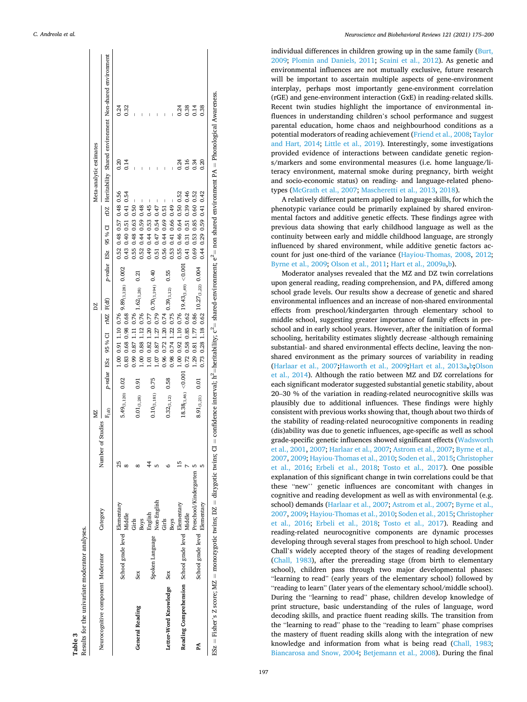<span id="page-23-0"></span>

| Results for the univariate moderator analyses.<br>Table 3                                                          |                                         |                                                    |                     |                              |      |                                                     |                                                                                                                                              |                         |      |
|--------------------------------------------------------------------------------------------------------------------|-----------------------------------------|----------------------------------------------------|---------------------|------------------------------|------|-----------------------------------------------------|----------------------------------------------------------------------------------------------------------------------------------------------|-------------------------|------|
|                                                                                                                    |                                         |                                                    | Number of Studies - | NZ.                          |      | DΖ                                                  |                                                                                                                                              | Meta-analytic estimates |      |
| Neurocognitive component Moderator                                                                                 |                                         | Category                                           |                     | F <sub>(df)</sub>            |      | p-value ESz 95 % CI rMZ F(df)                       | p-value ESz 95 % CI rDZ Heritability Shared environment Non-shared environment                                                               |                         |      |
|                                                                                                                    |                                         |                                                    | 25                  |                              |      | 1.00 0.91 1.10 0.76                                 | 0.52 0.48 0.57 0.48 0.56                                                                                                                     | 0.20                    | 0.24 |
|                                                                                                                    | School grade level Elementary<br>Middle |                                                    |                     | 5.49 <sub>(1,120)</sub> 0.02 |      | $0.83$ 0.68 0.98 0.68 9.89 $(1,128)$ 0.002          | 0.43 0.40 0.51 0.41 0.54                                                                                                                     | 0.14                    | 0.32 |
| <b>General Reading</b>                                                                                             | Sex                                     | Girls                                              |                     |                              | 0.91 | 0.99 0.87 1.11 0.76                                 | $\overline{\phantom{a}}$<br>0.55 0.48 0.63 0.50<br>0.21                                                                                      |                         |      |
|                                                                                                                    |                                         | <b>Boys</b>                                        |                     | $0.01_{(1,28)}$              |      | $1.00$ 0.88 1.12 0.76 $1.62$ (1,28)                 | I<br>0.52 0.44 0.59 0.48                                                                                                                     |                         |      |
|                                                                                                                    |                                         | English                                            | 4                   |                              |      | 1.01 0.82 1.20 0.77                                 | $\overline{\phantom{a}}$<br>0.49 0.44 0.53 0.45                                                                                              |                         |      |
|                                                                                                                    | Spoken Language                         | Non-English                                        |                     | $0.10_{(1,181)}$ 0.75        |      | $1.07$ 0.87 1.27 0.79 $0.70$ (1,194) 0.40           | $\mathsf I$<br>0.51 0.47 0.54 0.47                                                                                                           |                         |      |
|                                                                                                                    |                                         | Girls                                              |                     |                              |      | 0.96 0.72 1.20 0.74                                 | $\mathsf I$<br>0.56 0.44 0.69 0.51                                                                                                           |                         |      |
| Letter-Word Knowledge Sex                                                                                          |                                         | Boys                                               |                     | $0.32_{(1,12)}$ 0.58         |      | $0.98$ 0.74 1.22 0.75 $0.39$ <sub>(1,12)</sub> 0.55 | 0.53 0.41 0.66 0.49                                                                                                                          |                         |      |
| Reading Comprehension School grade level $\underset{\star\:\!\star\:\!\star\:\!\star\:\!\star}{\text{Elementary}}$ |                                         |                                                    | Ľ                   |                              |      | 1.00 0.92 1.10 0.76                                 | 0.55 0.46 0.64 0.50 0.52                                                                                                                     | 0.24                    | 0.24 |
|                                                                                                                    |                                         |                                                    |                     | $18.38_{(1,46)} < 0.001$     |      | $19.43_{(1,49)} < 0.001$<br>0.72 0.58 0.85 0.62     | 0.41 0.31 0.51 0.39 0.46                                                                                                                     | 0.16                    | 0.38 |
| Å                                                                                                                  |                                         | School grade level $\_\_$ Preschool/Kindergarten 5 |                     |                              |      | 1.29 0.81 1.77 0.86                                 | 0.69 0.53 0.85 0.60 0.52                                                                                                                     | 0.34                    | 0.14 |
|                                                                                                                    |                                         | Elementary                                         |                     | $8.91_{(1,21)}$ 0.01         |      | $0.73$ 0.28 1.18 $0.62$ $10.27_{(1,22)}$ 0.004      | 0.44 0.29 0.59 0.41 0.42                                                                                                                     | 0.20                    | 0.38 |
| ESz = Fisher's Z score; MZ = monozygotic twins; DZ = dizygotic twins; CI                                           |                                         |                                                    |                     |                              |      |                                                     | = confidence interval; h <sup>2</sup> =heritability; $c^2$ = shared-environment; $e^2$ = non shared environment PA = Phonological Awareness. |                         |      |

*Neuroscience and Biobehavioral Reviews 121 (2021) 175–200*

individual differences in children growing up in the same family [\(Burt,](#page-24-0)  [2009;](#page-24-0) [Plomin and Daniels, 2011;](#page-26-0) [Scaini et al., 2012\)](#page-26-0). As genetic and environmental influences are not mutually exclusive, future research will be important to ascertain multiple aspects of gene-environment interplay, perhaps most importantly gene-environment correlation (rGE) and gene-environment interaction (GxE) in reading-related skills. Recent twin studies highlight the importance of environmental influences in understanding children's school performance and suggest parental education, home chaos and neighbourhood conditions as a potential moderators of reading achievement ([Friend et al., 2008;](#page-25-0) [Taylor](#page-26-0)  [and Hart, 2014;](#page-26-0) [Little et al., 2019\)](#page-25-0). Interestingly, some investigations provided evidence of interactions between candidate genetic regions/markers and some environmental measures (i.e. home language/literacy environment, maternal smoke during pregnancy, birth weight and socio-economic status) on reading- and language-related phenotypes [\(McGrath et al., 2007; Mascheretti et al., 2013](#page-25-0), [2018\)](#page-25-0).

A relatively different pattern applied to language skills, for which the phenotypic variance could be primarily explained by shared environmental factors and additive genetic effects. These findings agree with previous data showing that early childhood language as well as the continuity between early and middle childhood language, are strongly influenced by shared environment, while additive genetic factors account for just one-third of the variance [\(Hayiou-Thomas, 2008](#page-25-0), [2012](#page-25-0); [Byrne et al., 2009;](#page-24-0) [Olson et al., 2011](#page-25-0); [Hart et al., 2009a](#page-25-0),[b](#page-25-0)).

Moderator analyses revealed that the MZ and DZ twin correlations upon general reading, reading comprehension, and PA, differed among school grade levels. Our results show a decrease of genetic and shared environmental influences and an increase of non-shared environmental effects from preschool/kindergarten through elementary school to middle school, suggesting greater importance of family effects in preschool and in early school years. However, after the initiation of formal schooling, heritability estimates slightly decrease -although remaining substantial- and shared environmental effects decline, leaving the nonshared environment as the primary sources of variability in reading ([Harlaar et al., 2007](#page-25-0)**;**[Haworth et al., 2009](#page-25-0)**;**[Hart et al., 2013a](#page-25-0)**,**[b](#page-25-0)**;**[Olson](#page-26-0)  [et al., 2014](#page-26-0)). Although the ratio between MZ and DZ correlations for each significant moderator suggested substantial genetic stability, about 20–30 % of the variation in reading-related neurocognitive skills was plausibly due to additional influences. These findings were highly consistent with previous works showing that, though about two thirds of the stability of reading-related neurocognitive components in reading (dis)ability was due to genetic influences, age-specific as well as school grade-specific genetic influences showed significant effects ([Wadsworth](#page-26-0)  [et al., 2001, 2007](#page-26-0); [Harlaar et al., 2007](#page-25-0); [Astrom et al., 2007](#page-24-0); [Byrne et al.,](#page-24-0)  [2007, 2009](#page-24-0); [Hayiou-Thomas et al., 2010;](#page-25-0) [Soden et al., 2015](#page-26-0); [Christopher](#page-25-0)  [et al., 2016;](#page-25-0) [Erbeli et al., 2018;](#page-25-0) [Tosto et al., 2017](#page-26-0)). One possible explanation of this significant change in twin correlations could be that these "new'' genetic influences are concomitant with changes in cognitive and reading development as well as with environmental (e.g. school) demands ([Harlaar et al., 2007](#page-25-0); [Astrom et al., 2007; Byrne et al.,](#page-24-0)  [2007, 2009](#page-24-0); [Hayiou-Thomas et al., 2010;](#page-25-0) [Soden et al., 2015](#page-26-0); [Christopher](#page-25-0)  [et al., 2016;](#page-25-0) [Erbeli et al., 2018](#page-25-0); [Tosto et al., 2017\)](#page-26-0). Reading and reading-related neurocognitive components are dynamic processes developing through several stages from preschool to high school. Under Chall's widely accepted theory of the stages of reading development ([Chall, 1983](#page-24-0)), after the prereading stage (from birth to elementary school), children pass through two major developmental phases: "learning to read" (early years of the elementary school) followed by "reading to learn" (later years of the elementary school/middle school). During the "learning to read" phase, children develop knowledge of print structure, basic understanding of the rules of language, word decoding skills, and practice fluent reading skills. The transition from the "learning to read" phase to the "reading to learn" phase comprises the mastery of fluent reading skills along with the integration of new knowledge and information from what is being read ([Chall, 1983](#page-24-0); [Biancarosa and Snow, 2004;](#page-24-0) [Betjemann et al., 2008](#page-24-0)). During the final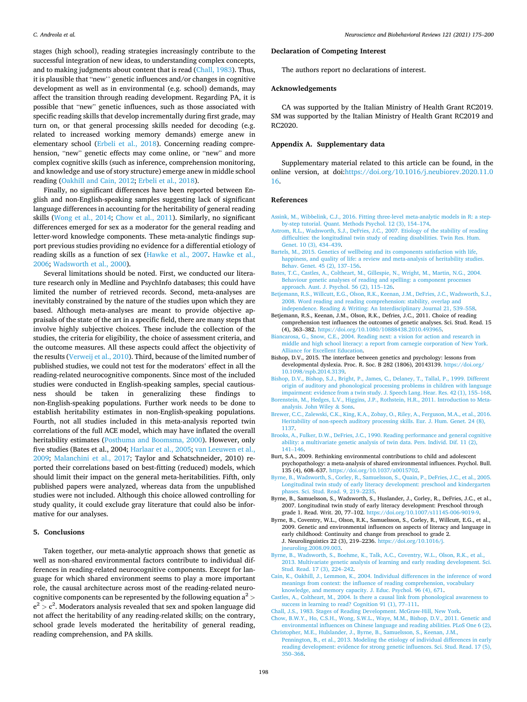<span id="page-24-0"></span>stages (high school), reading strategies increasingly contribute to the successful integration of new ideas, to understanding complex concepts, and to making judgments about content that is read (Chall, 1983). Thus, it is plausible that "new'' genetic influences and/or changes in cognitive development as well as in environmental (e.g. school) demands, may affect the transition through reading development. Regarding PA, it is possible that "new" genetic influences, such as those associated with specific reading skills that develop incrementally during first grade, may turn on, or that general processing skills needed for decoding (e.g. related to increased working memory demands) emerge anew in elementary school ([Erbeli et al., 2018\)](#page-25-0). Concerning reading comprehension, "new" genetic effects may come online, or "new" and more complex cognitive skills (such as inference, comprehension monitoring, and knowledge and use of story structure) emerge anew in middle school reading ([Oakhill and Cain, 2012;](#page-25-0) [Erbeli et al., 2018](#page-25-0)).

Finally, no significant differences have been reported between English and non-English-speaking samples suggesting lack of significant language differences in accounting for the heritability of general reading skills [\(Wong et al., 2014;](#page-26-0) Chow et al., 2011). Similarly, no significant differences emerged for sex as a moderator for the general reading and letter-word knowledge components. These meta-analytic findings support previous studies providing no evidence for a differential etiology of reading skills as a function of sex ([Hawke et al., 2007](#page-25-0). [Hawke et al.,](#page-25-0)  [2006;](#page-25-0) [Wadsworth et al., 2000\)](#page-26-0).

Several limitations should be noted. First, we conducted our literature research only in Medline and PsychInfo databases; this could have limited the number of retrieved records. Second, meta-analyses are inevitably constrained by the nature of the studies upon which they are based. Although meta-analyses are meant to provide objective appraisals of the state of the art in a specific field, there are many steps that involve highly subjective choices. These include the collection of the studies, the criteria for eligibility, the choice of assessment criteria, and the outcome measures. All these aspects could affect the objectivity of the results ([Verweij et al., 2010](#page-26-0)). Third, because of the limited number of published studies, we could not test for the moderators' effect in all the reading-related neurocognitive components. Since most of the included studies were conducted in English-speaking samples, special cautiousness should be taken in generalizing these findings to non-English-speaking populations. Further work needs to be done to establish heritability estimates in non-English-speaking populations. Fourth, not all studies included in this meta-analysis reported twin correlations of the full ACE model, which may have inflated the overall heritability estimates [\(Posthuma and Boomsma, 2000\)](#page-26-0). However, only five studies (Bates et al., 2004; [Harlaar et al., 2005](#page-25-0); [van Leeuwen et al.,](#page-26-0)  [2009;](#page-26-0) [Malanchini et al., 2017](#page-25-0); Taylor and Schatschneider, 2010) reported their correlations based on best-fitting (reduced) models, which should limit their impact on the general meta-heritabilities. Fifth, only published papers were analyzed, whereas data from the unpublished studies were not included. Although this choice allowed controlling for study quality, it could exclude gray literature that could also be informative for our analyses.

#### **5. Conclusions**

Taken together, our meta-analytic approach shows that genetic as well as non-shared environmental factors contribute to individual differences in reading-related neurocognitive components. Except for language for which shared environment seems to play a more important role, the causal architecture across most of the reading-related neurocognitive components can be represented by the following equation a2 *>* e <sup>2</sup>*>* c 2 . Moderators analysis revealed that sex and spoken language did not affect the heritability of any reading-related skills; on the contrary, school grade levels moderated the heritability of general reading, reading comprehension, and PA skills.

## **Declaration of Competing Interest**

The authors report no declarations of interest.

## **Acknowledgements**

CA was supported by the Italian Ministry of Health Grant RC2019. SM was supported by the Italian Ministry of Health Grant RC2019 and RC2020.

## **Appendix A. Supplementary data**

Supplementary material related to this article can be found, in the online version, at doi:[https://doi.org/10.1016/j.neubiorev.2020.11.0](https://doi.org/10.1016/j.neubiorev.2020.11.016)  [16.](https://doi.org/10.1016/j.neubiorev.2020.11.016)

#### **References**

- [Assink, M., Wibbelink, C.J., 2016. Fitting three-level meta-analytic models in R: a step](http://refhub.elsevier.com/S0149-7634(20)30650-3/sbref0005)[by-step tutorial. Quant. Methods Psychol. 12 \(3\), 154](http://refhub.elsevier.com/S0149-7634(20)30650-3/sbref0005)–174.
- [Astrom, R.L., Wadsworth, S.J., DeFries, J.C., 2007. Etiology of the stability of reading](http://refhub.elsevier.com/S0149-7634(20)30650-3/sbref0010)  [difficulties: the longitudinal twin study of reading disabilities. Twin Res. Hum.](http://refhub.elsevier.com/S0149-7634(20)30650-3/sbref0010) [Genet. 10 \(3\), 434](http://refhub.elsevier.com/S0149-7634(20)30650-3/sbref0010)–439.
- [Bartels, M., 2015. Genetics of wellbeing and its components satisfaction with life,](http://refhub.elsevier.com/S0149-7634(20)30650-3/sbref0015)  [happiness, and quality of life: a review and meta-analysis of heritability studies.](http://refhub.elsevier.com/S0149-7634(20)30650-3/sbref0015) [Behav. Genet. 45 \(2\), 137](http://refhub.elsevier.com/S0149-7634(20)30650-3/sbref0015)–156.
- [Bates, T.C., Castles, A., Coltheart, M., Gillespie, N., Wright, M., Martin, N.G., 2004.](http://refhub.elsevier.com/S0149-7634(20)30650-3/sbref0020) Behaviour genetic analyses of reading and spelling: a component processe [approach. Aust. J. Psychol. 56 \(2\), 115](http://refhub.elsevier.com/S0149-7634(20)30650-3/sbref0020)–126.
- [Betjemann, R.S., Willcutt, E.G., Olson, R.K., Keenan, J.M., DeFries, J.C., Wadsworth, S.J.,](http://refhub.elsevier.com/S0149-7634(20)30650-3/sbref0025)  [2008. Word reading and reading comprehension: stability, overlap and](http://refhub.elsevier.com/S0149-7634(20)30650-3/sbref0025) independence. Reading & [Writing: An Interdisciplinary Journal 21, 539](http://refhub.elsevier.com/S0149-7634(20)30650-3/sbref0025)–558.
- Betjemann, R.S., Keenan, J.M., Olson, R.K., Defries, J.C., 2011. Choice of reading comprehension test influences the outcomes of genetic analyses. Sci. Stud. Read. 15 (4), 363–382.<https://doi.org/10.1080/10888438.2010.493965>.
- [Biancarosa, G., Snow, C.E., 2004. Reading next: a vision for action and research in](http://refhub.elsevier.com/S0149-7634(20)30650-3/sbref0035) [middle and high school literacy: a report from carnegie corporation of New York.](http://refhub.elsevier.com/S0149-7634(20)30650-3/sbref0035)  [Alliance for Excellent Education](http://refhub.elsevier.com/S0149-7634(20)30650-3/sbref0035).
- Bishop, D.V., 2015. The interface between genetics and psychology: lessons from developmental dyslexia. Proc. R. Soc. B 282 (1806), 20143139. https://doi.org [10.1098/rspb.2014.3139](https://doi.org/10.1098/rspb.2014.3139).
- [Bishop, D.V., Bishop, S.J., Bright, P., James, C., Delaney, T., Tallal, P., 1999. Different](http://refhub.elsevier.com/S0149-7634(20)30650-3/sbref0045) [origin of auditory and phonological processing problems in children with language](http://refhub.elsevier.com/S0149-7634(20)30650-3/sbref0045)  [impairment: evidence from a twin study. J. Speech Lang. Hear. Res. 42 \(1\), 155](http://refhub.elsevier.com/S0149-7634(20)30650-3/sbref0045)–168.
- [Borenstein, M., Hedges, L.V., Higgins, J.P., Rothstein, H.R., 2011. Introduction to Meta](http://refhub.elsevier.com/S0149-7634(20)30650-3/sbref0050)[analysis. John Wiley](http://refhub.elsevier.com/S0149-7634(20)30650-3/sbref0050) & Sons.
- [Brewer, C.C., Zalewski, C.K., King, K.A., Zobay, O., Riley, A., Ferguson, M.A., et al., 2016.](http://refhub.elsevier.com/S0149-7634(20)30650-3/sbref0055)  [Heritability of non-speech auditory processing skills. Eur. J. Hum. Genet. 24 \(8\),](http://refhub.elsevier.com/S0149-7634(20)30650-3/sbref0055)  [1137.](http://refhub.elsevier.com/S0149-7634(20)30650-3/sbref0055)
- [Brooks, A., Fulker, D.W., DeFries, J.C., 1990. Reading performance and general cognitive](http://refhub.elsevier.com/S0149-7634(20)30650-3/sbref0060)  [ability: a multivariate genetic analysis of twin data. Pers. Individ. Dif. 11 \(2\),](http://refhub.elsevier.com/S0149-7634(20)30650-3/sbref0060)  141–[146](http://refhub.elsevier.com/S0149-7634(20)30650-3/sbref0060).
- Burt, S.A., 2009. Rethinking environmental contributions to child and adolescent psychopathology: a meta-analysis of shared environmental influences. Psychol. Bull. 135 (4), 608–637. [https://doi.org/10.1037/a0015702.](https://doi.org/10.1037/a0015702)
- [Byrne, B., Wadsworth, S., Corley, R., Samuelsson, S., Quain, P., DeFries, J.C., et al., 2005.](http://refhub.elsevier.com/S0149-7634(20)30650-3/sbref0070)  [Longitudinal twin study of early literacy development: preschool and kindergarten](http://refhub.elsevier.com/S0149-7634(20)30650-3/sbref0070) [phases. Sci. Stud. Read. 9, 219](http://refhub.elsevier.com/S0149-7634(20)30650-3/sbref0070)–2235.
- Byrne, B., Samuelsson, S., Wadsworth, S., Huslander, J., Corley, R., DeFries, J.C., et al., 2007. Longitudinal twin study of early literacy development: Preschool through grade 1. Read. Writ. 20, 77–102. [https://doi.org/10.1007/s11145-006-9019-9.](https://doi.org/10.1007/s11145-006-9019-9)
- Byrne, B., Coventry, W.L., Olson, R.K., Samuelsson, S., Corley, R., Willcutt, E.G., et al., 2009. Genetic and environmental influences on aspects of literacy and language in early childhood: Continuity and change from preschool to grade 2. J. Neurolinguistics 22 (3), 219–2236. [https://doi.org/10.1016/j.](https://doi.org/10.1016/j.jneuroling.2008.09.003)  [jneuroling.2008.09.003](https://doi.org/10.1016/j.jneuroling.2008.09.003).
- [Byrne, B., Wadsworth, S., Boehme, K., Talk, A.C., Coventry, W.L., Olson, R.K., et al.,](http://refhub.elsevier.com/S0149-7634(20)30650-3/sbref0085) [2013. Multivariate genetic analysis of learning and early reading development. Sci.](http://refhub.elsevier.com/S0149-7634(20)30650-3/sbref0085)  [Stud. Read. 17 \(3\), 224](http://refhub.elsevier.com/S0149-7634(20)30650-3/sbref0085)–242.
- [Cain, K., Oakhill, J., Lemmon, K., 2004. Individual differences in the inference of word](http://refhub.elsevier.com/S0149-7634(20)30650-3/sbref0090)  [meanings from context: the influence of reading comprehension, vocabulary](http://refhub.elsevier.com/S0149-7634(20)30650-3/sbref0090)
- [knowledge, and memory capacity. J. Educ. Psychol. 96 \(4\), 671](http://refhub.elsevier.com/S0149-7634(20)30650-3/sbref0090). [Castles, A., Coltheart, M., 2004. Is there a causal link from phonological awareness to](http://refhub.elsevier.com/S0149-7634(20)30650-3/sbref0095) [success in learning to read? Cognition 91 \(1\), 77](http://refhub.elsevier.com/S0149-7634(20)30650-3/sbref0095)–111.
- [Chall, J.S., 1983. Stages of Reading Development. McGraw-Hill, New York.](http://refhub.elsevier.com/S0149-7634(20)30650-3/sbref0100)
- [Chow, B.W.Y., Ho, C.S.H., Wong, S.W.L., Waye, M.M., Bishop, D.V., 2011. Genetic and](http://refhub.elsevier.com/S0149-7634(20)30650-3/sbref0105)  [environmental influences on Chinese language and reading abilities. PLoS One 6 \(2\).](http://refhub.elsevier.com/S0149-7634(20)30650-3/sbref0105) [Christopher, M.E., Hulslander, J., Byrne, B., Samuelsson, S., Keenan, J.M.,](http://refhub.elsevier.com/S0149-7634(20)30650-3/sbref0110)
- [Pennington, B., et al., 2013. Modeling the etiology of individual differences in early](http://refhub.elsevier.com/S0149-7634(20)30650-3/sbref0110)  [reading development: evidence for strong genetic influences. Sci. Stud. Read. 17 \(5\),](http://refhub.elsevier.com/S0149-7634(20)30650-3/sbref0110)  350–[368](http://refhub.elsevier.com/S0149-7634(20)30650-3/sbref0110).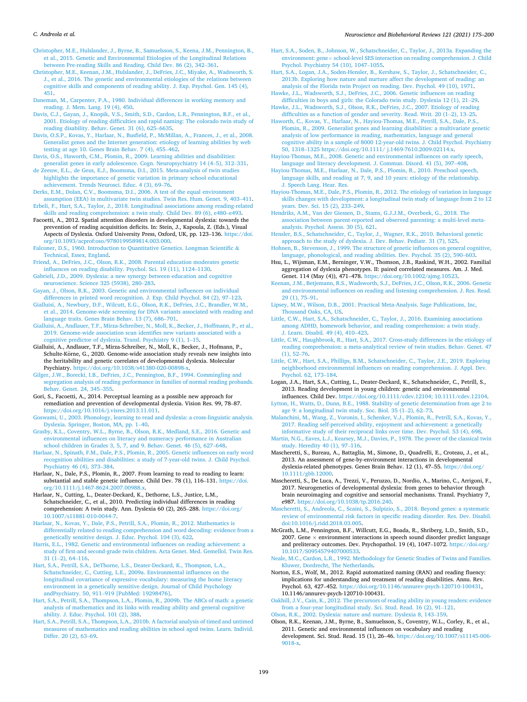#### <span id="page-25-0"></span>*C. Andreola et al.*

[Christopher, M.E., Hulslander, J., Byrne, B., Samuelsson, S., Keena, J.M., Pennington, B.,](http://refhub.elsevier.com/S0149-7634(20)30650-3/sbref0115)  [et al., 2015. Genetic and Environmental Etiologies of the Longitudinal Relations](http://refhub.elsevier.com/S0149-7634(20)30650-3/sbref0115) [between Pre-reading Skills and Reading. Child Dev. 86 \(2\), 342](http://refhub.elsevier.com/S0149-7634(20)30650-3/sbref0115)–361.

- [Christopher, M.E., Keenan, J.M., Hulslander, J., DeFries, J.C., Miyake, A., Wadsworth, S.](http://refhub.elsevier.com/S0149-7634(20)30650-3/sbref0120)  [J., et al., 2016. The genetic and environmental etiologies of the relations between](http://refhub.elsevier.com/S0149-7634(20)30650-3/sbref0120)  [cognitive skills and components of reading ability. J. Exp. Psychol. Gen. 145 \(4\),](http://refhub.elsevier.com/S0149-7634(20)30650-3/sbref0120)  [451](http://refhub.elsevier.com/S0149-7634(20)30650-3/sbref0120).
- [Daneman, M., Carpenter, P.A., 1980. Individual differences in working memory and](http://refhub.elsevier.com/S0149-7634(20)30650-3/sbref0125)  [reading. J. Mem. Lang. 19 \(4\), 450.](http://refhub.elsevier.com/S0149-7634(20)30650-3/sbref0125)
- [Davis, C.J., Gayan, J., Knopik, V.S., Smith, S.D., Cardon, L.R., Pennington, B.F., et al.,](http://refhub.elsevier.com/S0149-7634(20)30650-3/sbref0130) [2001. Etiology of reading difficulties and rapid naming: The colorado twin study of](http://refhub.elsevier.com/S0149-7634(20)30650-3/sbref0130)  [reading disability. Behav. Genet. 31 \(6\), 625](http://refhub.elsevier.com/S0149-7634(20)30650-3/sbref0130)–6635.
- [Davis, O.S.P., Kovas, Y., Harlaar, N., Busfield, P., McMillan, A., Frances, J., et al., 2008.](http://refhub.elsevier.com/S0149-7634(20)30650-3/sbref0135)  [Generalist genes and the Internet generation: etiology of learning abilities by web](http://refhub.elsevier.com/S0149-7634(20)30650-3/sbref0135) [testing at age 10. Genes Brain Behav. 7 \(4\), 455](http://refhub.elsevier.com/S0149-7634(20)30650-3/sbref0135)–462.
- [Davis, O.S., Haworth, C.M., Plomin, R., 2009. Learning abilities and disabilities:](http://refhub.elsevier.com/S0149-7634(20)30650-3/sbref0140) [generalist genes in early adolescence. Cogn. Neuropsychiatry 14 \(4](http://refhub.elsevier.com/S0149-7634(20)30650-3/sbref0140)–5), 312–331.
- [de Zeeuw, E.L., de Geus, E.J., Boomsma, D.I., 2015. Meta-analysis of twin studies](http://refhub.elsevier.com/S0149-7634(20)30650-3/sbref0145)  [highlights the importance of genetic variation in primary school educational](http://refhub.elsevier.com/S0149-7634(20)30650-3/sbref0145) [achievement. Trends Neurosci. Educ. 4 \(3\), 69](http://refhub.elsevier.com/S0149-7634(20)30650-3/sbref0145)–76.
- [Derks, E.M., Dolan, C.V., Boomsma, D.I., 2006. A test of the equal environment](http://refhub.elsevier.com/S0149-7634(20)30650-3/sbref0150)  [assumption \(EEA\) in multivariate twin studies. Twin Res. Hum. Genet. 9, 403](http://refhub.elsevier.com/S0149-7634(20)30650-3/sbref0150)–411. [Erbeli, F., Hart, S.A., Taylor, J., 2018. Longitudinal associations among reading-related](http://refhub.elsevier.com/S0149-7634(20)30650-3/sbref0155)
- [skills and reading comprehension: a twin study. Child Dev. 89 \(6\), e480](http://refhub.elsevier.com/S0149-7634(20)30650-3/sbref0155)–e493. Facoetti, A., 2012. Spatial attention disorders in developmental dyslexia: towards the
- prevention of reading acquisition deficits. In: Stein, J., Kapoula, Z. (Eds.), Visual Aspects of Dyslexia. Oxford University Press, Oxford, UK, pp. 123–136. [https://doi.](https://doi.org/10.1093/acprof:oso/9780199589814.003.000)  [org/10.1093/acprof:oso/9780199589814.003.000](https://doi.org/10.1093/acprof:oso/9780199589814.003.000).
- [Falconer, D.S., 1960. Introduction to Quantitative Genetics. Longman Scientific](http://refhub.elsevier.com/S0149-7634(20)30650-3/sbref0165) & [Technical, Essex, England.](http://refhub.elsevier.com/S0149-7634(20)30650-3/sbref0165)
- [Friend, A., DeFries, J.C., Olson, R.K., 2008. Parental education moderates genetic](http://refhub.elsevier.com/S0149-7634(20)30650-3/sbref0170) [influences on reading disability. Psychol. Sci. 19 \(11\), 1124](http://refhub.elsevier.com/S0149-7634(20)30650-3/sbref0170)–1130. [Gabrieli, J.D., 2009. Dyslexia: a new synergy between education and cognitive](http://refhub.elsevier.com/S0149-7634(20)30650-3/sbref0175)
- [neuroscience. Science 325 \(5938\), 280](http://refhub.elsevier.com/S0149-7634(20)30650-3/sbref0175)–283. [Gayan, J., Olson, R.K., 2003. Genetic and environmental influences on individual](http://refhub.elsevier.com/S0149-7634(20)30650-3/sbref0180)
- [differences in printed word recognition. J. Exp. Child Psychol. 84 \(2\), 97](http://refhub.elsevier.com/S0149-7634(20)30650-3/sbref0180)–123. [Gialluisi, A., Newbury, D.F., Wilcutt, E.G., Olson, R.K., DeFries, J.C., Brandler, W.M.,](http://refhub.elsevier.com/S0149-7634(20)30650-3/sbref0185)
- [et al., 2014. Genome-wide screening for DNA variants associated with reading and](http://refhub.elsevier.com/S0149-7634(20)30650-3/sbref0185) [language traits. Genes Brain Behav. 13 \(7\), 686](http://refhub.elsevier.com/S0149-7634(20)30650-3/sbref0185)–701.
- [Gialluisi, A., Andlauer, T.F., Mirza-Schreiber, N., Moll, K., Becker, J., Hoffmann, P., et al.,](http://refhub.elsevier.com/S0149-7634(20)30650-3/sbref0190)  [2019. Genome-wide association scan identifies new variants associated with a](http://refhub.elsevier.com/S0149-7634(20)30650-3/sbref0190) [cognitive predictor of dyslexia. Transl. Psychiatry 9 \(1\), 1](http://refhub.elsevier.com/S0149-7634(20)30650-3/sbref0190)–15.
- Gialluisi, A., Andlauer, T.F., Mirza-Schreiber, N., Moll, K., Becker, J., Hofmann, P., Schulte-Körne, G., 2020. Genome-wide association study reveals new insights into the heritability and genetic correlates of developmental dyslexia. Molecular Psychiatry. <https://doi.org/10.1038/s41380-020-00898-x>.
- [Gilger, J.W., Borecki, I.B., DeFries, J.C., Pennington, B.F., 1994. Commingling and](http://refhub.elsevier.com/S0149-7634(20)30650-3/sbref0200) [segregation analysis of reading performance in families of normal reading probands.](http://refhub.elsevier.com/S0149-7634(20)30650-3/sbref0200)  [Behav. Genet. 24, 345](http://refhub.elsevier.com/S0149-7634(20)30650-3/sbref0200)–355.
- Gori, S., Facoetti, A., 2014. Perceptual learning as a possible new approach for remediation and prevention of developmental dyslexia. Vision Res. 99, 78–87. [https://doi.org/10.1016/j.visres.2013.11.011.](https://doi.org/10.1016/j.visres.2013.11.011)
- [Goswami, U., 2003. Phonology, learning to read and dyslexia: a cross-linguistic analysis.](http://refhub.elsevier.com/S0149-7634(20)30650-3/sbref0210)  [Dyslexia. Springer, Boston, MA, pp. 1](http://refhub.elsevier.com/S0149-7634(20)30650-3/sbref0210)–40.
- [Grasby, K.L., Coventry, W.L., Byrne, B., Olson, R.K., Medland, S.E., 2016. Genetic and](http://refhub.elsevier.com/S0149-7634(20)30650-3/sbref0215) [environmental influences on literacy and numeracy performance in Australian](http://refhub.elsevier.com/S0149-7634(20)30650-3/sbref0215) [school children in Grades 3, 5, 7, and 9. Behav. Genet. 46 \(5\), 627](http://refhub.elsevier.com/S0149-7634(20)30650-3/sbref0215)–648.
- [Harlaar, N., Spinath, F.M., Dale, P.S., Plomin, R., 2005. Genetic influences on early word](http://refhub.elsevier.com/S0149-7634(20)30650-3/sbref0220)  [recognition abilities and disabilities: a study of 7-year-old twins. J. Child Psychol.](http://refhub.elsevier.com/S0149-7634(20)30650-3/sbref0220) [Psychiatry 46 \(4\), 373](http://refhub.elsevier.com/S0149-7634(20)30650-3/sbref0220)–384.
- Harlaar, N., Dale, P.S., Plomin, R., 2007. From learning to read to reading to learn: substantial and stable genetic influence. Child Dev. 78 (1), 116–131. [https://doi.](https://doi.org/10.1111/j.1467-8624.2007.00988.x)  [org/10.1111/j.1467-8624.2007.00988.x.](https://doi.org/10.1111/j.1467-8624.2007.00988.x)
- Harlaar, N., Cutting, L., Deater-Deckard, K., Dethorne, L.S., Justice, L.M., Schatschneider, C., et al., 2010. Predicting individual differences in reading comprehension: A twin study. Ann. Dyslexia 60 (2), 265–288. [https://doi.org/](https://doi.org/10.1007/s11881-010-0044-7)  [10.1007/s11881-010-0044-7](https://doi.org/10.1007/s11881-010-0044-7).
- [Harlaar, N., Kovas, Y., Dale, P.S., Petrill, S.A., Plomin, R., 2012. Mathematics is](http://refhub.elsevier.com/S0149-7634(20)30650-3/sbref0235) [differentially related to reading comprehension and word decoding: evidence from a](http://refhub.elsevier.com/S0149-7634(20)30650-3/sbref0235)  [genetically sensitive design. J. Educ. Psychol. 104 \(3\), 622](http://refhub.elsevier.com/S0149-7634(20)30650-3/sbref0235).
- [Harris, E.L., 1982. Genetic and environmental influences on reading achievement: a](http://refhub.elsevier.com/S0149-7634(20)30650-3/sbref0240) [study of first-and second-grade twin children. Acta Genet. Med. Gemellol. Twin Res.](http://refhub.elsevier.com/S0149-7634(20)30650-3/sbref0240)  31 (1–[2\), 64](http://refhub.elsevier.com/S0149-7634(20)30650-3/sbref0240)–116.
- [Hart, S.A., Petrill, S.A., DeThorne, L.S., Deater-Deckard, K., Thompson, L.A.,](http://refhub.elsevier.com/S0149-7634(20)30650-3/sbref0245) [Schatschneider, C., Cutting, L.E., 2009a. Environmental influences on the](http://refhub.elsevier.com/S0149-7634(20)30650-3/sbref0245) [longitudinal covariance of expressive vocabulary: measuring the home literacy](http://refhub.elsevier.com/S0149-7634(20)30650-3/sbref0245) [environment in a genetically sensitive design. Journal of Child Psychology](http://refhub.elsevier.com/S0149-7634(20)30650-3/sbref0245) andPsychiatry. 50, 911–[919 \[PubMed: 19298476\].](http://refhub.elsevier.com/S0149-7634(20)30650-3/sbref0245)
- [Hart, S.A., Petrill, S.A., Thompson, L.A., Plomin, R., 2009b. The ABCs of math: a genetic](http://refhub.elsevier.com/S0149-7634(20)30650-3/sbref0250)  [analysis of mathematics and its links with reading ability and general cognitive](http://refhub.elsevier.com/S0149-7634(20)30650-3/sbref0250)  [ability. J. Educ. Psychol. 101 \(2\), 388.](http://refhub.elsevier.com/S0149-7634(20)30650-3/sbref0250)
- [Hart, S.A., Petrill, S.A., Thompson, L.A., 2010b. A factorial analysis of timed and untimed](http://refhub.elsevier.com/S0149-7634(20)30650-3/sbref0255)  [measures of mathematics and reading abilities in school aged twins. Learn. Individ.](http://refhub.elsevier.com/S0149-7634(20)30650-3/sbref0255)  [Differ. 20 \(2\), 63](http://refhub.elsevier.com/S0149-7634(20)30650-3/sbref0255)–69.
- [Hart, S.A., Soden, B., Johnson, W., Schatschneider, C., Taylor, J., 2013a. Expanding the](http://refhub.elsevier.com/S0149-7634(20)30650-3/sbref0260)  environment: gene $\times$  school-level SES interaction on reading comprehension. J. Child [Psychol. Psychiatry 54 \(10\), 1047](http://refhub.elsevier.com/S0149-7634(20)30650-3/sbref0260)–1055.
- [Hart, S.A., Logan, J.A., Soden-Hensler, B., Kershaw, S., Taylor, J., Schatschneider, C.,](http://refhub.elsevier.com/S0149-7634(20)30650-3/sbref0265) [2013b. Exploring how nature and nurture affect the development of reading: an](http://refhub.elsevier.com/S0149-7634(20)30650-3/sbref0265)  [analysis of the Florida twin Project on reading. Dev. Psychol. 49 \(10\), 1971](http://refhub.elsevier.com/S0149-7634(20)30650-3/sbref0265).
- [Hawke, J.L., Wadsworth, S.J., DeFries, J.C., 2006. Genetic influences on reading](http://refhub.elsevier.com/S0149-7634(20)30650-3/sbref0270) [difficulties in boys and girls: the Colorado twin study. Dyslexia 12 \(1\), 21](http://refhub.elsevier.com/S0149-7634(20)30650-3/sbref0270)–29.
- [Hawke, J.L., Wadsworth, S.J., Olson, R.K., DeFries, J.C., 2007. Etiology of reading](http://refhub.elsevier.com/S0149-7634(20)30650-3/sbref0275) [difficulties as a function of gender and severity. Read. Writ. 20 \(1](http://refhub.elsevier.com/S0149-7634(20)30650-3/sbref0275)–2), 13–25.
- [Haworth, C., Kovas, Y., Harlaar, N., Hayiou-Thomas, M.E., Petrill, S.A., Dale, P.S.,](http://refhub.elsevier.com/S0149-7634(20)30650-3/sbref0280) [Plomin, R., 2009. Generalist genes and learning disabilities: a multivariate genetic](http://refhub.elsevier.com/S0149-7634(20)30650-3/sbref0280)  [analysis of low performance in reading, mathematics, language and general](http://refhub.elsevier.com/S0149-7634(20)30650-3/sbref0280)  [cognitive ability in a sample of 8000 12-year-old twins. J. Child Psychol. Psychiatry](http://refhub.elsevier.com/S0149-7634(20)30650-3/sbref0280)  50, 1318–[1325 https://doi.org/10.1111/ j.1469-7610.2009.02114.x.](http://refhub.elsevier.com/S0149-7634(20)30650-3/sbref0280)
- [Hayiou-Thomas, M.E., 2008. Genetic and environmental influences on early speech,](http://refhub.elsevier.com/S0149-7634(20)30650-3/sbref0285) [language and literacy development. J. Commun. Disord. 41 \(5\), 397](http://refhub.elsevier.com/S0149-7634(20)30650-3/sbref0285)–408.
- [Hayiou-Thomas, M.E., Harlaar, N., Dale, P.S., Plomin, R., 2010. Preschool speech,](http://refhub.elsevier.com/S0149-7634(20)30650-3/sbref0290)  [language skills, and reading at 7, 9, and 10 years: etiology of the relationship.](http://refhub.elsevier.com/S0149-7634(20)30650-3/sbref0290) [J. Speech Lang. Hear. Res.](http://refhub.elsevier.com/S0149-7634(20)30650-3/sbref0290)
- [Hayiou-Thomas, M.E., Dale, P.S., Plomin, R., 2012. The etiology of variation in language](http://refhub.elsevier.com/S0149-7634(20)30650-3/sbref0295)  [skills changes with development: a longitudinal twin study of language from 2 to 12](http://refhub.elsevier.com/S0149-7634(20)30650-3/sbref0295)  [years. Dev. Sci. 15 \(2\), 233](http://refhub.elsevier.com/S0149-7634(20)30650-3/sbref0295)–249.
- [Hendriks, A.M., Van der Giessen, D., Stams, G.J.J.M., Overbeek, G., 2018. The](http://refhub.elsevier.com/S0149-7634(20)30650-3/sbref0300)  [association between parent-reported and observed parenting: a multi-level meta](http://refhub.elsevier.com/S0149-7634(20)30650-3/sbref0300)[analysis. Psychol. Assess. 30 \(5\), 621](http://refhub.elsevier.com/S0149-7634(20)30650-3/sbref0300).
- [Hensler, B.S., Schatschneider, C., Taylor, J., Wagner, R.K., 2010. Behavioral genetic](http://refhub.elsevier.com/S0149-7634(20)30650-3/sbref0305) [approach to the study of dyslexia. J. Dev. Behav. Pediatr. 31 \(7\), 525](http://refhub.elsevier.com/S0149-7634(20)30650-3/sbref0305).
- [Hohnen, B., Stevenson, J., 1999. The structure of genetic influences on general cognitive,](http://refhub.elsevier.com/S0149-7634(20)30650-3/sbref0310)  [language, phonological, and reading abilities. Dev. Psychol. 35 \(2\), 590](http://refhub.elsevier.com/S0149-7634(20)30650-3/sbref0310)–603.
- Hsu, L., Wijsman, E.M., Berninger, V.W., Thomson, J.B., Raskind, W.H., 2002. Familial aggregation of dyslexia phenotypes. II: paired correlated measures. Am. J. Med. Genet. 114 (May (4)), 471–478. <https://doi.org/10.1002/ajmg.10523>.
- [Keenan, J.M., Betjemann, R.S., Wadsworth, S.J., DeFries, J.C., Olson, R.K., 2006. Genetic](http://refhub.elsevier.com/S0149-7634(20)30650-3/sbref0320)  [and environmental influences on reading and listening comprehension. J. Res. Read.](http://refhub.elsevier.com/S0149-7634(20)30650-3/sbref0320)  [29 \(1\), 75](http://refhub.elsevier.com/S0149-7634(20)30650-3/sbref0320)–91.
- [Lipsey, M.W., Wilson, D.B., 2001. Practical Meta-Analysis. Sage Publications, Inc,](http://refhub.elsevier.com/S0149-7634(20)30650-3/sbref0325) [Thousand Oaks, CA, US](http://refhub.elsevier.com/S0149-7634(20)30650-3/sbref0325).
- [Little, C.W., Hart, S.A., Schatschneider, C., Taylor, J., 2016. Examining associations](http://refhub.elsevier.com/S0149-7634(20)30650-3/sbref0330) [among ADHD, homework behavior, and reading comprehension: a twin study.](http://refhub.elsevier.com/S0149-7634(20)30650-3/sbref0330)  [J. Learn. Disabil. 49 \(4\), 410](http://refhub.elsevier.com/S0149-7634(20)30650-3/sbref0330)–423.
- [Little, C.W., Haughbrook, R., Hart, S.A., 2017. Cross-study differences in the etiology of](http://refhub.elsevier.com/S0149-7634(20)30650-3/sbref0335)  [reading comprehension: a meta-analytical review of twin studies. Behav. Genet. 47](http://refhub.elsevier.com/S0149-7634(20)30650-3/sbref0335)  [\(1\), 52](http://refhub.elsevier.com/S0149-7634(20)30650-3/sbref0335)–76.
- [Little, C.W., Hart, S.A., Phillips, B.M., Schatschneider, C., Taylor, J.E., 2019. Exploring](http://refhub.elsevier.com/S0149-7634(20)30650-3/sbref0340) [neighborhood environmental influences on reading comprehension. J. Appl. Dev.](http://refhub.elsevier.com/S0149-7634(20)30650-3/sbref0340) [Psychol. 62, 173](http://refhub.elsevier.com/S0149-7634(20)30650-3/sbref0340)–184.
- Logan, J.A., Hart, S.A., Cutting, L., Deater-Deckard, K., Schatschneider, C., Petrill, S., 2013. Reading development in young children: genetic and environmental influences. Child Dev. [https://doi.org/10.1111/cdev.12104; 10.1111/cdev.12104.](https://doi.org/10.1111/cdev.12104; 10.1111/cdev.12104)
- [Lytton, H., Watts, D., Dunn, B.E., 1988. Stability of genetic determination from age 2 to](http://refhub.elsevier.com/S0149-7634(20)30650-3/sbref0350)  [age 9: a longitudinal twin study. Soc. Biol. 35 \(1](http://refhub.elsevier.com/S0149-7634(20)30650-3/sbref0350)–2), 62–73.
- [Malanchini, M., Wang, Z., Voronin, I., Schenker, V.J., Plomin, R., Petrill, S.A., Kovas, Y.,](http://refhub.elsevier.com/S0149-7634(20)30650-3/sbref0355)  [2017. Reading self-perceived ability, enjoyment and achievement: a genetically](http://refhub.elsevier.com/S0149-7634(20)30650-3/sbref0355) [informative study of their reciprocal links over time. Dev. Psychol. 53 \(4\), 698.](http://refhub.elsevier.com/S0149-7634(20)30650-3/sbref0355)
- [Martin, N.G., Eaves, L.J., Kearsey, M.J., Davies, P., 1978. The power of the classical twin](http://refhub.elsevier.com/S0149-7634(20)30650-3/sbref0360)  [study. Heredity 40 \(1\), 97](http://refhub.elsevier.com/S0149-7634(20)30650-3/sbref0360)–116.
- Mascheretti, S., Bureau, A., Battaglia, M., Simone, D., Quadrelli, E., Croteau, J., et al., 2013. An assessment of gene-by-environment interactions in developmental dyslexia-related phenotypes. Genes Brain Behav. 12 (1), 47–55. [https://doi.org/](https://doi.org/10.1111/gbb.12000) [10.1111/gbb.12000](https://doi.org/10.1111/gbb.12000).
- Mascheretti, S., De Luca, A., Trezzi, V., Peruzzo, D., Nordio, A., Marino, C., Arrigoni, F., 2017. Neurogenetics of developmental dyslexia: from genes to behavior through brain neuroimaging and cognitive and sensorial mechanisms. Transl. Psychiatry 7, e987. [https://doi.org/10.1038/tp.2016.240.](https://doi.org/10.1038/tp.2016.240)
- [Mascheretti, S., Andreola, C., Scaini, S., Sulpizio, S., 2018. Beyond genes: a systematic](http://refhub.elsevier.com/S0149-7634(20)30650-3/sbref0375) [review of environmental risk factors in specific reading disorder. Res. Dev. Disabil.](http://refhub.elsevier.com/S0149-7634(20)30650-3/sbref0375)  [doi:10.1016/j.ridd.2018.03.005.](http://refhub.elsevier.com/S0149-7634(20)30650-3/sbref0375)
- McGrath, L.M., Pennington, B.F., Willcutt, E.G., Boada, R., Shriberg, L.D., Smith, S.D., 2007. Gene  $\times$  environment interactions in speech sound disorder predict language and preliteracy outcomes. Dev. Psychopathol. 19 (4), 1047–1072. [https://doi.org/](https://doi.org/10.1017/S0954579407000533)  [10.1017/S0954579407000533.](https://doi.org/10.1017/S0954579407000533)
- [Neale, M.C., Cardon, L.R., 1992. Methodology for Genetic Studies of Twins and Families.](http://refhub.elsevier.com/S0149-7634(20)30650-3/sbref0385)  [Kluwer, Dordrecht, The Netherlands.](http://refhub.elsevier.com/S0149-7634(20)30650-3/sbref0385)
- Norton, E.S., Wolf, M., 2012. Rapid automatized naming (RAN) and reading fluency: implications for understanding and treatment of reading disabilities. Annu. Rev. Psychol. 63, 427–452. <https://doi.org/10.1146/annurev-psych-120710-100431>, 10.1146/annurev-psych-120710-100431.
- [Oakhill, J.V., Cain, K., 2012. The precursors of reading ability in young readers: evidence](http://refhub.elsevier.com/S0149-7634(20)30650-3/sbref0395)  [from a four-year longitudinal study. Sci. Stud. Read. 16 \(2\), 91](http://refhub.elsevier.com/S0149-7634(20)30650-3/sbref0395)–121.
- [Olson, R.K., 2002. Dyslexia: nature and nurture. Dyslexia 8, 143](http://refhub.elsevier.com/S0149-7634(20)30650-3/sbref0400)–159.
- Olson, R.K., Keenan, J.M., Byrne, B., Samuelsson, S., Coventry, W.L., Corley, R., et al., 2011. Genetic and environmental influences on vocabulary and reading development. Sci. Stud. Read. 15 (1), 26–46. [https://doi.org/10.1007/s11145-006-](https://doi.org/10.1007/s11145-006-9018-x)  [9018-x](https://doi.org/10.1007/s11145-006-9018-x).